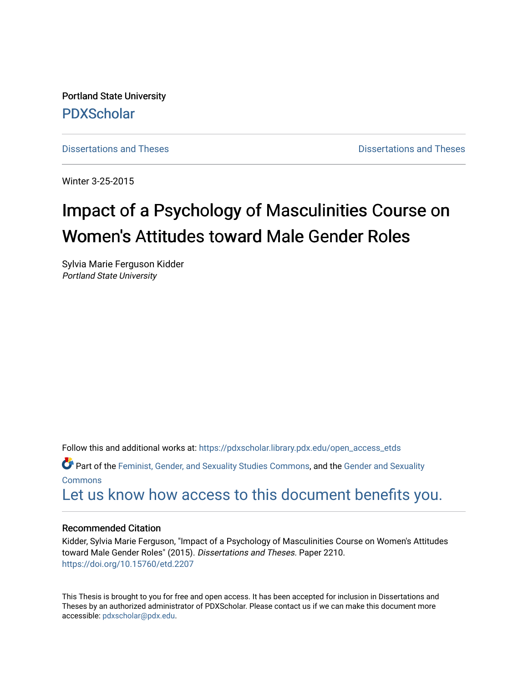Portland State University [PDXScholar](https://pdxscholar.library.pdx.edu/)

[Dissertations and Theses](https://pdxscholar.library.pdx.edu/open_access_etds) **Distributions** and Theses **Distributions** and Theses

Winter 3-25-2015

# Impact of a Psychology of Masculinities Course on Women's Attitudes toward Male Gender Roles

Sylvia Marie Ferguson Kidder Portland State University

Follow this and additional works at: [https://pdxscholar.library.pdx.edu/open\\_access\\_etds](https://pdxscholar.library.pdx.edu/open_access_etds?utm_source=pdxscholar.library.pdx.edu%2Fopen_access_etds%2F2210&utm_medium=PDF&utm_campaign=PDFCoverPages)

Part of the [Feminist, Gender, and Sexuality Studies Commons](http://network.bepress.com/hgg/discipline/559?utm_source=pdxscholar.library.pdx.edu%2Fopen_access_etds%2F2210&utm_medium=PDF&utm_campaign=PDFCoverPages), and the [Gender and Sexuality](http://network.bepress.com/hgg/discipline/420?utm_source=pdxscholar.library.pdx.edu%2Fopen_access_etds%2F2210&utm_medium=PDF&utm_campaign=PDFCoverPages)  **[Commons](http://network.bepress.com/hgg/discipline/420?utm_source=pdxscholar.library.pdx.edu%2Fopen_access_etds%2F2210&utm_medium=PDF&utm_campaign=PDFCoverPages)** 

[Let us know how access to this document benefits you.](http://library.pdx.edu/services/pdxscholar-services/pdxscholar-feedback/) 

### Recommended Citation

Kidder, Sylvia Marie Ferguson, "Impact of a Psychology of Masculinities Course on Women's Attitudes toward Male Gender Roles" (2015). Dissertations and Theses. Paper 2210. <https://doi.org/10.15760/etd.2207>

This Thesis is brought to you for free and open access. It has been accepted for inclusion in Dissertations and Theses by an authorized administrator of PDXScholar. Please contact us if we can make this document more accessible: [pdxscholar@pdx.edu.](mailto:pdxscholar@pdx.edu)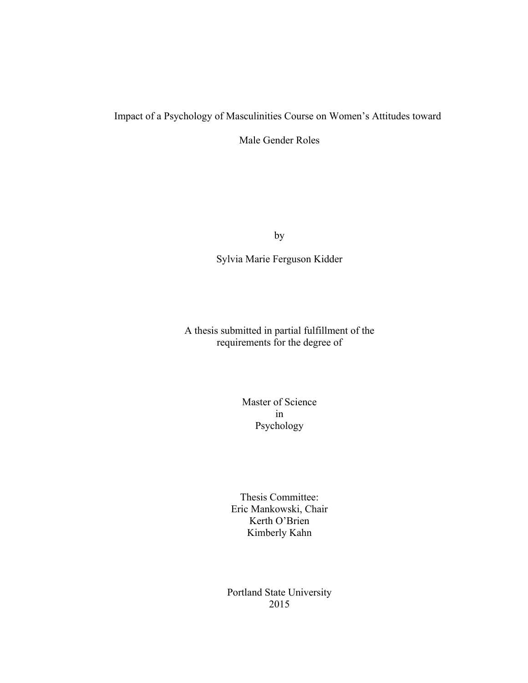# Impact of a Psychology of Masculinities Course on Women's Attitudes toward

Male Gender Roles

by

Sylvia Marie Ferguson Kidder

A thesis submitted in partial fulfillment of the requirements for the degree of

> Master of Science in Psychology

Thesis Committee: Eric Mankowski, Chair Kerth O'Brien Kimberly Kahn

Portland State University 2015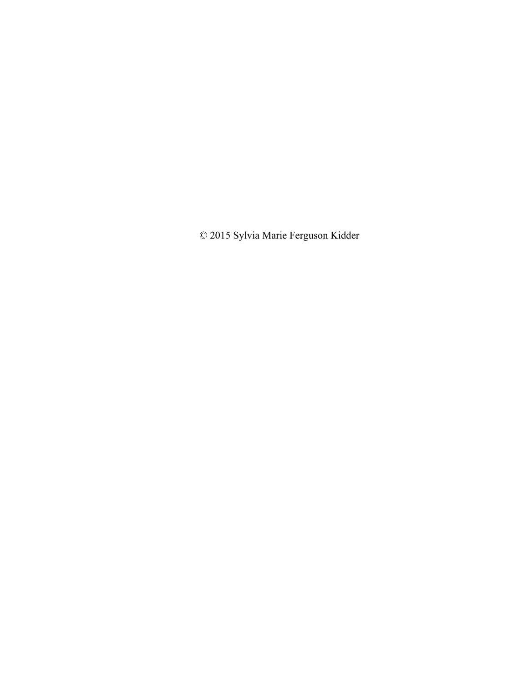© 2015 Sylvia Marie Ferguson Kidder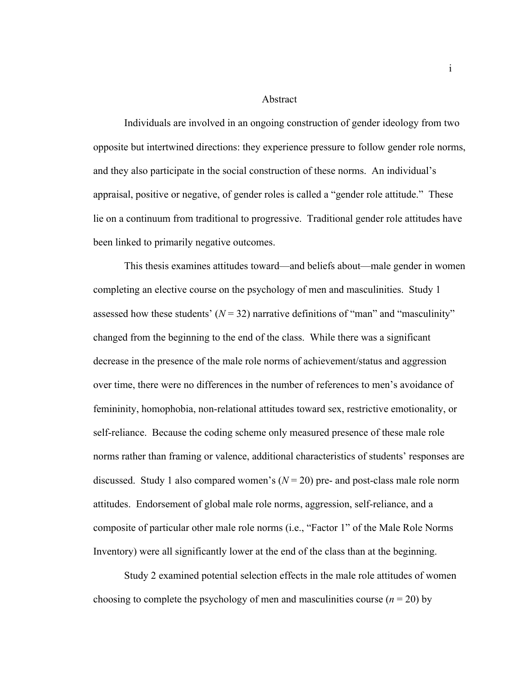### Abstract

Individuals are involved in an ongoing construction of gender ideology from two opposite but intertwined directions: they experience pressure to follow gender role norms, and they also participate in the social construction of these norms. An individual's appraisal, positive or negative, of gender roles is called a "gender role attitude." These lie on a continuum from traditional to progressive. Traditional gender role attitudes have been linked to primarily negative outcomes.

This thesis examines attitudes toward—and beliefs about—male gender in women completing an elective course on the psychology of men and masculinities. Study 1 assessed how these students'  $(N = 32)$  narrative definitions of "man" and "masculinity" changed from the beginning to the end of the class. While there was a significant decrease in the presence of the male role norms of achievement/status and aggression over time, there were no differences in the number of references to men's avoidance of femininity, homophobia, non-relational attitudes toward sex, restrictive emotionality, or self-reliance. Because the coding scheme only measured presence of these male role norms rather than framing or valence, additional characteristics of students' responses are discussed. Study 1 also compared women's  $(N = 20)$  pre- and post-class male role norm attitudes. Endorsement of global male role norms, aggression, self-reliance, and a composite of particular other male role norms (i.e., "Factor 1" of the Male Role Norms Inventory) were all significantly lower at the end of the class than at the beginning.

Study 2 examined potential selection effects in the male role attitudes of women choosing to complete the psychology of men and masculinities course  $(n = 20)$  by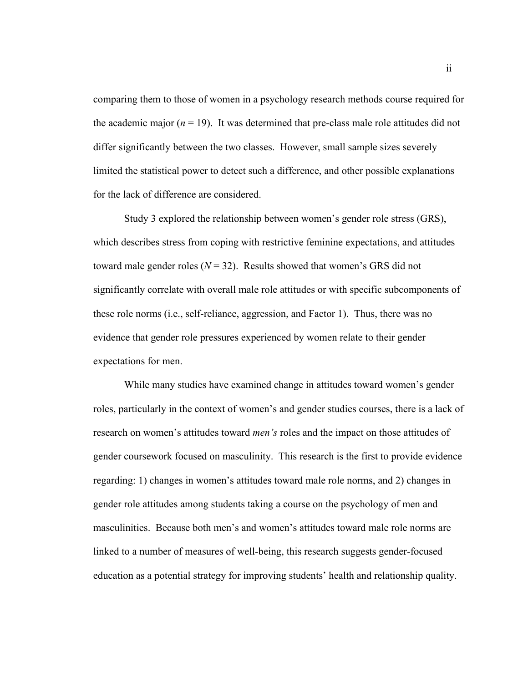comparing them to those of women in a psychology research methods course required for the academic major  $(n = 19)$ . It was determined that pre-class male role attitudes did not differ significantly between the two classes. However, small sample sizes severely limited the statistical power to detect such a difference, and other possible explanations for the lack of difference are considered.

Study 3 explored the relationship between women's gender role stress (GRS), which describes stress from coping with restrictive feminine expectations, and attitudes toward male gender roles  $(N = 32)$ . Results showed that women's GRS did not significantly correlate with overall male role attitudes or with specific subcomponents of these role norms (i.e., self-reliance, aggression, and Factor 1). Thus, there was no evidence that gender role pressures experienced by women relate to their gender expectations for men.

While many studies have examined change in attitudes toward women's gender roles, particularly in the context of women's and gender studies courses, there is a lack of research on women's attitudes toward *men's* roles and the impact on those attitudes of gender coursework focused on masculinity. This research is the first to provide evidence regarding: 1) changes in women's attitudes toward male role norms, and 2) changes in gender role attitudes among students taking a course on the psychology of men and masculinities. Because both men's and women's attitudes toward male role norms are linked to a number of measures of well-being, this research suggests gender-focused education as a potential strategy for improving students' health and relationship quality.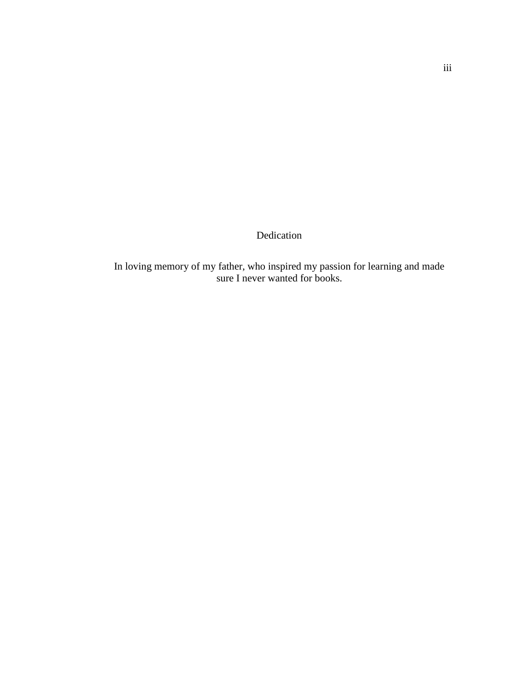Dedication

In loving memory of my father, who inspired my passion for learning and made sure I never wanted for books.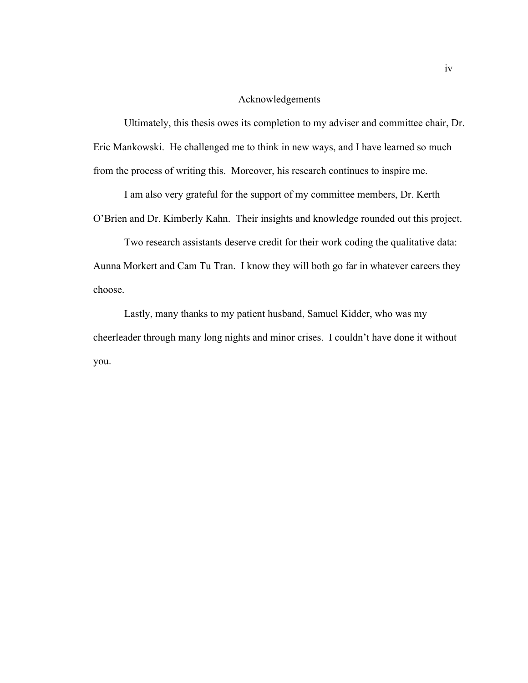### Acknowledgements

Ultimately, this thesis owes its completion to my adviser and committee chair, Dr. Eric Mankowski. He challenged me to think in new ways, and I have learned so much from the process of writing this. Moreover, his research continues to inspire me.

I am also very grateful for the support of my committee members, Dr. Kerth O'Brien and Dr. Kimberly Kahn. Their insights and knowledge rounded out this project.

Two research assistants deserve credit for their work coding the qualitative data: Aunna Morkert and Cam Tu Tran. I know they will both go far in whatever careers they choose.

Lastly, many thanks to my patient husband, Samuel Kidder, who was my cheerleader through many long nights and minor crises. I couldn't have done it without you.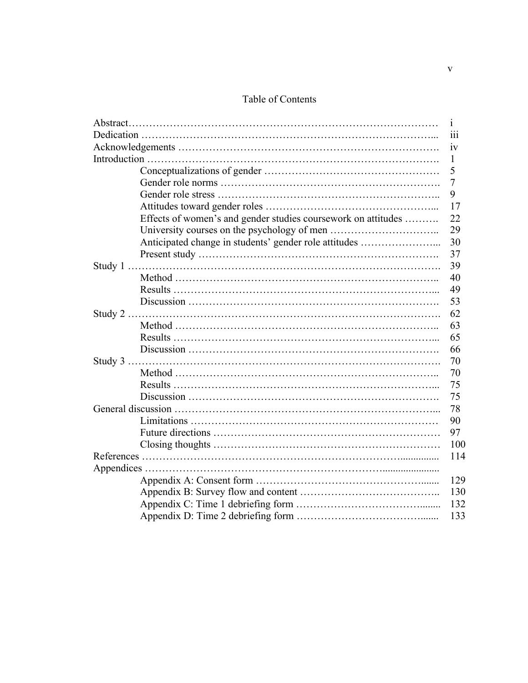### Table of Contents

|                                                               | $\mathbf{1}$ |
|---------------------------------------------------------------|--------------|
|                                                               | 111          |
|                                                               | 1V           |
|                                                               | 1            |
|                                                               | 5            |
|                                                               | 7            |
|                                                               | 9            |
|                                                               | 17           |
| Effects of women's and gender studies coursework on attitudes | 22           |
|                                                               | 29           |
| Anticipated change in students' gender role attitudes         | 30           |
|                                                               | 37           |
|                                                               | 39           |
|                                                               | 40           |
|                                                               | 49           |
|                                                               | 53           |
|                                                               | 62           |
|                                                               | 63           |
|                                                               | 65           |
|                                                               | 66           |
|                                                               |              |
|                                                               | 70           |
|                                                               | 75           |
|                                                               | 75           |
|                                                               |              |
|                                                               | 90           |
|                                                               | 97           |
|                                                               | 100          |
|                                                               | 114          |
|                                                               |              |
|                                                               | 129          |
|                                                               | 130          |
|                                                               | 132          |
|                                                               | 133          |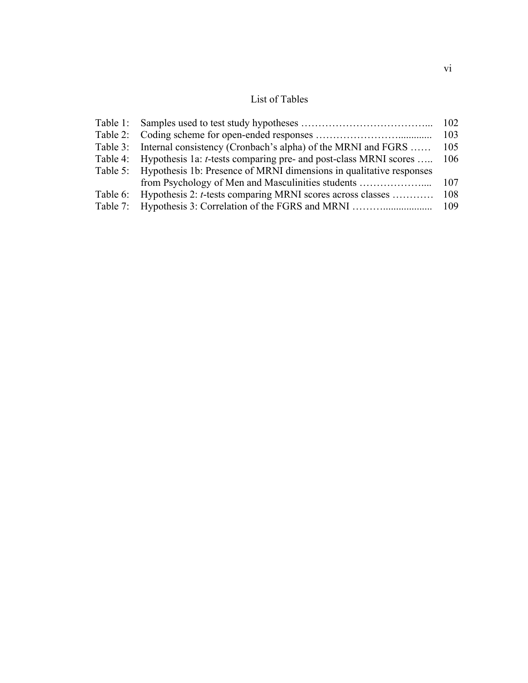## List of Tables

|                                                                                   | 102 |
|-----------------------------------------------------------------------------------|-----|
|                                                                                   | 103 |
| Table 3: Internal consistency (Cronbach's alpha) of the MRNI and FGRS             | 105 |
| Table 4: Hypothesis 1a: <i>t</i> -tests comparing pre- and post-class MRNI scores | 106 |
| Table 5: Hypothesis 1b: Presence of MRNI dimensions in qualitative responses      |     |
| from Psychology of Men and Masculinities students                                 | 107 |
| Table 6: Hypothesis 2: t-tests comparing MRNI scores across classes               | 108 |
|                                                                                   | 109 |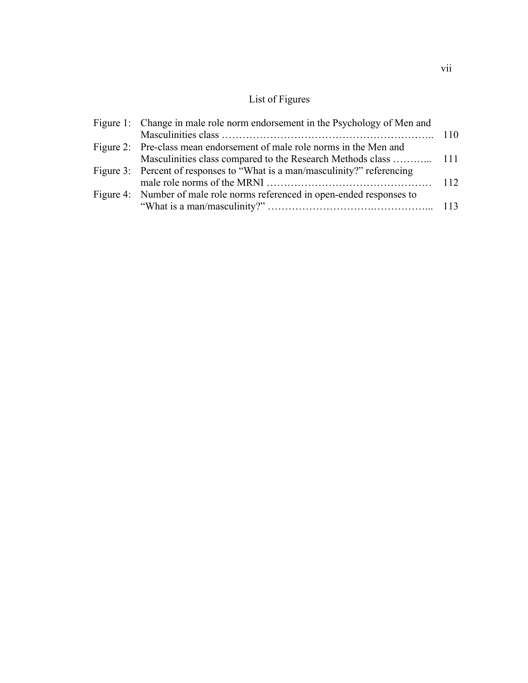# List of Figures

| Figure 2: Pre-class mean endorsement of male role norms in the Men and     |                                                                             |
|----------------------------------------------------------------------------|-----------------------------------------------------------------------------|
|                                                                            |                                                                             |
| Figure 3: Percent of responses to "What is a man/masculinity?" referencing |                                                                             |
|                                                                            |                                                                             |
| Figure 4: Number of male role norms referenced in open-ended responses to  |                                                                             |
|                                                                            |                                                                             |
|                                                                            | Figure 1: Change in male role norm endorsement in the Psychology of Men and |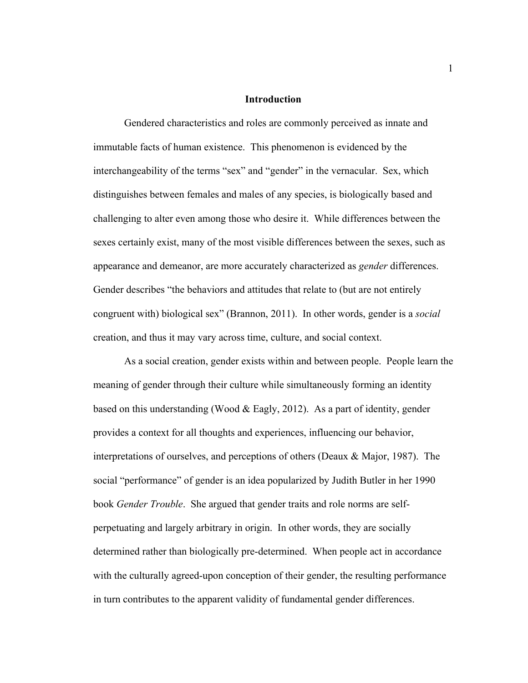### **Introduction**

Gendered characteristics and roles are commonly perceived as innate and immutable facts of human existence. This phenomenon is evidenced by the interchangeability of the terms "sex" and "gender" in the vernacular. Sex, which distinguishes between females and males of any species, is biologically based and challenging to alter even among those who desire it. While differences between the sexes certainly exist, many of the most visible differences between the sexes, such as appearance and demeanor, are more accurately characterized as *gender* differences. Gender describes "the behaviors and attitudes that relate to (but are not entirely congruent with) biological sex" (Brannon, 2011). In other words, gender is a *social* creation, and thus it may vary across time, culture, and social context.

As a social creation, gender exists within and between people. People learn the meaning of gender through their culture while simultaneously forming an identity based on this understanding (Wood & Eagly, 2012). As a part of identity, gender provides a context for all thoughts and experiences, influencing our behavior, interpretations of ourselves, and perceptions of others (Deaux & Major, 1987). The social "performance" of gender is an idea popularized by Judith Butler in her 1990 book *Gender Trouble*. She argued that gender traits and role norms are selfperpetuating and largely arbitrary in origin. In other words, they are socially determined rather than biologically pre-determined. When people act in accordance with the culturally agreed-upon conception of their gender, the resulting performance in turn contributes to the apparent validity of fundamental gender differences.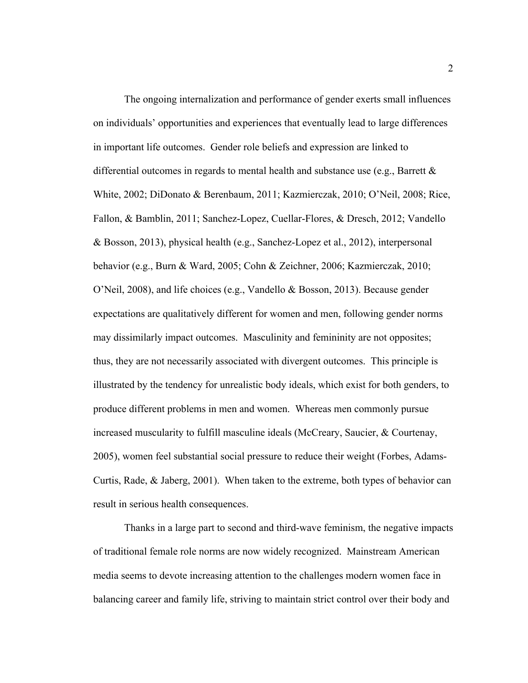The ongoing internalization and performance of gender exerts small influences on individuals' opportunities and experiences that eventually lead to large differences in important life outcomes. Gender role beliefs and expression are linked to differential outcomes in regards to mental health and substance use (e.g., Barrett  $\&$ White, 2002; DiDonato & Berenbaum, 2011; Kazmierczak, 2010; O'Neil, 2008; Rice, Fallon, & Bamblin, 2011; Sanchez-Lopez, Cuellar-Flores, & Dresch, 2012; Vandello & Bosson, 2013), physical health (e.g., Sanchez-Lopez et al., 2012), interpersonal behavior (e.g., Burn & Ward, 2005; Cohn & Zeichner, 2006; Kazmierczak, 2010; O'Neil, 2008), and life choices (e.g., Vandello & Bosson, 2013). Because gender expectations are qualitatively different for women and men, following gender norms may dissimilarly impact outcomes. Masculinity and femininity are not opposites; thus, they are not necessarily associated with divergent outcomes. This principle is illustrated by the tendency for unrealistic body ideals, which exist for both genders, to produce different problems in men and women. Whereas men commonly pursue increased muscularity to fulfill masculine ideals (McCreary, Saucier, & Courtenay, 2005), women feel substantial social pressure to reduce their weight (Forbes, Adams-Curtis, Rade, & Jaberg, 2001). When taken to the extreme, both types of behavior can result in serious health consequences.

Thanks in a large part to second and third-wave feminism, the negative impacts of traditional female role norms are now widely recognized. Mainstream American media seems to devote increasing attention to the challenges modern women face in balancing career and family life, striving to maintain strict control over their body and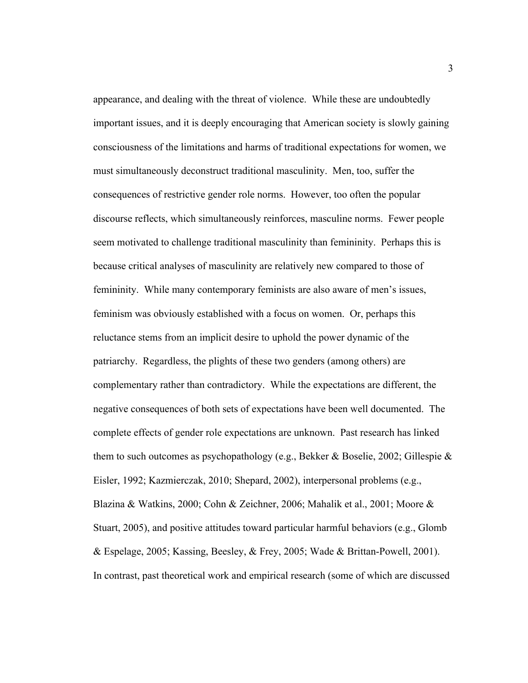appearance, and dealing with the threat of violence. While these are undoubtedly important issues, and it is deeply encouraging that American society is slowly gaining consciousness of the limitations and harms of traditional expectations for women, we must simultaneously deconstruct traditional masculinity. Men, too, suffer the consequences of restrictive gender role norms. However, too often the popular discourse reflects, which simultaneously reinforces, masculine norms. Fewer people seem motivated to challenge traditional masculinity than femininity. Perhaps this is because critical analyses of masculinity are relatively new compared to those of femininity. While many contemporary feminists are also aware of men's issues, feminism was obviously established with a focus on women. Or, perhaps this reluctance stems from an implicit desire to uphold the power dynamic of the patriarchy. Regardless, the plights of these two genders (among others) are complementary rather than contradictory. While the expectations are different, the negative consequences of both sets of expectations have been well documented. The complete effects of gender role expectations are unknown. Past research has linked them to such outcomes as psychopathology (e.g., Bekker & Boselie, 2002; Gillespie & Eisler, 1992; Kazmierczak, 2010; Shepard, 2002), interpersonal problems (e.g., Blazina & Watkins, 2000; Cohn & Zeichner, 2006; Mahalik et al., 2001; Moore & Stuart, 2005), and positive attitudes toward particular harmful behaviors (e.g., Glomb & Espelage, 2005; Kassing, Beesley, & Frey, 2005; Wade & Brittan-Powell, 2001). In contrast, past theoretical work and empirical research (some of which are discussed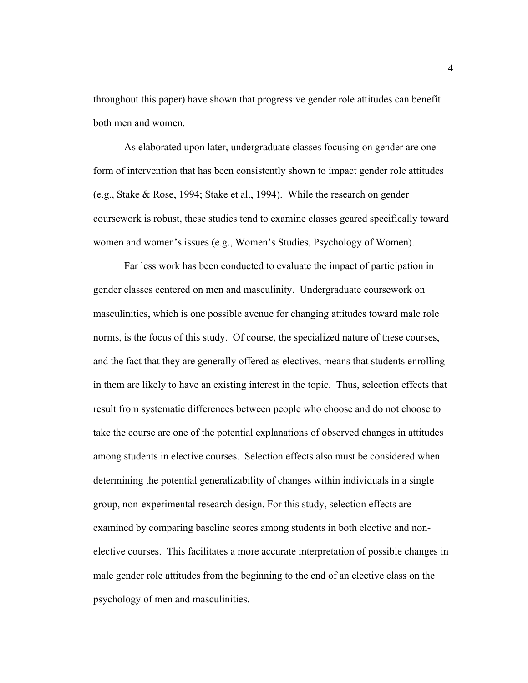throughout this paper) have shown that progressive gender role attitudes can benefit both men and women.

As elaborated upon later, undergraduate classes focusing on gender are one form of intervention that has been consistently shown to impact gender role attitudes (e.g., Stake & Rose, 1994; Stake et al., 1994). While the research on gender coursework is robust, these studies tend to examine classes geared specifically toward women and women's issues (e.g., Women's Studies, Psychology of Women).

Far less work has been conducted to evaluate the impact of participation in gender classes centered on men and masculinity. Undergraduate coursework on masculinities, which is one possible avenue for changing attitudes toward male role norms, is the focus of this study. Of course, the specialized nature of these courses, and the fact that they are generally offered as electives, means that students enrolling in them are likely to have an existing interest in the topic. Thus, selection effects that result from systematic differences between people who choose and do not choose to take the course are one of the potential explanations of observed changes in attitudes among students in elective courses. Selection effects also must be considered when determining the potential generalizability of changes within individuals in a single group, non-experimental research design. For this study, selection effects are examined by comparing baseline scores among students in both elective and nonelective courses. This facilitates a more accurate interpretation of possible changes in male gender role attitudes from the beginning to the end of an elective class on the psychology of men and masculinities.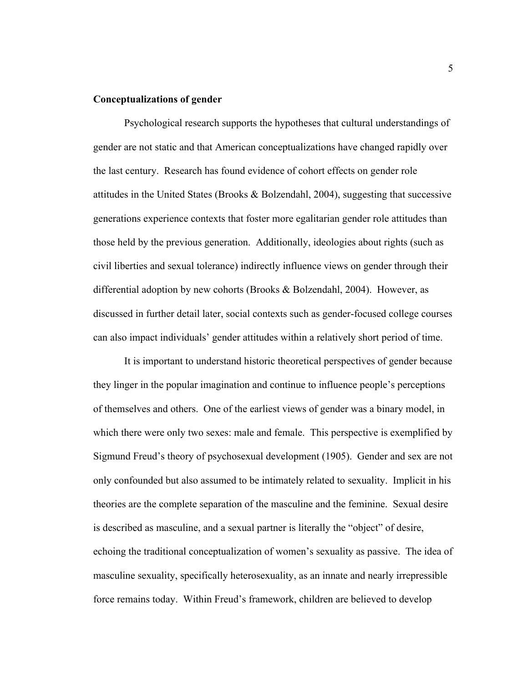### **Conceptualizations of gender**

Psychological research supports the hypotheses that cultural understandings of gender are not static and that American conceptualizations have changed rapidly over the last century. Research has found evidence of cohort effects on gender role attitudes in the United States (Brooks & Bolzendahl, 2004), suggesting that successive generations experience contexts that foster more egalitarian gender role attitudes than those held by the previous generation. Additionally, ideologies about rights (such as civil liberties and sexual tolerance) indirectly influence views on gender through their differential adoption by new cohorts (Brooks & Bolzendahl, 2004). However, as discussed in further detail later, social contexts such as gender-focused college courses can also impact individuals' gender attitudes within a relatively short period of time.

It is important to understand historic theoretical perspectives of gender because they linger in the popular imagination and continue to influence people's perceptions of themselves and others. One of the earliest views of gender was a binary model, in which there were only two sexes: male and female. This perspective is exemplified by Sigmund Freud's theory of psychosexual development (1905). Gender and sex are not only confounded but also assumed to be intimately related to sexuality. Implicit in his theories are the complete separation of the masculine and the feminine. Sexual desire is described as masculine, and a sexual partner is literally the "object" of desire, echoing the traditional conceptualization of women's sexuality as passive. The idea of masculine sexuality, specifically heterosexuality, as an innate and nearly irrepressible force remains today. Within Freud's framework, children are believed to develop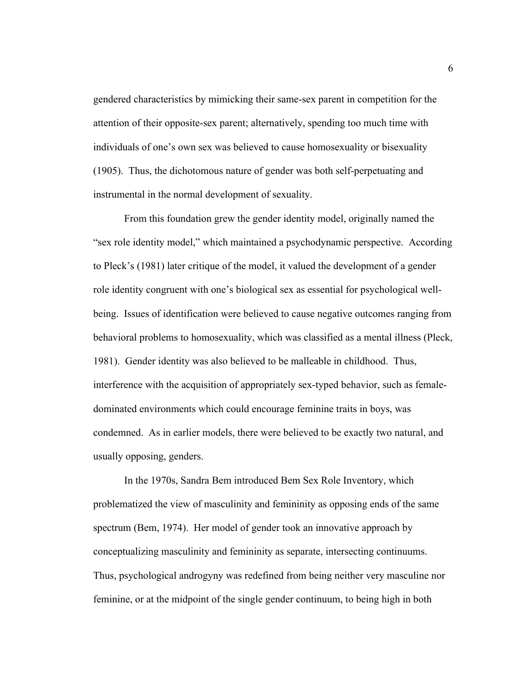gendered characteristics by mimicking their same-sex parent in competition for the attention of their opposite-sex parent; alternatively, spending too much time with individuals of one's own sex was believed to cause homosexuality or bisexuality (1905). Thus, the dichotomous nature of gender was both self-perpetuating and instrumental in the normal development of sexuality.

From this foundation grew the gender identity model, originally named the "sex role identity model," which maintained a psychodynamic perspective. According to Pleck's (1981) later critique of the model, it valued the development of a gender role identity congruent with one's biological sex as essential for psychological wellbeing. Issues of identification were believed to cause negative outcomes ranging from behavioral problems to homosexuality, which was classified as a mental illness (Pleck, 1981). Gender identity was also believed to be malleable in childhood. Thus, interference with the acquisition of appropriately sex-typed behavior, such as femaledominated environments which could encourage feminine traits in boys, was condemned. As in earlier models, there were believed to be exactly two natural, and usually opposing, genders.

In the 1970s, Sandra Bem introduced Bem Sex Role Inventory, which problematized the view of masculinity and femininity as opposing ends of the same spectrum (Bem, 1974). Her model of gender took an innovative approach by conceptualizing masculinity and femininity as separate, intersecting continuums. Thus, psychological androgyny was redefined from being neither very masculine nor feminine, or at the midpoint of the single gender continuum, to being high in both

6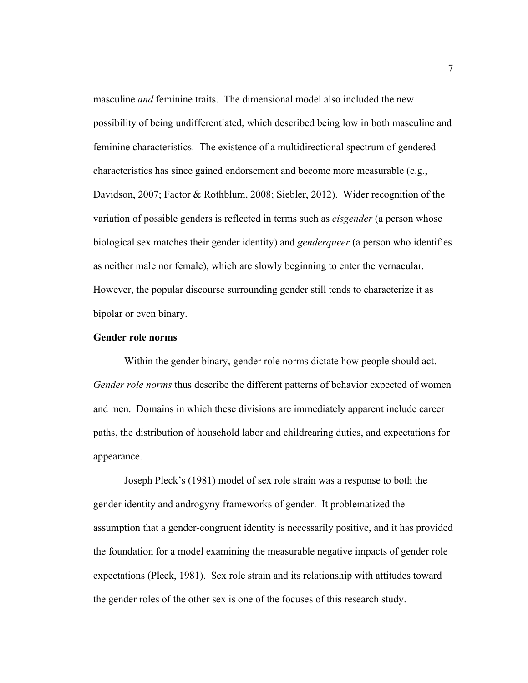masculine *and* feminine traits. The dimensional model also included the new possibility of being undifferentiated, which described being low in both masculine and feminine characteristics. The existence of a multidirectional spectrum of gendered characteristics has since gained endorsement and become more measurable (e.g., Davidson, 2007; Factor & Rothblum, 2008; Siebler, 2012). Wider recognition of the variation of possible genders is reflected in terms such as *cisgender* (a person whose biological sex matches their gender identity) and *genderqueer* (a person who identifies as neither male nor female), which are slowly beginning to enter the vernacular. However, the popular discourse surrounding gender still tends to characterize it as bipolar or even binary.

### **Gender role norms**

Within the gender binary, gender role norms dictate how people should act. *Gender role norms* thus describe the different patterns of behavior expected of women and men. Domains in which these divisions are immediately apparent include career paths, the distribution of household labor and childrearing duties, and expectations for appearance.

Joseph Pleck's (1981) model of sex role strain was a response to both the gender identity and androgyny frameworks of gender. It problematized the assumption that a gender-congruent identity is necessarily positive, and it has provided the foundation for a model examining the measurable negative impacts of gender role expectations (Pleck, 1981). Sex role strain and its relationship with attitudes toward the gender roles of the other sex is one of the focuses of this research study.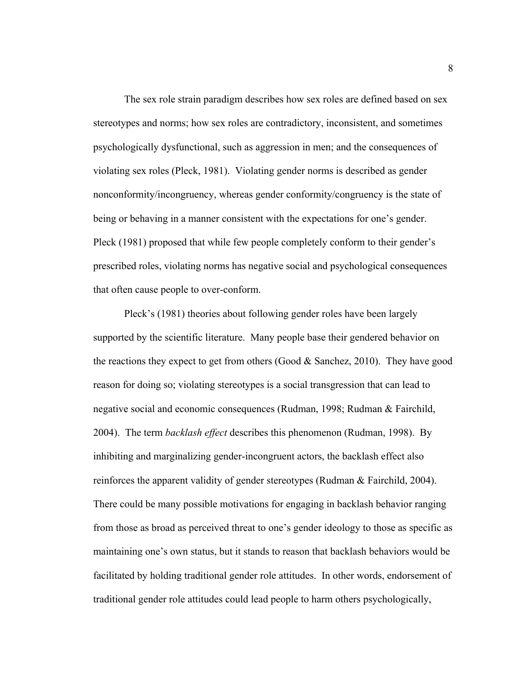The sex role strain paradigm describes how sex roles are defined based on sex stereotypes and norms; how sex roles are contradictory, inconsistent, and sometimes psychologically dysfunctional, such as aggression in men; and the consequences of violating sex roles (Pleck, 1981). Violating gender norms is described as gender nonconformity/incongruency, whereas gender conformity/congruency is the state of being or behaving in a manner consistent with the expectations for one's gender. Pleck (1981) proposed that while few people completely conform to their gender's prescribed roles, violating norms has negative social and psychological consequences that often cause people to over-conform.

Pleck's (1981) theories about following gender roles have been largely supported by the scientific literature. Many people base their gendered behavior on the reactions they expect to get from others (Good  $&$  Sanchez, 2010). They have good reason for doing so; violating stereotypes is a social transgression that can lead to negative social and economic consequences (Rudman, 1998; Rudman & Fairchild, 2004). The term *backlash effect* describes this phenomenon (Rudman, 1998). By inhibiting and marginalizing gender-incongruent actors, the backlash effect also reinforces the apparent validity of gender stereotypes (Rudman & Fairchild, 2004). There could be many possible motivations for engaging in backlash behavior ranging from those as broad as perceived threat to one's gender ideology to those as specific as maintaining one's own status, but it stands to reason that backlash behaviors would be facilitated by holding traditional gender role attitudes. In other words, endorsement of traditional gender role attitudes could lead people to harm others psychologically,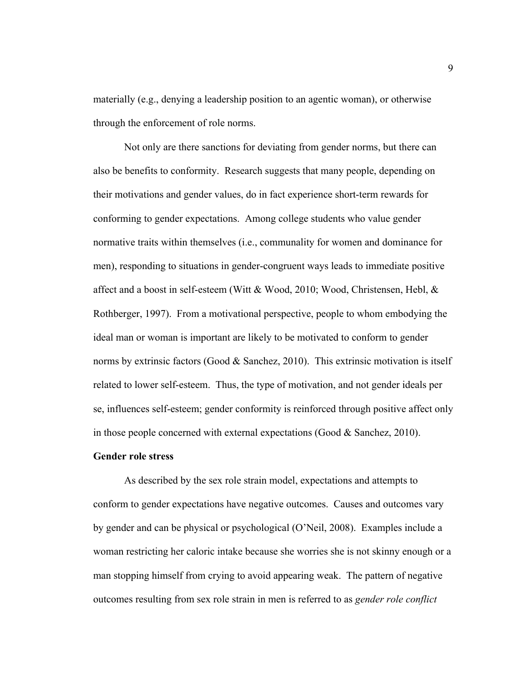materially (e.g., denying a leadership position to an agentic woman), or otherwise through the enforcement of role norms.

Not only are there sanctions for deviating from gender norms, but there can also be benefits to conformity. Research suggests that many people, depending on their motivations and gender values, do in fact experience short-term rewards for conforming to gender expectations. Among college students who value gender normative traits within themselves (i.e., communality for women and dominance for men), responding to situations in gender-congruent ways leads to immediate positive affect and a boost in self-esteem (Witt & Wood, 2010; Wood, Christensen, Hebl, & Rothberger, 1997). From a motivational perspective, people to whom embodying the ideal man or woman is important are likely to be motivated to conform to gender norms by extrinsic factors (Good & Sanchez, 2010). This extrinsic motivation is itself related to lower self-esteem. Thus, the type of motivation, and not gender ideals per se, influences self-esteem; gender conformity is reinforced through positive affect only in those people concerned with external expectations (Good  $\&$  Sanchez, 2010).

### **Gender role stress**

As described by the sex role strain model, expectations and attempts to conform to gender expectations have negative outcomes. Causes and outcomes vary by gender and can be physical or psychological (O'Neil, 2008). Examples include a woman restricting her caloric intake because she worries she is not skinny enough or a man stopping himself from crying to avoid appearing weak. The pattern of negative outcomes resulting from sex role strain in men is referred to as *gender role conflict*

9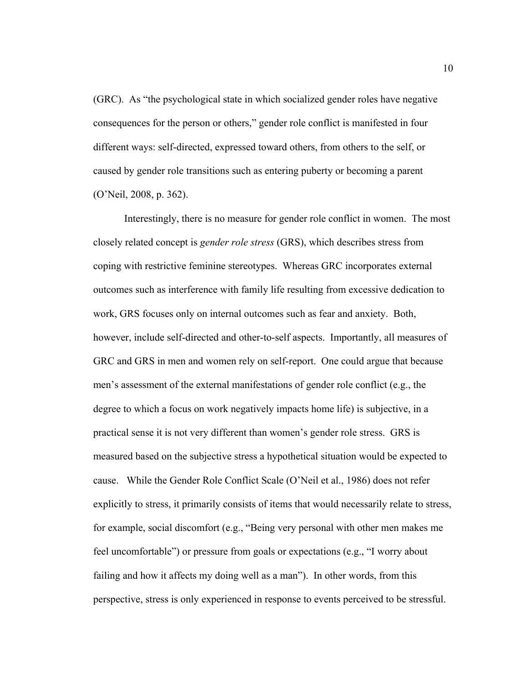(GRC). As "the psychological state in which socialized gender roles have negative consequences for the person or others," gender role conflict is manifested in four different ways: self-directed, expressed toward others, from others to the self, or caused by gender role transitions such as entering puberty or becoming a parent (O'Neil, 2008, p. 362).

Interestingly, there is no measure for gender role conflict in women. The most closely related concept is *gender role stress* (GRS), which describes stress from coping with restrictive feminine stereotypes. Whereas GRC incorporates external outcomes such as interference with family life resulting from excessive dedication to work, GRS focuses only on internal outcomes such as fear and anxiety. Both, however, include self-directed and other-to-self aspects. Importantly, all measures of GRC and GRS in men and women rely on self-report. One could argue that because men's assessment of the external manifestations of gender role conflict (e.g., the degree to which a focus on work negatively impacts home life) is subjective, in a practical sense it is not very different than women's gender role stress. GRS is measured based on the subjective stress a hypothetical situation would be expected to cause. While the Gender Role Conflict Scale (O'Neil et al., 1986) does not refer explicitly to stress, it primarily consists of items that would necessarily relate to stress, for example, social discomfort (e.g., "Being very personal with other men makes me feel uncomfortable") or pressure from goals or expectations (e.g., "I worry about failing and how it affects my doing well as a man"). In other words, from this perspective, stress is only experienced in response to events perceived to be stressful.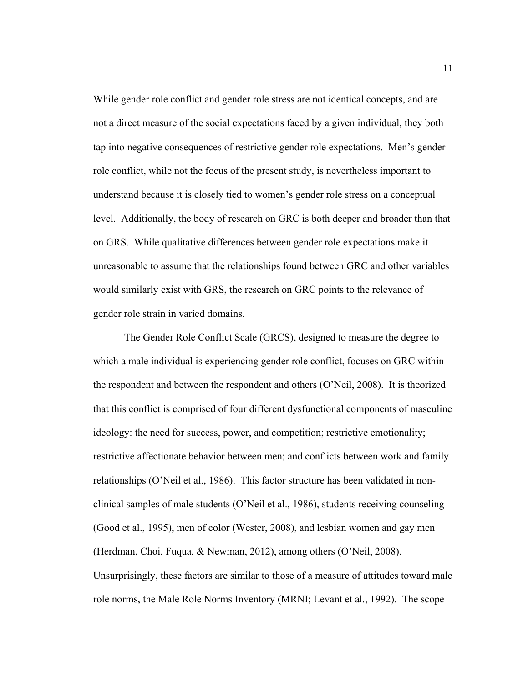While gender role conflict and gender role stress are not identical concepts, and are not a direct measure of the social expectations faced by a given individual, they both tap into negative consequences of restrictive gender role expectations. Men's gender role conflict, while not the focus of the present study, is nevertheless important to understand because it is closely tied to women's gender role stress on a conceptual level. Additionally, the body of research on GRC is both deeper and broader than that on GRS. While qualitative differences between gender role expectations make it unreasonable to assume that the relationships found between GRC and other variables would similarly exist with GRS, the research on GRC points to the relevance of gender role strain in varied domains.

The Gender Role Conflict Scale (GRCS), designed to measure the degree to which a male individual is experiencing gender role conflict, focuses on GRC within the respondent and between the respondent and others (O'Neil, 2008). It is theorized that this conflict is comprised of four different dysfunctional components of masculine ideology: the need for success, power, and competition; restrictive emotionality; restrictive affectionate behavior between men; and conflicts between work and family relationships (O'Neil et al., 1986). This factor structure has been validated in nonclinical samples of male students (O'Neil et al., 1986), students receiving counseling (Good et al., 1995), men of color (Wester, 2008), and lesbian women and gay men (Herdman, Choi, Fuqua, & Newman, 2012), among others (O'Neil, 2008). Unsurprisingly, these factors are similar to those of a measure of attitudes toward male role norms, the Male Role Norms Inventory (MRNI; Levant et al., 1992). The scope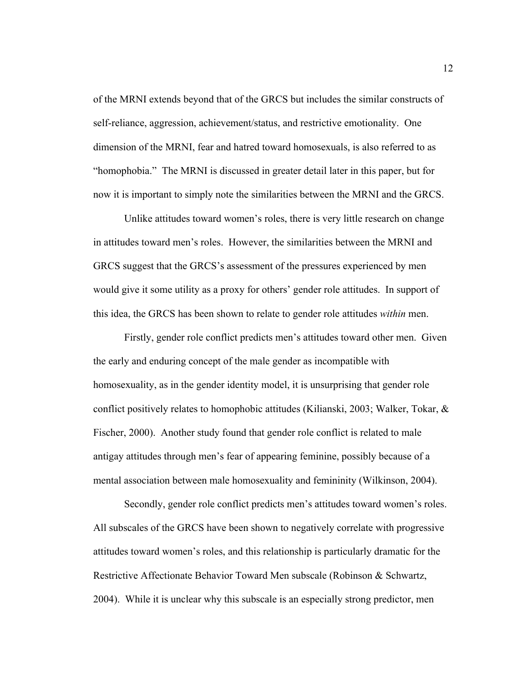of the MRNI extends beyond that of the GRCS but includes the similar constructs of self-reliance, aggression, achievement/status, and restrictive emotionality. One dimension of the MRNI, fear and hatred toward homosexuals, is also referred to as "homophobia." The MRNI is discussed in greater detail later in this paper, but for now it is important to simply note the similarities between the MRNI and the GRCS.

Unlike attitudes toward women's roles, there is very little research on change in attitudes toward men's roles. However, the similarities between the MRNI and GRCS suggest that the GRCS's assessment of the pressures experienced by men would give it some utility as a proxy for others' gender role attitudes. In support of this idea, the GRCS has been shown to relate to gender role attitudes *within* men.

Firstly, gender role conflict predicts men's attitudes toward other men. Given the early and enduring concept of the male gender as incompatible with homosexuality, as in the gender identity model, it is unsurprising that gender role conflict positively relates to homophobic attitudes (Kilianski, 2003; Walker, Tokar, & Fischer, 2000). Another study found that gender role conflict is related to male antigay attitudes through men's fear of appearing feminine, possibly because of a mental association between male homosexuality and femininity (Wilkinson, 2004).

Secondly, gender role conflict predicts men's attitudes toward women's roles. All subscales of the GRCS have been shown to negatively correlate with progressive attitudes toward women's roles, and this relationship is particularly dramatic for the Restrictive Affectionate Behavior Toward Men subscale (Robinson & Schwartz, 2004). While it is unclear why this subscale is an especially strong predictor, men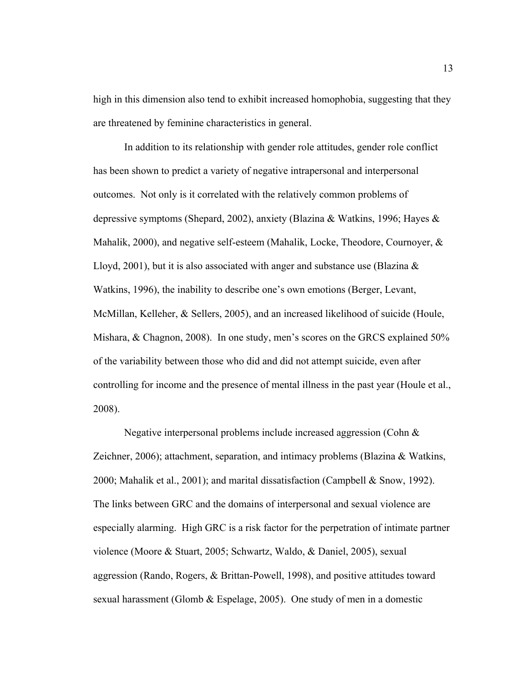high in this dimension also tend to exhibit increased homophobia, suggesting that they are threatened by feminine characteristics in general.

In addition to its relationship with gender role attitudes, gender role conflict has been shown to predict a variety of negative intrapersonal and interpersonal outcomes. Not only is it correlated with the relatively common problems of depressive symptoms (Shepard, 2002), anxiety (Blazina & Watkins, 1996; Hayes & Mahalik, 2000), and negative self-esteem (Mahalik, Locke, Theodore, Cournoyer, & Lloyd, 2001), but it is also associated with anger and substance use (Blazina  $\&$ Watkins, 1996), the inability to describe one's own emotions (Berger, Levant, McMillan, Kelleher, & Sellers, 2005), and an increased likelihood of suicide (Houle, Mishara, & Chagnon, 2008). In one study, men's scores on the GRCS explained 50% of the variability between those who did and did not attempt suicide, even after controlling for income and the presence of mental illness in the past year (Houle et al., 2008).

Negative interpersonal problems include increased aggression (Cohn & Zeichner, 2006); attachment, separation, and intimacy problems (Blazina  $\&$  Watkins, 2000; Mahalik et al., 2001); and marital dissatisfaction (Campbell  $\&$  Snow, 1992). The links between GRC and the domains of interpersonal and sexual violence are especially alarming. High GRC is a risk factor for the perpetration of intimate partner violence (Moore & Stuart, 2005; Schwartz, Waldo, & Daniel, 2005), sexual aggression (Rando, Rogers, & Brittan-Powell, 1998), and positive attitudes toward sexual harassment (Glomb & Espelage, 2005). One study of men in a domestic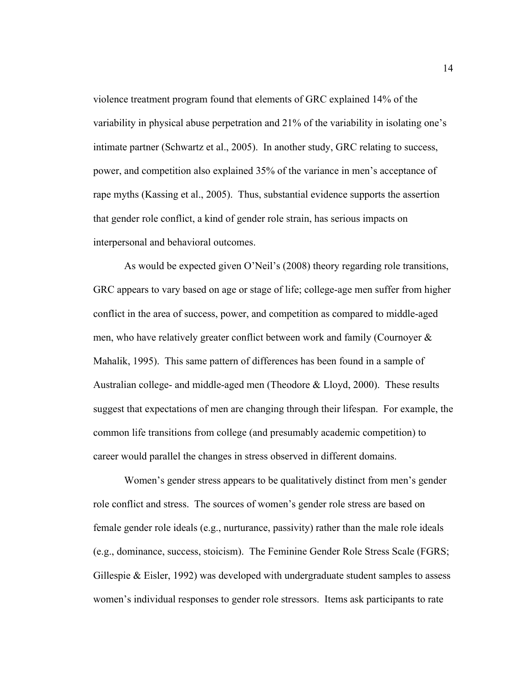violence treatment program found that elements of GRC explained 14% of the variability in physical abuse perpetration and 21% of the variability in isolating one's intimate partner (Schwartz et al., 2005). In another study, GRC relating to success, power, and competition also explained 35% of the variance in men's acceptance of rape myths (Kassing et al., 2005). Thus, substantial evidence supports the assertion that gender role conflict, a kind of gender role strain, has serious impacts on interpersonal and behavioral outcomes.

As would be expected given O'Neil's (2008) theory regarding role transitions, GRC appears to vary based on age or stage of life; college-age men suffer from higher conflict in the area of success, power, and competition as compared to middle-aged men, who have relatively greater conflict between work and family (Cournoyer & Mahalik, 1995). This same pattern of differences has been found in a sample of Australian college- and middle-aged men (Theodore & Lloyd, 2000). These results suggest that expectations of men are changing through their lifespan. For example, the common life transitions from college (and presumably academic competition) to career would parallel the changes in stress observed in different domains.

Women's gender stress appears to be qualitatively distinct from men's gender role conflict and stress. The sources of women's gender role stress are based on female gender role ideals (e.g., nurturance, passivity) rather than the male role ideals (e.g., dominance, success, stoicism). The Feminine Gender Role Stress Scale (FGRS; Gillespie  $\&$  Eisler, 1992) was developed with undergraduate student samples to assess women's individual responses to gender role stressors. Items ask participants to rate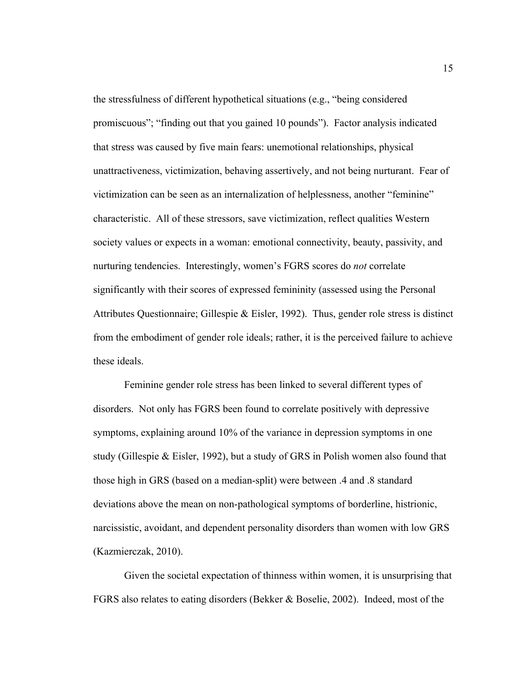the stressfulness of different hypothetical situations (e.g., "being considered promiscuous"; "finding out that you gained 10 pounds"). Factor analysis indicated that stress was caused by five main fears: unemotional relationships, physical unattractiveness, victimization, behaving assertively, and not being nurturant. Fear of victimization can be seen as an internalization of helplessness, another "feminine" characteristic. All of these stressors, save victimization, reflect qualities Western society values or expects in a woman: emotional connectivity, beauty, passivity, and nurturing tendencies. Interestingly, women's FGRS scores do *not* correlate significantly with their scores of expressed femininity (assessed using the Personal Attributes Questionnaire; Gillespie & Eisler, 1992). Thus, gender role stress is distinct from the embodiment of gender role ideals; rather, it is the perceived failure to achieve these ideals.

Feminine gender role stress has been linked to several different types of disorders. Not only has FGRS been found to correlate positively with depressive symptoms, explaining around 10% of the variance in depression symptoms in one study (Gillespie & Eisler, 1992), but a study of GRS in Polish women also found that those high in GRS (based on a median-split) were between .4 and .8 standard deviations above the mean on non-pathological symptoms of borderline, histrionic, narcissistic, avoidant, and dependent personality disorders than women with low GRS (Kazmierczak, 2010).

Given the societal expectation of thinness within women, it is unsurprising that FGRS also relates to eating disorders (Bekker & Boselie, 2002). Indeed, most of the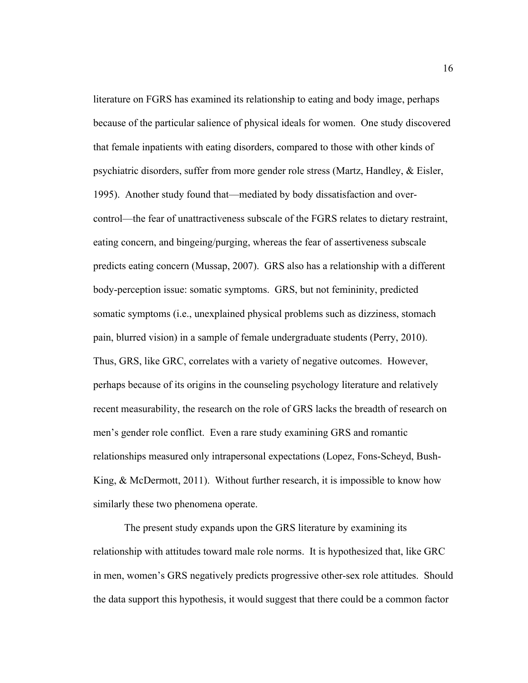literature on FGRS has examined its relationship to eating and body image, perhaps because of the particular salience of physical ideals for women. One study discovered that female inpatients with eating disorders, compared to those with other kinds of psychiatric disorders, suffer from more gender role stress (Martz, Handley, & Eisler, 1995). Another study found that—mediated by body dissatisfaction and overcontrol—the fear of unattractiveness subscale of the FGRS relates to dietary restraint, eating concern, and bingeing/purging, whereas the fear of assertiveness subscale predicts eating concern (Mussap, 2007). GRS also has a relationship with a different body-perception issue: somatic symptoms. GRS, but not femininity, predicted somatic symptoms (i.e., unexplained physical problems such as dizziness, stomach pain, blurred vision) in a sample of female undergraduate students (Perry, 2010). Thus, GRS, like GRC, correlates with a variety of negative outcomes. However, perhaps because of its origins in the counseling psychology literature and relatively recent measurability, the research on the role of GRS lacks the breadth of research on men's gender role conflict. Even a rare study examining GRS and romantic relationships measured only intrapersonal expectations (Lopez, Fons-Scheyd, Bush-King,  $\&$  McDermott, 2011). Without further research, it is impossible to know how similarly these two phenomena operate.

The present study expands upon the GRS literature by examining its relationship with attitudes toward male role norms. It is hypothesized that, like GRC in men, women's GRS negatively predicts progressive other-sex role attitudes. Should the data support this hypothesis, it would suggest that there could be a common factor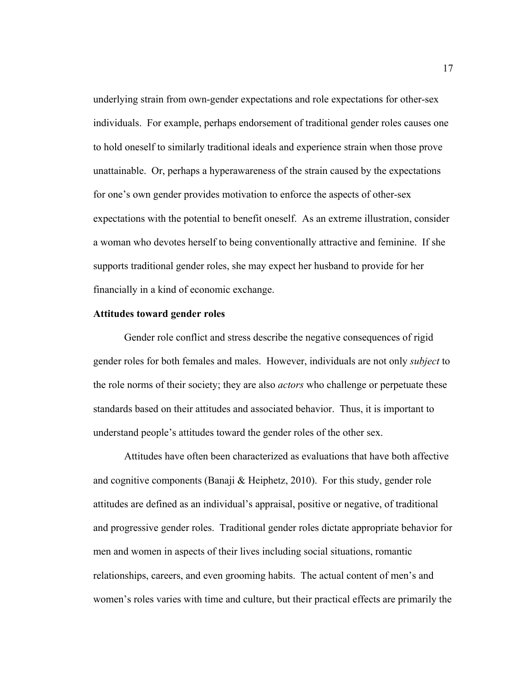underlying strain from own-gender expectations and role expectations for other-sex individuals. For example, perhaps endorsement of traditional gender roles causes one to hold oneself to similarly traditional ideals and experience strain when those prove unattainable. Or, perhaps a hyperawareness of the strain caused by the expectations for one's own gender provides motivation to enforce the aspects of other-sex expectations with the potential to benefit oneself. As an extreme illustration, consider a woman who devotes herself to being conventionally attractive and feminine. If she supports traditional gender roles, she may expect her husband to provide for her financially in a kind of economic exchange.

### **Attitudes toward gender roles**

Gender role conflict and stress describe the negative consequences of rigid gender roles for both females and males. However, individuals are not only *subject* to the role norms of their society; they are also *actors* who challenge or perpetuate these standards based on their attitudes and associated behavior. Thus, it is important to understand people's attitudes toward the gender roles of the other sex.

Attitudes have often been characterized as evaluations that have both affective and cognitive components (Banaji & Heiphetz, 2010). For this study, gender role attitudes are defined as an individual's appraisal, positive or negative, of traditional and progressive gender roles. Traditional gender roles dictate appropriate behavior for men and women in aspects of their lives including social situations, romantic relationships, careers, and even grooming habits. The actual content of men's and women's roles varies with time and culture, but their practical effects are primarily the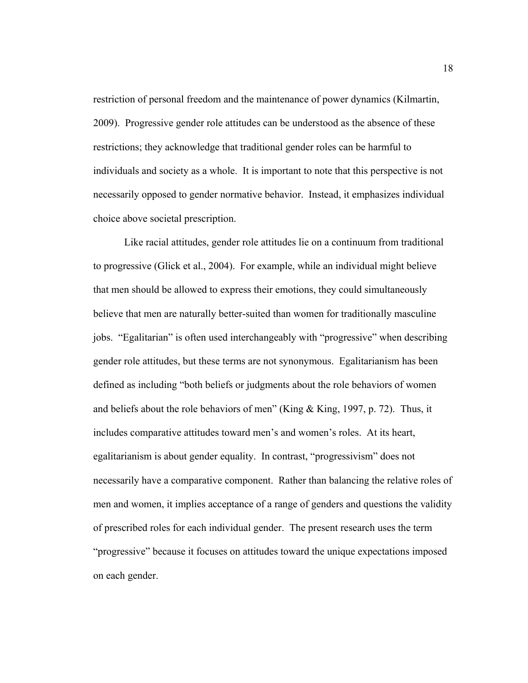restriction of personal freedom and the maintenance of power dynamics (Kilmartin, 2009). Progressive gender role attitudes can be understood as the absence of these restrictions; they acknowledge that traditional gender roles can be harmful to individuals and society as a whole. It is important to note that this perspective is not necessarily opposed to gender normative behavior. Instead, it emphasizes individual choice above societal prescription.

Like racial attitudes, gender role attitudes lie on a continuum from traditional to progressive (Glick et al., 2004). For example, while an individual might believe that men should be allowed to express their emotions, they could simultaneously believe that men are naturally better-suited than women for traditionally masculine jobs. "Egalitarian" is often used interchangeably with "progressive" when describing gender role attitudes, but these terms are not synonymous. Egalitarianism has been defined as including "both beliefs or judgments about the role behaviors of women and beliefs about the role behaviors of men" (King & King, 1997, p. 72). Thus, it includes comparative attitudes toward men's and women's roles. At its heart, egalitarianism is about gender equality. In contrast, "progressivism" does not necessarily have a comparative component. Rather than balancing the relative roles of men and women, it implies acceptance of a range of genders and questions the validity of prescribed roles for each individual gender. The present research uses the term "progressive" because it focuses on attitudes toward the unique expectations imposed on each gender.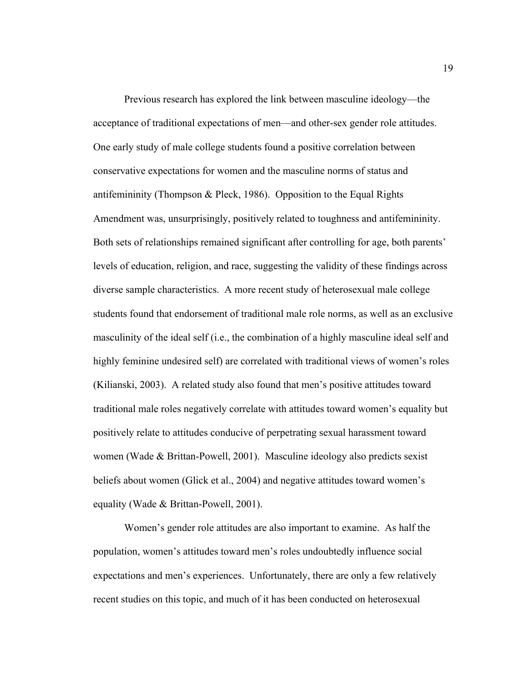Previous research has explored the link between masculine ideology—the acceptance of traditional expectations of men—and other-sex gender role attitudes. One early study of male college students found a positive correlation between conservative expectations for women and the masculine norms of status and antifemininity (Thompson & Pleck, 1986). Opposition to the Equal Rights Amendment was, unsurprisingly, positively related to toughness and antifemininity. Both sets of relationships remained significant after controlling for age, both parents' levels of education, religion, and race, suggesting the validity of these findings across diverse sample characteristics. A more recent study of heterosexual male college students found that endorsement of traditional male role norms, as well as an exclusive masculinity of the ideal self (i.e., the combination of a highly masculine ideal self and highly feminine undesired self) are correlated with traditional views of women's roles (Kilianski, 2003). A related study also found that men's positive attitudes toward traditional male roles negatively correlate with attitudes toward women's equality but positively relate to attitudes conducive of perpetrating sexual harassment toward women (Wade & Brittan-Powell, 2001). Masculine ideology also predicts sexist beliefs about women (Glick et al., 2004) and negative attitudes toward women's equality (Wade & Brittan-Powell, 2001).

Women's gender role attitudes are also important to examine. As half the population, women's attitudes toward men's roles undoubtedly influence social expectations and men's experiences. Unfortunately, there are only a few relatively recent studies on this topic, and much of it has been conducted on heterosexual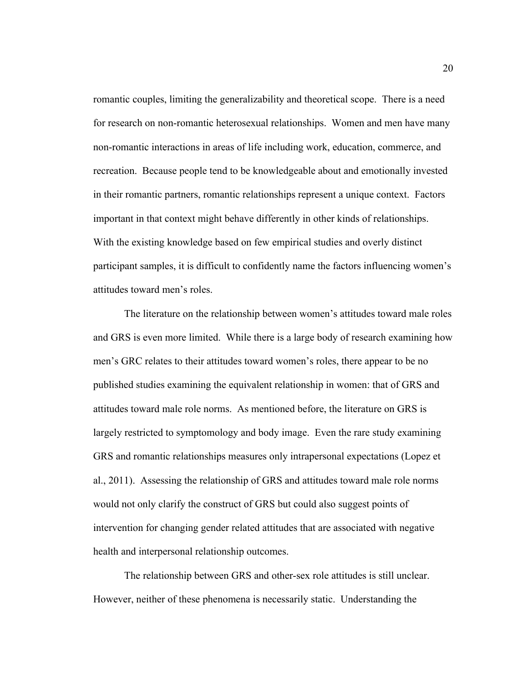romantic couples, limiting the generalizability and theoretical scope. There is a need for research on non-romantic heterosexual relationships. Women and men have many non-romantic interactions in areas of life including work, education, commerce, and recreation. Because people tend to be knowledgeable about and emotionally invested in their romantic partners, romantic relationships represent a unique context. Factors important in that context might behave differently in other kinds of relationships. With the existing knowledge based on few empirical studies and overly distinct participant samples, it is difficult to confidently name the factors influencing women's attitudes toward men's roles.

The literature on the relationship between women's attitudes toward male roles and GRS is even more limited. While there is a large body of research examining how men's GRC relates to their attitudes toward women's roles, there appear to be no published studies examining the equivalent relationship in women: that of GRS and attitudes toward male role norms. As mentioned before, the literature on GRS is largely restricted to symptomology and body image. Even the rare study examining GRS and romantic relationships measures only intrapersonal expectations (Lopez et al., 2011). Assessing the relationship of GRS and attitudes toward male role norms would not only clarify the construct of GRS but could also suggest points of intervention for changing gender related attitudes that are associated with negative health and interpersonal relationship outcomes.

The relationship between GRS and other-sex role attitudes is still unclear. However, neither of these phenomena is necessarily static. Understanding the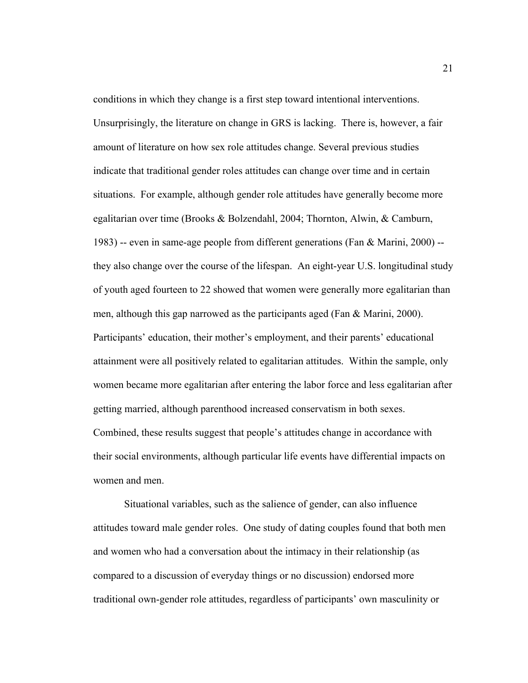conditions in which they change is a first step toward intentional interventions. Unsurprisingly, the literature on change in GRS is lacking. There is, however, a fair amount of literature on how sex role attitudes change. Several previous studies indicate that traditional gender roles attitudes can change over time and in certain situations. For example, although gender role attitudes have generally become more egalitarian over time (Brooks & Bolzendahl, 2004; Thornton, Alwin, & Camburn, 1983) -- even in same-age people from different generations (Fan & Marini, 2000) - they also change over the course of the lifespan. An eight-year U.S. longitudinal study of youth aged fourteen to 22 showed that women were generally more egalitarian than men, although this gap narrowed as the participants aged (Fan & Marini, 2000). Participants' education, their mother's employment, and their parents' educational attainment were all positively related to egalitarian attitudes. Within the sample, only women became more egalitarian after entering the labor force and less egalitarian after getting married, although parenthood increased conservatism in both sexes. Combined, these results suggest that people's attitudes change in accordance with their social environments, although particular life events have differential impacts on women and men.

Situational variables, such as the salience of gender, can also influence attitudes toward male gender roles. One study of dating couples found that both men and women who had a conversation about the intimacy in their relationship (as compared to a discussion of everyday things or no discussion) endorsed more traditional own-gender role attitudes, regardless of participants' own masculinity or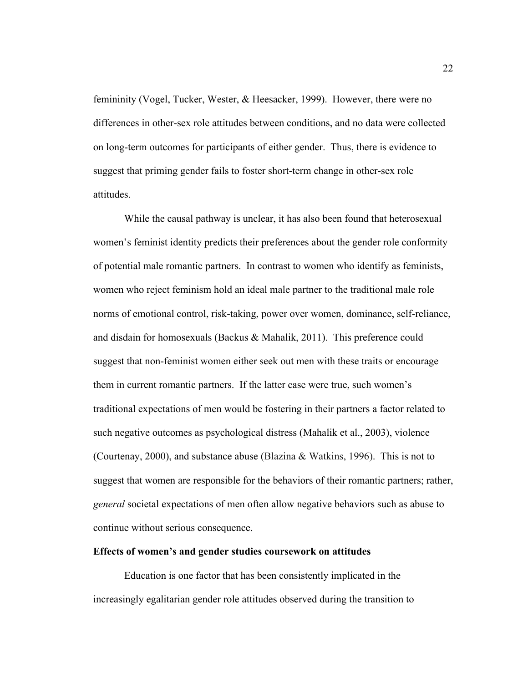femininity (Vogel, Tucker, Wester, & Heesacker, 1999). However, there were no differences in other-sex role attitudes between conditions, and no data were collected on long-term outcomes for participants of either gender. Thus, there is evidence to suggest that priming gender fails to foster short-term change in other-sex role attitudes.

While the causal pathway is unclear, it has also been found that heterosexual women's feminist identity predicts their preferences about the gender role conformity of potential male romantic partners. In contrast to women who identify as feminists, women who reject feminism hold an ideal male partner to the traditional male role norms of emotional control, risk-taking, power over women, dominance, self-reliance, and disdain for homosexuals (Backus & Mahalik, 2011). This preference could suggest that non-feminist women either seek out men with these traits or encourage them in current romantic partners. If the latter case were true, such women's traditional expectations of men would be fostering in their partners a factor related to such negative outcomes as psychological distress (Mahalik et al., 2003), violence (Courtenay, 2000), and substance abuse (Blazina & Watkins, 1996). This is not to suggest that women are responsible for the behaviors of their romantic partners; rather, *general* societal expectations of men often allow negative behaviors such as abuse to continue without serious consequence.

### **Effects of women's and gender studies coursework on attitudes**

Education is one factor that has been consistently implicated in the increasingly egalitarian gender role attitudes observed during the transition to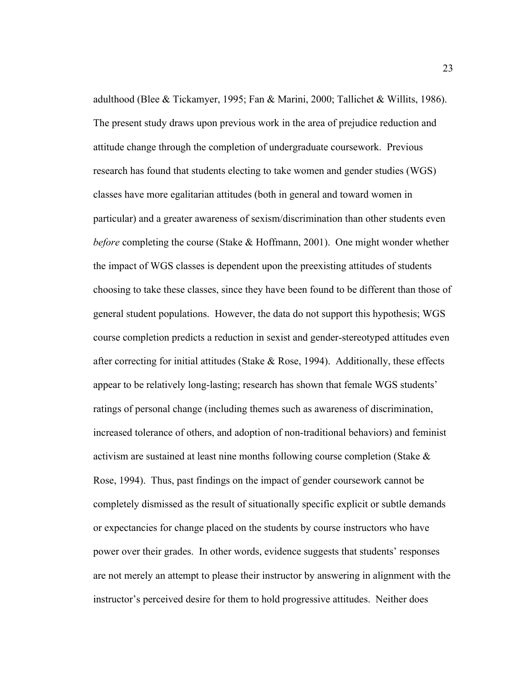adulthood (Blee & Tickamyer, 1995; Fan & Marini, 2000; Tallichet & Willits, 1986). The present study draws upon previous work in the area of prejudice reduction and attitude change through the completion of undergraduate coursework. Previous research has found that students electing to take women and gender studies (WGS) classes have more egalitarian attitudes (both in general and toward women in particular) and a greater awareness of sexism/discrimination than other students even *before* completing the course (Stake & Hoffmann, 2001). One might wonder whether the impact of WGS classes is dependent upon the preexisting attitudes of students choosing to take these classes, since they have been found to be different than those of general student populations. However, the data do not support this hypothesis; WGS course completion predicts a reduction in sexist and gender-stereotyped attitudes even after correcting for initial attitudes (Stake  $& Rose, 1994$ ). Additionally, these effects appear to be relatively long-lasting; research has shown that female WGS students' ratings of personal change (including themes such as awareness of discrimination, increased tolerance of others, and adoption of non-traditional behaviors) and feminist activism are sustained at least nine months following course completion (Stake & Rose, 1994). Thus, past findings on the impact of gender coursework cannot be completely dismissed as the result of situationally specific explicit or subtle demands or expectancies for change placed on the students by course instructors who have power over their grades. In other words, evidence suggests that students' responses are not merely an attempt to please their instructor by answering in alignment with the instructor's perceived desire for them to hold progressive attitudes. Neither does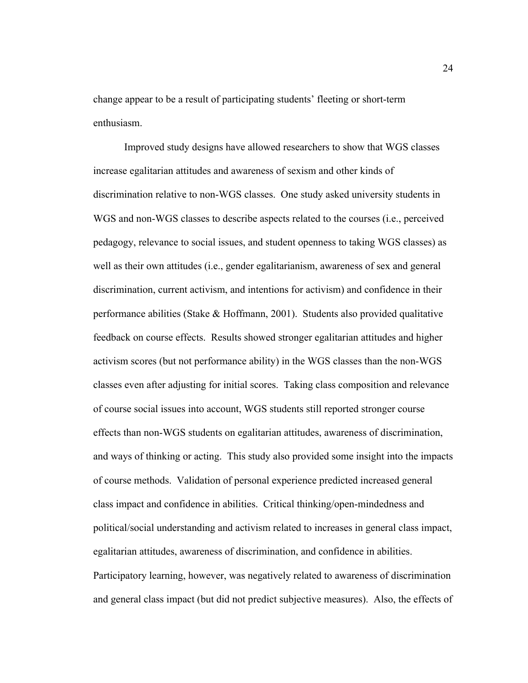change appear to be a result of participating students' fleeting or short-term enthusiasm.

Improved study designs have allowed researchers to show that WGS classes increase egalitarian attitudes and awareness of sexism and other kinds of discrimination relative to non-WGS classes. One study asked university students in WGS and non-WGS classes to describe aspects related to the courses (i.e., perceived pedagogy, relevance to social issues, and student openness to taking WGS classes) as well as their own attitudes (i.e., gender egalitarianism, awareness of sex and general discrimination, current activism, and intentions for activism) and confidence in their performance abilities (Stake  $\&$  Hoffmann, 2001). Students also provided qualitative feedback on course effects. Results showed stronger egalitarian attitudes and higher activism scores (but not performance ability) in the WGS classes than the non-WGS classes even after adjusting for initial scores. Taking class composition and relevance of course social issues into account, WGS students still reported stronger course effects than non-WGS students on egalitarian attitudes, awareness of discrimination, and ways of thinking or acting. This study also provided some insight into the impacts of course methods. Validation of personal experience predicted increased general class impact and confidence in abilities. Critical thinking/open-mindedness and political/social understanding and activism related to increases in general class impact, egalitarian attitudes, awareness of discrimination, and confidence in abilities. Participatory learning, however, was negatively related to awareness of discrimination and general class impact (but did not predict subjective measures). Also, the effects of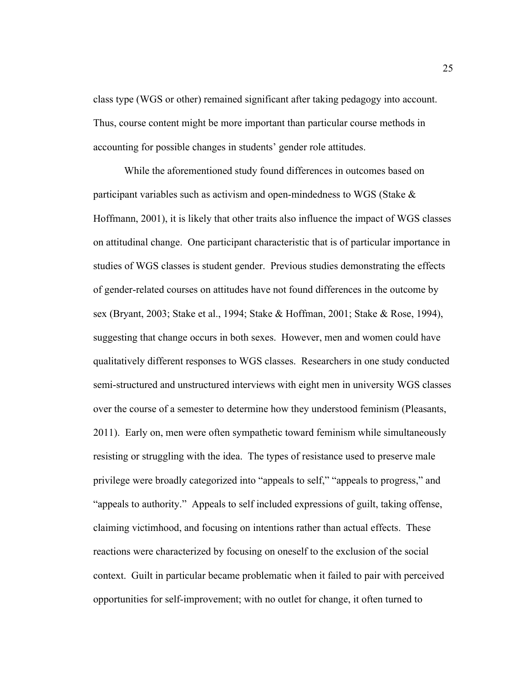class type (WGS or other) remained significant after taking pedagogy into account. Thus, course content might be more important than particular course methods in accounting for possible changes in students' gender role attitudes.

While the aforementioned study found differences in outcomes based on participant variables such as activism and open-mindedness to WGS (Stake & Hoffmann, 2001), it is likely that other traits also influence the impact of WGS classes on attitudinal change. One participant characteristic that is of particular importance in studies of WGS classes is student gender. Previous studies demonstrating the effects of gender-related courses on attitudes have not found differences in the outcome by sex (Bryant, 2003; Stake et al., 1994; Stake & Hoffman, 2001; Stake & Rose, 1994), suggesting that change occurs in both sexes. However, men and women could have qualitatively different responses to WGS classes. Researchers in one study conducted semi-structured and unstructured interviews with eight men in university WGS classes over the course of a semester to determine how they understood feminism (Pleasants, 2011). Early on, men were often sympathetic toward feminism while simultaneously resisting or struggling with the idea. The types of resistance used to preserve male privilege were broadly categorized into "appeals to self," "appeals to progress," and "appeals to authority." Appeals to self included expressions of guilt, taking offense, claiming victimhood, and focusing on intentions rather than actual effects. These reactions were characterized by focusing on oneself to the exclusion of the social context. Guilt in particular became problematic when it failed to pair with perceived opportunities for self-improvement; with no outlet for change, it often turned to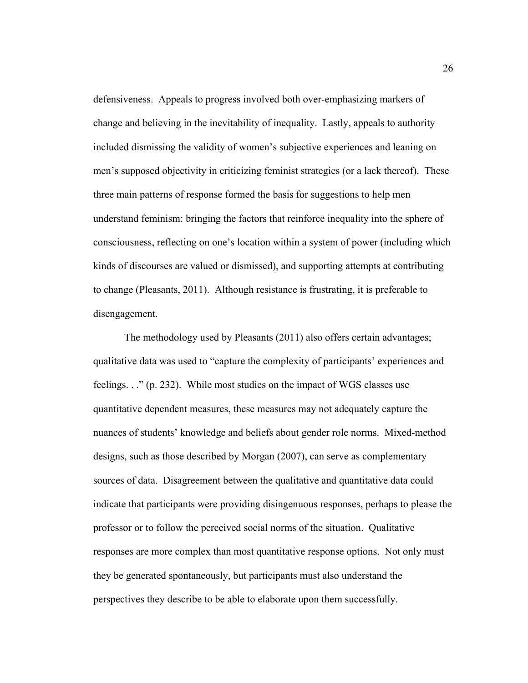defensiveness. Appeals to progress involved both over-emphasizing markers of change and believing in the inevitability of inequality. Lastly, appeals to authority included dismissing the validity of women's subjective experiences and leaning on men's supposed objectivity in criticizing feminist strategies (or a lack thereof). These three main patterns of response formed the basis for suggestions to help men understand feminism: bringing the factors that reinforce inequality into the sphere of consciousness, reflecting on one's location within a system of power (including which kinds of discourses are valued or dismissed), and supporting attempts at contributing to change (Pleasants, 2011). Although resistance is frustrating, it is preferable to disengagement.

The methodology used by Pleasants (2011) also offers certain advantages; qualitative data was used to "capture the complexity of participants' experiences and feelings. . ." (p. 232). While most studies on the impact of WGS classes use quantitative dependent measures, these measures may not adequately capture the nuances of students' knowledge and beliefs about gender role norms. Mixed-method designs, such as those described by Morgan (2007), can serve as complementary sources of data. Disagreement between the qualitative and quantitative data could indicate that participants were providing disingenuous responses, perhaps to please the professor or to follow the perceived social norms of the situation. Qualitative responses are more complex than most quantitative response options. Not only must they be generated spontaneously, but participants must also understand the perspectives they describe to be able to elaborate upon them successfully.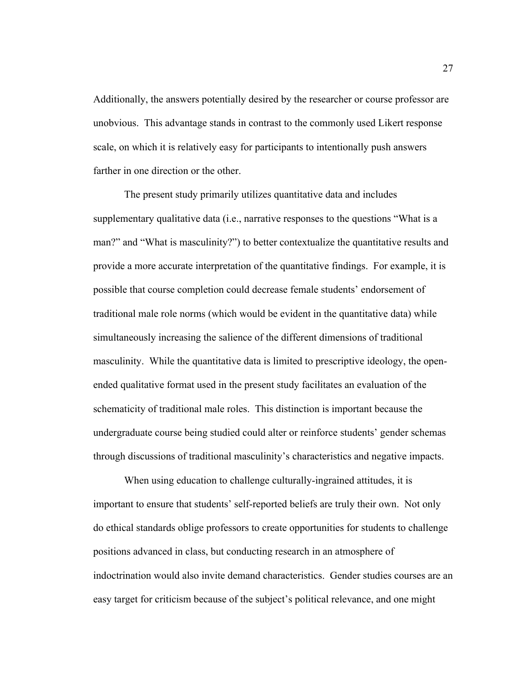Additionally, the answers potentially desired by the researcher or course professor are unobvious. This advantage stands in contrast to the commonly used Likert response scale, on which it is relatively easy for participants to intentionally push answers farther in one direction or the other.

The present study primarily utilizes quantitative data and includes supplementary qualitative data (i.e., narrative responses to the questions "What is a man?" and "What is masculinity?") to better contextualize the quantitative results and provide a more accurate interpretation of the quantitative findings. For example, it is possible that course completion could decrease female students' endorsement of traditional male role norms (which would be evident in the quantitative data) while simultaneously increasing the salience of the different dimensions of traditional masculinity. While the quantitative data is limited to prescriptive ideology, the openended qualitative format used in the present study facilitates an evaluation of the schematicity of traditional male roles. This distinction is important because the undergraduate course being studied could alter or reinforce students' gender schemas through discussions of traditional masculinity's characteristics and negative impacts.

When using education to challenge culturally-ingrained attitudes, it is important to ensure that students' self-reported beliefs are truly their own. Not only do ethical standards oblige professors to create opportunities for students to challenge positions advanced in class, but conducting research in an atmosphere of indoctrination would also invite demand characteristics. Gender studies courses are an easy target for criticism because of the subject's political relevance, and one might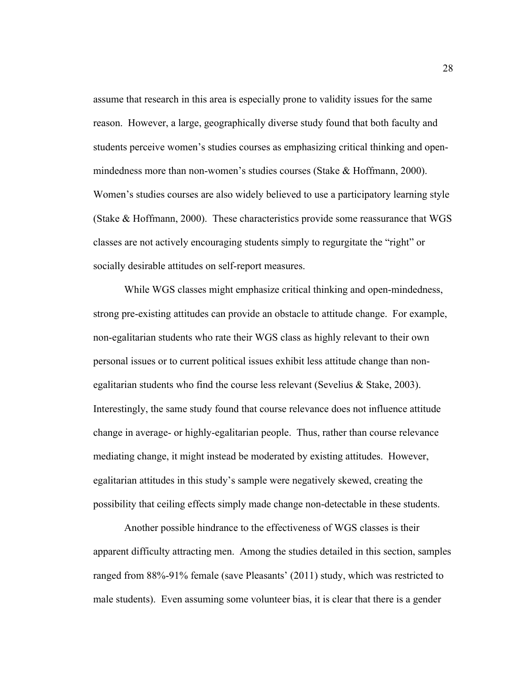assume that research in this area is especially prone to validity issues for the same reason. However, a large, geographically diverse study found that both faculty and students perceive women's studies courses as emphasizing critical thinking and openmindedness more than non-women's studies courses (Stake & Hoffmann, 2000). Women's studies courses are also widely believed to use a participatory learning style (Stake & Hoffmann, 2000). These characteristics provide some reassurance that WGS classes are not actively encouraging students simply to regurgitate the "right" or socially desirable attitudes on self-report measures.

While WGS classes might emphasize critical thinking and open-mindedness, strong pre-existing attitudes can provide an obstacle to attitude change. For example, non-egalitarian students who rate their WGS class as highly relevant to their own personal issues or to current political issues exhibit less attitude change than nonegalitarian students who find the course less relevant (Sevelius & Stake, 2003). Interestingly, the same study found that course relevance does not influence attitude change in average- or highly-egalitarian people. Thus, rather than course relevance mediating change, it might instead be moderated by existing attitudes. However, egalitarian attitudes in this study's sample were negatively skewed, creating the possibility that ceiling effects simply made change non-detectable in these students.

Another possible hindrance to the effectiveness of WGS classes is their apparent difficulty attracting men. Among the studies detailed in this section, samples ranged from 88%-91% female (save Pleasants' (2011) study, which was restricted to male students). Even assuming some volunteer bias, it is clear that there is a gender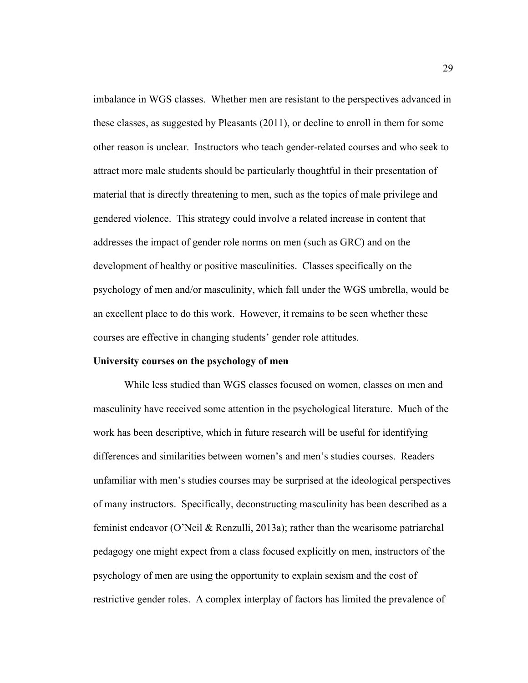imbalance in WGS classes. Whether men are resistant to the perspectives advanced in these classes, as suggested by Pleasants (2011), or decline to enroll in them for some other reason is unclear. Instructors who teach gender-related courses and who seek to attract more male students should be particularly thoughtful in their presentation of material that is directly threatening to men, such as the topics of male privilege and gendered violence. This strategy could involve a related increase in content that addresses the impact of gender role norms on men (such as GRC) and on the development of healthy or positive masculinities. Classes specifically on the psychology of men and/or masculinity, which fall under the WGS umbrella, would be an excellent place to do this work. However, it remains to be seen whether these courses are effective in changing students' gender role attitudes.

#### **University courses on the psychology of men**

While less studied than WGS classes focused on women, classes on men and masculinity have received some attention in the psychological literature. Much of the work has been descriptive, which in future research will be useful for identifying differences and similarities between women's and men's studies courses. Readers unfamiliar with men's studies courses may be surprised at the ideological perspectives of many instructors. Specifically, deconstructing masculinity has been described as a feminist endeavor (O'Neil & Renzulli, 2013a); rather than the wearisome patriarchal pedagogy one might expect from a class focused explicitly on men, instructors of the psychology of men are using the opportunity to explain sexism and the cost of restrictive gender roles. A complex interplay of factors has limited the prevalence of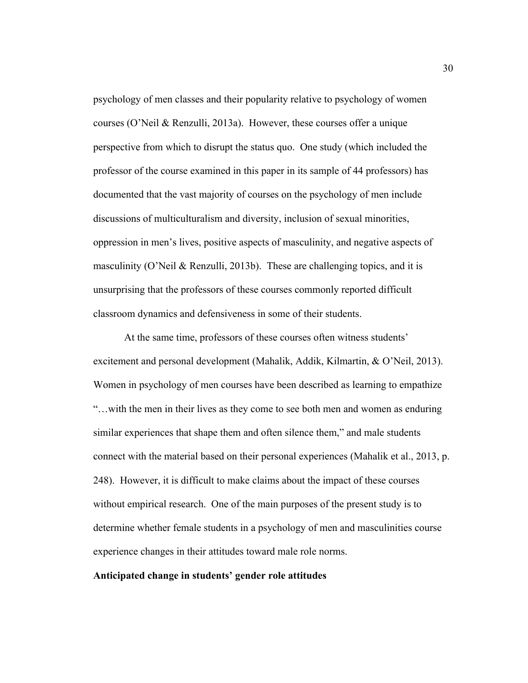psychology of men classes and their popularity relative to psychology of women courses (O'Neil & Renzulli, 2013a). However, these courses offer a unique perspective from which to disrupt the status quo. One study (which included the professor of the course examined in this paper in its sample of 44 professors) has documented that the vast majority of courses on the psychology of men include discussions of multiculturalism and diversity, inclusion of sexual minorities, oppression in men's lives, positive aspects of masculinity, and negative aspects of masculinity (O'Neil & Renzulli, 2013b). These are challenging topics, and it is unsurprising that the professors of these courses commonly reported difficult classroom dynamics and defensiveness in some of their students.

At the same time, professors of these courses often witness students' excitement and personal development (Mahalik, Addik, Kilmartin, & O'Neil, 2013). Women in psychology of men courses have been described as learning to empathize "…with the men in their lives as they come to see both men and women as enduring similar experiences that shape them and often silence them," and male students connect with the material based on their personal experiences (Mahalik et al., 2013, p. 248). However, it is difficult to make claims about the impact of these courses without empirical research. One of the main purposes of the present study is to determine whether female students in a psychology of men and masculinities course experience changes in their attitudes toward male role norms.

### **Anticipated change in students' gender role attitudes**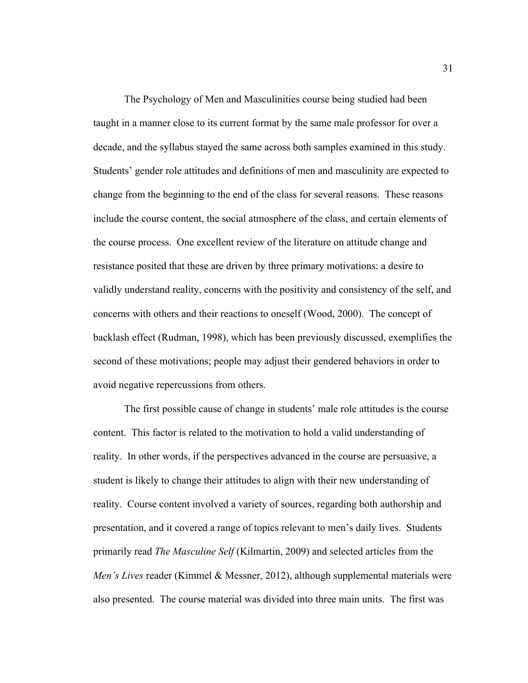The Psychology of Men and Masculinities course being studied had been taught in a manner close to its current format by the same male professor for over a decade, and the syllabus stayed the same across both samples examined in this study. Students' gender role attitudes and definitions of men and masculinity are expected to change from the beginning to the end of the class for several reasons. These reasons include the course content, the social atmosphere of the class, and certain elements of the course process. One excellent review of the literature on attitude change and resistance posited that these are driven by three primary motivations: a desire to validly understand reality, concerns with the positivity and consistency of the self, and concerns with others and their reactions to oneself (Wood, 2000). The concept of backlash effect (Rudman, 1998), which has been previously discussed, exemplifies the second of these motivations; people may adjust their gendered behaviors in order to avoid negative repercussions from others.

The first possible cause of change in students' male role attitudes is the course content. This factor is related to the motivation to hold a valid understanding of reality. In other words, if the perspectives advanced in the course are persuasive, a student is likely to change their attitudes to align with their new understanding of reality. Course content involved a variety of sources, regarding both authorship and presentation, and it covered a range of topics relevant to men's daily lives. Students primarily read *The Masculine Self* (Kilmartin, 2009) and selected articles from the *Men's Lives* reader (Kimmel & Messner, 2012), although supplemental materials were also presented. The course material was divided into three main units. The first was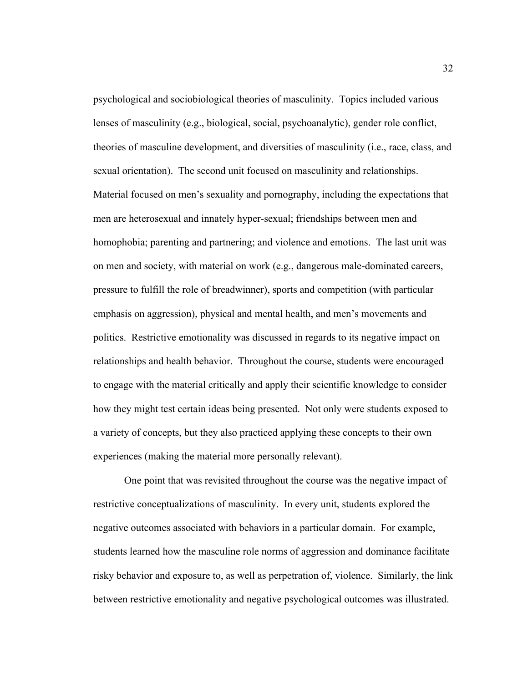psychological and sociobiological theories of masculinity. Topics included various lenses of masculinity (e.g., biological, social, psychoanalytic), gender role conflict, theories of masculine development, and diversities of masculinity (i.e., race, class, and sexual orientation). The second unit focused on masculinity and relationships. Material focused on men's sexuality and pornography, including the expectations that men are heterosexual and innately hyper-sexual; friendships between men and homophobia; parenting and partnering; and violence and emotions. The last unit was on men and society, with material on work (e.g., dangerous male-dominated careers, pressure to fulfill the role of breadwinner), sports and competition (with particular emphasis on aggression), physical and mental health, and men's movements and politics. Restrictive emotionality was discussed in regards to its negative impact on relationships and health behavior. Throughout the course, students were encouraged to engage with the material critically and apply their scientific knowledge to consider how they might test certain ideas being presented. Not only were students exposed to a variety of concepts, but they also practiced applying these concepts to their own experiences (making the material more personally relevant).

One point that was revisited throughout the course was the negative impact of restrictive conceptualizations of masculinity. In every unit, students explored the negative outcomes associated with behaviors in a particular domain. For example, students learned how the masculine role norms of aggression and dominance facilitate risky behavior and exposure to, as well as perpetration of, violence. Similarly, the link between restrictive emotionality and negative psychological outcomes was illustrated.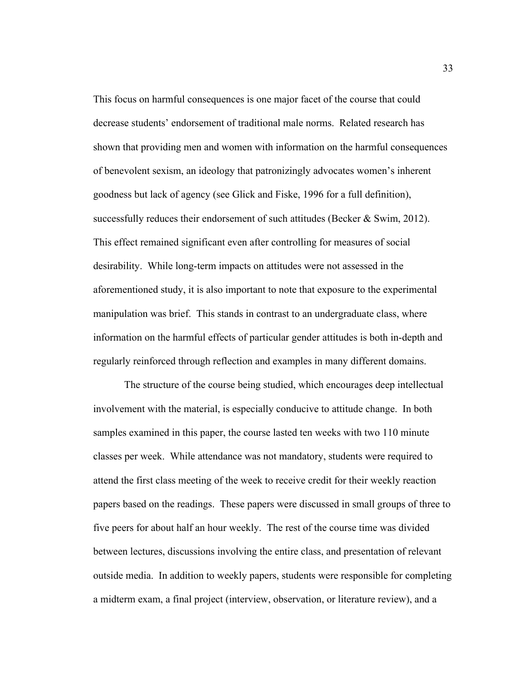This focus on harmful consequences is one major facet of the course that could decrease students' endorsement of traditional male norms. Related research has shown that providing men and women with information on the harmful consequences of benevolent sexism, an ideology that patronizingly advocates women's inherent goodness but lack of agency (see Glick and Fiske, 1996 for a full definition), successfully reduces their endorsement of such attitudes (Becker  $\&$  Swim, 2012). This effect remained significant even after controlling for measures of social desirability. While long-term impacts on attitudes were not assessed in the aforementioned study, it is also important to note that exposure to the experimental manipulation was brief. This stands in contrast to an undergraduate class, where information on the harmful effects of particular gender attitudes is both in-depth and regularly reinforced through reflection and examples in many different domains.

The structure of the course being studied, which encourages deep intellectual involvement with the material, is especially conducive to attitude change. In both samples examined in this paper, the course lasted ten weeks with two 110 minute classes per week. While attendance was not mandatory, students were required to attend the first class meeting of the week to receive credit for their weekly reaction papers based on the readings. These papers were discussed in small groups of three to five peers for about half an hour weekly. The rest of the course time was divided between lectures, discussions involving the entire class, and presentation of relevant outside media. In addition to weekly papers, students were responsible for completing a midterm exam, a final project (interview, observation, or literature review), and a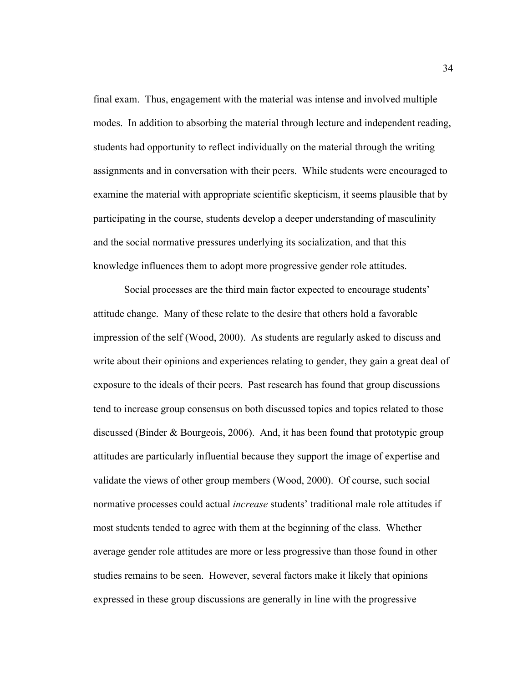final exam. Thus, engagement with the material was intense and involved multiple modes. In addition to absorbing the material through lecture and independent reading, students had opportunity to reflect individually on the material through the writing assignments and in conversation with their peers. While students were encouraged to examine the material with appropriate scientific skepticism, it seems plausible that by participating in the course, students develop a deeper understanding of masculinity and the social normative pressures underlying its socialization, and that this knowledge influences them to adopt more progressive gender role attitudes.

Social processes are the third main factor expected to encourage students' attitude change. Many of these relate to the desire that others hold a favorable impression of the self (Wood, 2000). As students are regularly asked to discuss and write about their opinions and experiences relating to gender, they gain a great deal of exposure to the ideals of their peers. Past research has found that group discussions tend to increase group consensus on both discussed topics and topics related to those discussed (Binder & Bourgeois, 2006). And, it has been found that prototypic group attitudes are particularly influential because they support the image of expertise and validate the views of other group members (Wood, 2000). Of course, such social normative processes could actual *increase* students' traditional male role attitudes if most students tended to agree with them at the beginning of the class. Whether average gender role attitudes are more or less progressive than those found in other studies remains to be seen. However, several factors make it likely that opinions expressed in these group discussions are generally in line with the progressive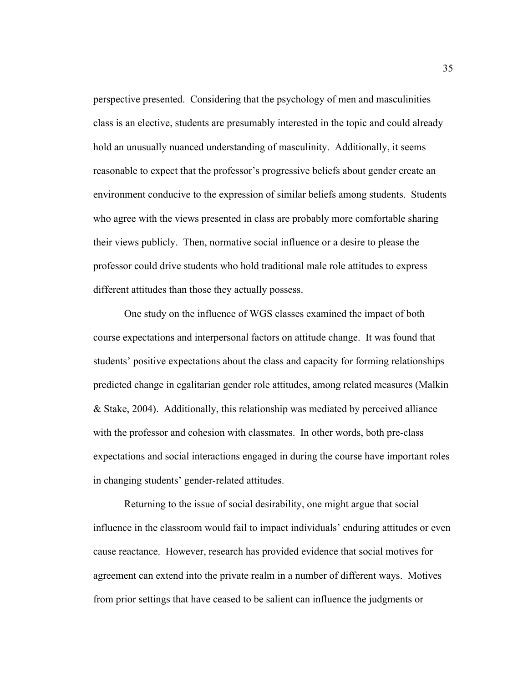perspective presented. Considering that the psychology of men and masculinities class is an elective, students are presumably interested in the topic and could already hold an unusually nuanced understanding of masculinity. Additionally, it seems reasonable to expect that the professor's progressive beliefs about gender create an environment conducive to the expression of similar beliefs among students. Students who agree with the views presented in class are probably more comfortable sharing their views publicly. Then, normative social influence or a desire to please the professor could drive students who hold traditional male role attitudes to express different attitudes than those they actually possess.

One study on the influence of WGS classes examined the impact of both course expectations and interpersonal factors on attitude change. It was found that students' positive expectations about the class and capacity for forming relationships predicted change in egalitarian gender role attitudes, among related measures (Malkin & Stake, 2004). Additionally, this relationship was mediated by perceived alliance with the professor and cohesion with classmates. In other words, both pre-class expectations and social interactions engaged in during the course have important roles in changing students' gender-related attitudes.

Returning to the issue of social desirability, one might argue that social influence in the classroom would fail to impact individuals' enduring attitudes or even cause reactance. However, research has provided evidence that social motives for agreement can extend into the private realm in a number of different ways. Motives from prior settings that have ceased to be salient can influence the judgments or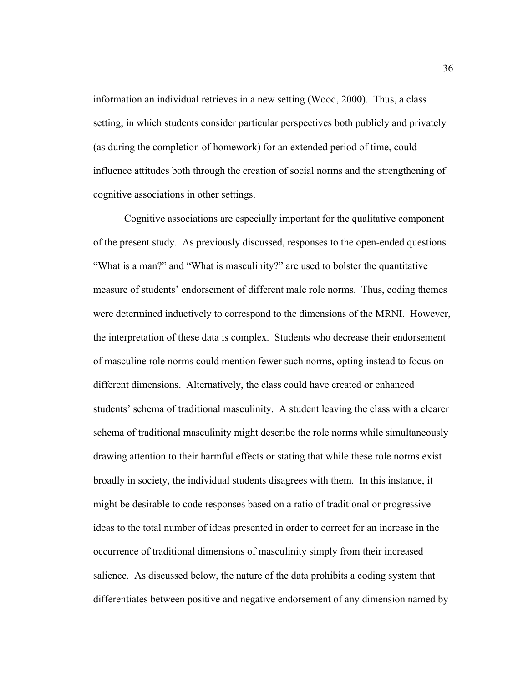information an individual retrieves in a new setting (Wood, 2000). Thus, a class setting, in which students consider particular perspectives both publicly and privately (as during the completion of homework) for an extended period of time, could influence attitudes both through the creation of social norms and the strengthening of cognitive associations in other settings.

Cognitive associations are especially important for the qualitative component of the present study. As previously discussed, responses to the open-ended questions "What is a man?" and "What is masculinity?" are used to bolster the quantitative measure of students' endorsement of different male role norms. Thus, coding themes were determined inductively to correspond to the dimensions of the MRNI. However, the interpretation of these data is complex. Students who decrease their endorsement of masculine role norms could mention fewer such norms, opting instead to focus on different dimensions. Alternatively, the class could have created or enhanced students' schema of traditional masculinity. A student leaving the class with a clearer schema of traditional masculinity might describe the role norms while simultaneously drawing attention to their harmful effects or stating that while these role norms exist broadly in society, the individual students disagrees with them. In this instance, it might be desirable to code responses based on a ratio of traditional or progressive ideas to the total number of ideas presented in order to correct for an increase in the occurrence of traditional dimensions of masculinity simply from their increased salience. As discussed below, the nature of the data prohibits a coding system that differentiates between positive and negative endorsement of any dimension named by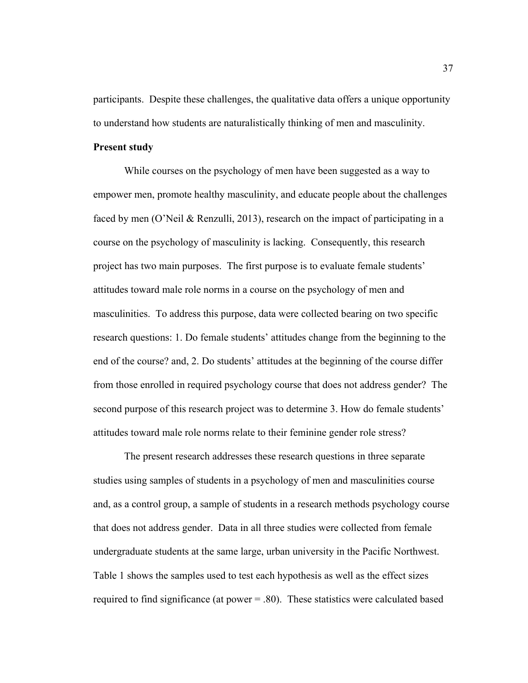participants. Despite these challenges, the qualitative data offers a unique opportunity to understand how students are naturalistically thinking of men and masculinity.

## **Present study**

While courses on the psychology of men have been suggested as a way to empower men, promote healthy masculinity, and educate people about the challenges faced by men (O'Neil & Renzulli, 2013), research on the impact of participating in a course on the psychology of masculinity is lacking. Consequently, this research project has two main purposes. The first purpose is to evaluate female students' attitudes toward male role norms in a course on the psychology of men and masculinities. To address this purpose, data were collected bearing on two specific research questions: 1. Do female students' attitudes change from the beginning to the end of the course? and, 2. Do students' attitudes at the beginning of the course differ from those enrolled in required psychology course that does not address gender? The second purpose of this research project was to determine 3. How do female students' attitudes toward male role norms relate to their feminine gender role stress?

The present research addresses these research questions in three separate studies using samples of students in a psychology of men and masculinities course and, as a control group, a sample of students in a research methods psychology course that does not address gender. Data in all three studies were collected from female undergraduate students at the same large, urban university in the Pacific Northwest. Table 1 shows the samples used to test each hypothesis as well as the effect sizes required to find significance (at power  $= 0.80$ ). These statistics were calculated based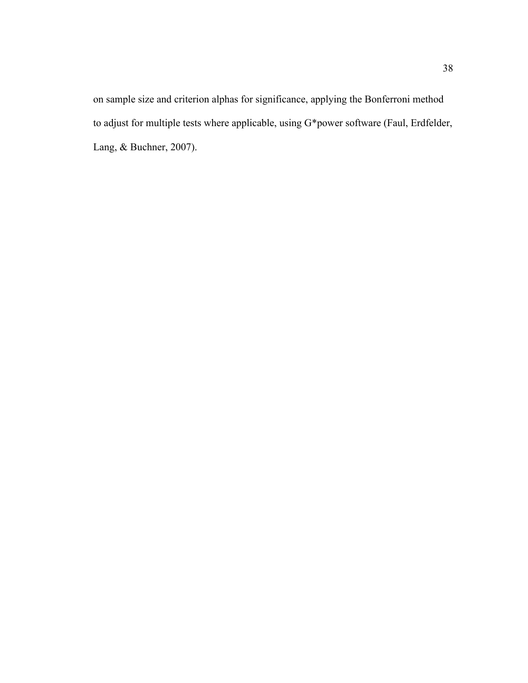on sample size and criterion alphas for significance, applying the Bonferroni method to adjust for multiple tests where applicable, using G\*power software (Faul, Erdfelder, Lang, & Buchner, 2007).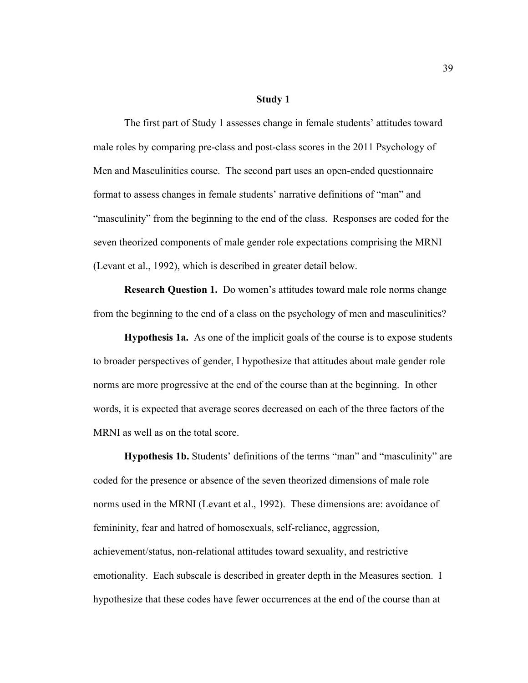#### **Study 1**

The first part of Study 1 assesses change in female students' attitudes toward male roles by comparing pre-class and post-class scores in the 2011 Psychology of Men and Masculinities course. The second part uses an open-ended questionnaire format to assess changes in female students' narrative definitions of "man" and "masculinity" from the beginning to the end of the class. Responses are coded for the seven theorized components of male gender role expectations comprising the MRNI (Levant et al., 1992), which is described in greater detail below.

**Research Question 1.** Do women's attitudes toward male role norms change from the beginning to the end of a class on the psychology of men and masculinities?

**Hypothesis 1a.** As one of the implicit goals of the course is to expose students to broader perspectives of gender, I hypothesize that attitudes about male gender role norms are more progressive at the end of the course than at the beginning. In other words, it is expected that average scores decreased on each of the three factors of the MRNI as well as on the total score.

**Hypothesis 1b.** Students' definitions of the terms "man" and "masculinity" are coded for the presence or absence of the seven theorized dimensions of male role norms used in the MRNI (Levant et al., 1992). These dimensions are: avoidance of femininity, fear and hatred of homosexuals, self-reliance, aggression, achievement/status, non-relational attitudes toward sexuality, and restrictive emotionality. Each subscale is described in greater depth in the Measures section. I hypothesize that these codes have fewer occurrences at the end of the course than at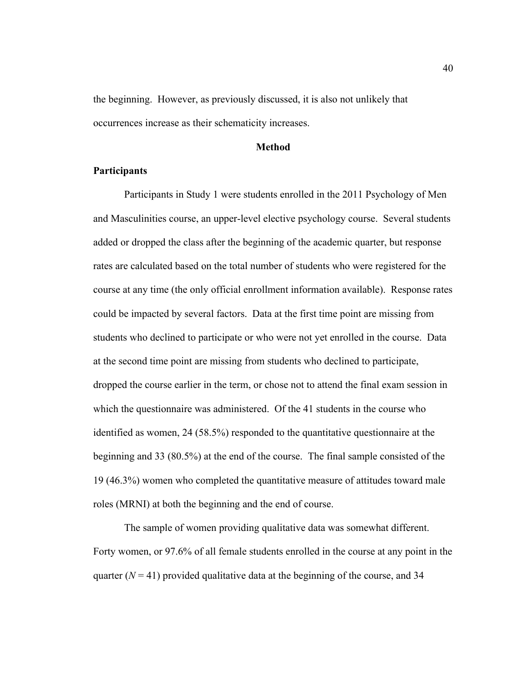the beginning. However, as previously discussed, it is also not unlikely that occurrences increase as their schematicity increases.

### **Method**

## **Participants**

Participants in Study 1 were students enrolled in the 2011 Psychology of Men and Masculinities course, an upper-level elective psychology course. Several students added or dropped the class after the beginning of the academic quarter, but response rates are calculated based on the total number of students who were registered for the course at any time (the only official enrollment information available). Response rates could be impacted by several factors. Data at the first time point are missing from students who declined to participate or who were not yet enrolled in the course. Data at the second time point are missing from students who declined to participate, dropped the course earlier in the term, or chose not to attend the final exam session in which the questionnaire was administered. Of the 41 students in the course who identified as women, 24 (58.5%) responded to the quantitative questionnaire at the beginning and 33 (80.5%) at the end of the course. The final sample consisted of the 19 (46.3%) women who completed the quantitative measure of attitudes toward male roles (MRNI) at both the beginning and the end of course.

The sample of women providing qualitative data was somewhat different. Forty women, or 97.6% of all female students enrolled in the course at any point in the quarter  $(N = 41)$  provided qualitative data at the beginning of the course, and 34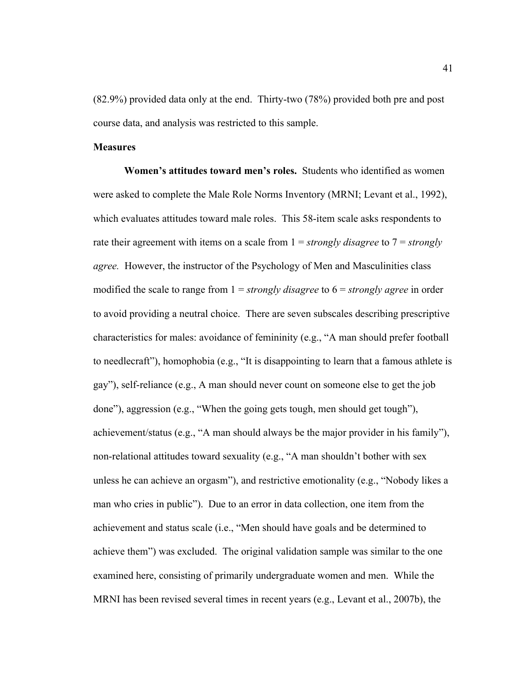(82.9%) provided data only at the end. Thirty-two (78%) provided both pre and post course data, and analysis was restricted to this sample.

# **Measures**

**Women's attitudes toward men's roles.** Students who identified as women were asked to complete the Male Role Norms Inventory (MRNI; Levant et al., 1992), which evaluates attitudes toward male roles. This 58-item scale asks respondents to rate their agreement with items on a scale from 1 = *strongly disagree* to 7 = *strongly agree.* However, the instructor of the Psychology of Men and Masculinities class modified the scale to range from 1 = *strongly disagree* to 6 = *strongly agree* in order to avoid providing a neutral choice. There are seven subscales describing prescriptive characteristics for males: avoidance of femininity (e.g., "A man should prefer football to needlecraft"), homophobia (e.g., "It is disappointing to learn that a famous athlete is gay"), self-reliance (e.g., A man should never count on someone else to get the job done"), aggression (e.g., "When the going gets tough, men should get tough"), achievement/status (e.g., "A man should always be the major provider in his family"), non-relational attitudes toward sexuality (e.g., "A man shouldn't bother with sex unless he can achieve an orgasm"), and restrictive emotionality (e.g., "Nobody likes a man who cries in public"). Due to an error in data collection, one item from the achievement and status scale (i.e., "Men should have goals and be determined to achieve them") was excluded. The original validation sample was similar to the one examined here, consisting of primarily undergraduate women and men. While the MRNI has been revised several times in recent years (e.g., Levant et al., 2007b), the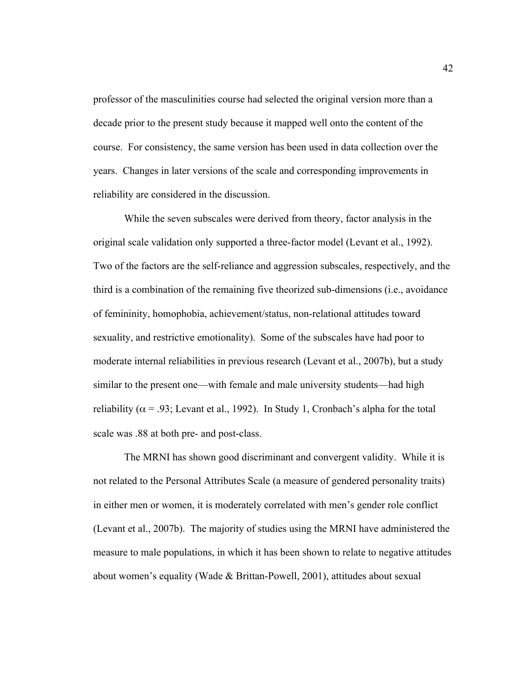professor of the masculinities course had selected the original version more than a decade prior to the present study because it mapped well onto the content of the course. For consistency, the same version has been used in data collection over the years. Changes in later versions of the scale and corresponding improvements in reliability are considered in the discussion.

While the seven subscales were derived from theory, factor analysis in the original scale validation only supported a three-factor model (Levant et al., 1992). Two of the factors are the self-reliance and aggression subscales, respectively, and the third is a combination of the remaining five theorized sub-dimensions (i.e., avoidance of femininity, homophobia, achievement/status, non-relational attitudes toward sexuality, and restrictive emotionality). Some of the subscales have had poor to moderate internal reliabilities in previous research (Levant et al., 2007b), but a study similar to the present one—with female and male university students—had high reliability ( $\alpha$  = .93; Levant et al., 1992). In Study 1, Cronbach's alpha for the total scale was .88 at both pre- and post-class.

The MRNI has shown good discriminant and convergent validity. While it is not related to the Personal Attributes Scale (a measure of gendered personality traits) in either men or women, it is moderately correlated with men's gender role conflict (Levant et al., 2007b). The majority of studies using the MRNI have administered the measure to male populations, in which it has been shown to relate to negative attitudes about women's equality (Wade & Brittan-Powell, 2001), attitudes about sexual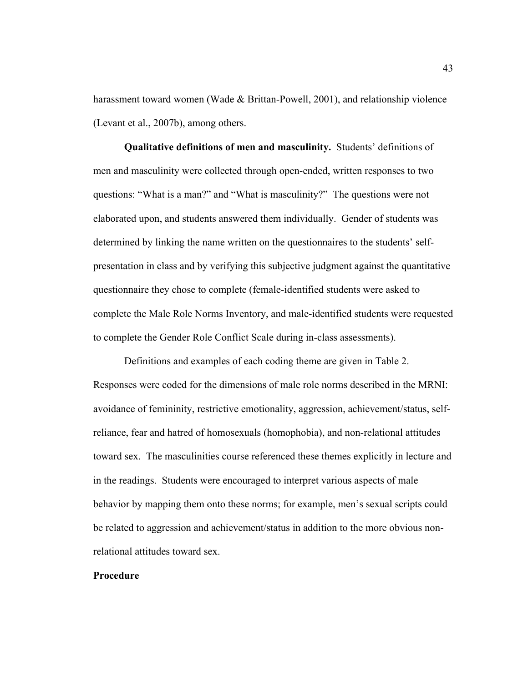harassment toward women (Wade & Brittan-Powell, 2001), and relationship violence (Levant et al., 2007b), among others.

**Qualitative definitions of men and masculinity.** Students' definitions of men and masculinity were collected through open-ended, written responses to two questions: "What is a man?" and "What is masculinity?" The questions were not elaborated upon, and students answered them individually. Gender of students was determined by linking the name written on the questionnaires to the students' selfpresentation in class and by verifying this subjective judgment against the quantitative questionnaire they chose to complete (female-identified students were asked to complete the Male Role Norms Inventory, and male-identified students were requested to complete the Gender Role Conflict Scale during in-class assessments).

Definitions and examples of each coding theme are given in Table 2. Responses were coded for the dimensions of male role norms described in the MRNI: avoidance of femininity, restrictive emotionality, aggression, achievement/status, selfreliance, fear and hatred of homosexuals (homophobia), and non-relational attitudes toward sex. The masculinities course referenced these themes explicitly in lecture and in the readings. Students were encouraged to interpret various aspects of male behavior by mapping them onto these norms; for example, men's sexual scripts could be related to aggression and achievement/status in addition to the more obvious nonrelational attitudes toward sex.

# **Procedure**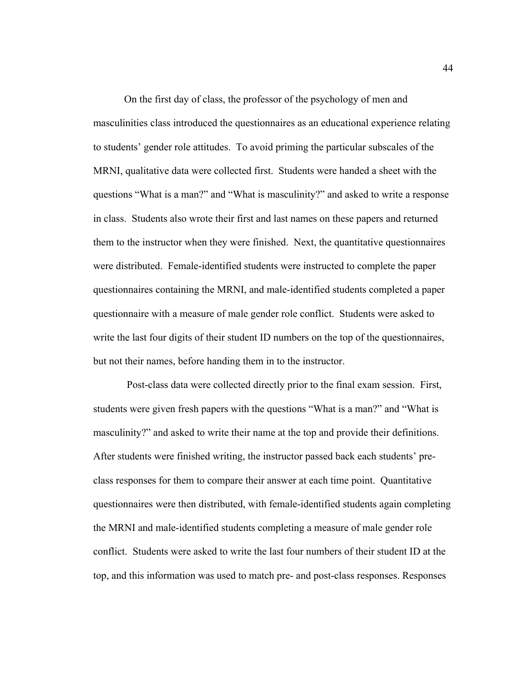On the first day of class, the professor of the psychology of men and masculinities class introduced the questionnaires as an educational experience relating to students' gender role attitudes. To avoid priming the particular subscales of the MRNI, qualitative data were collected first. Students were handed a sheet with the questions "What is a man?" and "What is masculinity?" and asked to write a response in class. Students also wrote their first and last names on these papers and returned them to the instructor when they were finished. Next, the quantitative questionnaires were distributed. Female-identified students were instructed to complete the paper questionnaires containing the MRNI, and male-identified students completed a paper questionnaire with a measure of male gender role conflict. Students were asked to write the last four digits of their student ID numbers on the top of the questionnaires, but not their names, before handing them in to the instructor.

 Post-class data were collected directly prior to the final exam session. First, students were given fresh papers with the questions "What is a man?" and "What is masculinity?" and asked to write their name at the top and provide their definitions. After students were finished writing, the instructor passed back each students' preclass responses for them to compare their answer at each time point. Quantitative questionnaires were then distributed, with female-identified students again completing the MRNI and male-identified students completing a measure of male gender role conflict. Students were asked to write the last four numbers of their student ID at the top, and this information was used to match pre- and post-class responses. Responses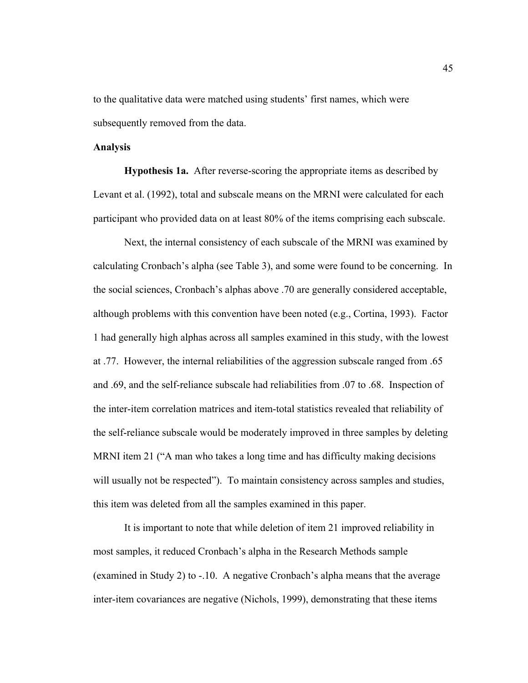to the qualitative data were matched using students' first names, which were subsequently removed from the data.

# **Analysis**

**Hypothesis 1a.** After reverse-scoring the appropriate items as described by Levant et al. (1992), total and subscale means on the MRNI were calculated for each participant who provided data on at least 80% of the items comprising each subscale.

Next, the internal consistency of each subscale of the MRNI was examined by calculating Cronbach's alpha (see Table 3), and some were found to be concerning. In the social sciences, Cronbach's alphas above .70 are generally considered acceptable, although problems with this convention have been noted (e.g., Cortina, 1993). Factor 1 had generally high alphas across all samples examined in this study, with the lowest at .77. However, the internal reliabilities of the aggression subscale ranged from .65 and .69, and the self-reliance subscale had reliabilities from .07 to .68. Inspection of the inter-item correlation matrices and item-total statistics revealed that reliability of the self-reliance subscale would be moderately improved in three samples by deleting MRNI item 21 ("A man who takes a long time and has difficulty making decisions will usually not be respected"). To maintain consistency across samples and studies, this item was deleted from all the samples examined in this paper.

It is important to note that while deletion of item 21 improved reliability in most samples, it reduced Cronbach's alpha in the Research Methods sample (examined in Study 2) to  $-10$ . A negative Cronbach's alpha means that the average inter-item covariances are negative (Nichols, 1999), demonstrating that these items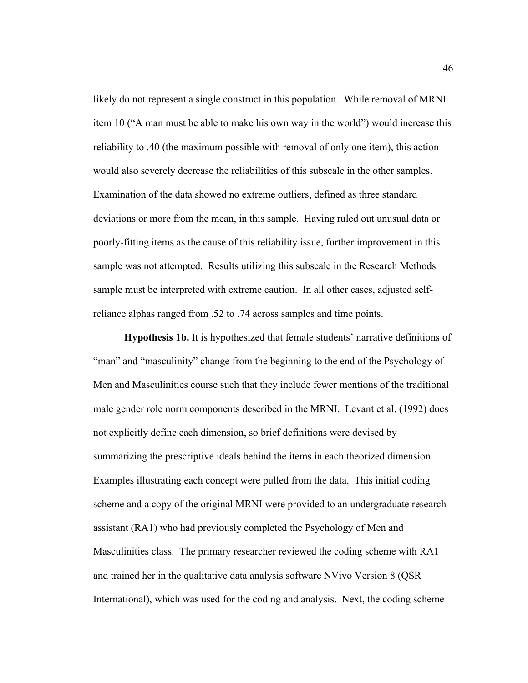likely do not represent a single construct in this population. While removal of MRNI item 10 ("A man must be able to make his own way in the world") would increase this reliability to .40 (the maximum possible with removal of only one item), this action would also severely decrease the reliabilities of this subscale in the other samples. Examination of the data showed no extreme outliers, defined as three standard deviations or more from the mean, in this sample. Having ruled out unusual data or poorly-fitting items as the cause of this reliability issue, further improvement in this sample was not attempted. Results utilizing this subscale in the Research Methods sample must be interpreted with extreme caution. In all other cases, adjusted selfreliance alphas ranged from .52 to .74 across samples and time points.

**Hypothesis 1b.** It is hypothesized that female students' narrative definitions of "man" and "masculinity" change from the beginning to the end of the Psychology of Men and Masculinities course such that they include fewer mentions of the traditional male gender role norm components described in the MRNI. Levant et al. (1992) does not explicitly define each dimension, so brief definitions were devised by summarizing the prescriptive ideals behind the items in each theorized dimension. Examples illustrating each concept were pulled from the data. This initial coding scheme and a copy of the original MRNI were provided to an undergraduate research assistant (RA1) who had previously completed the Psychology of Men and Masculinities class. The primary researcher reviewed the coding scheme with RA1 and trained her in the qualitative data analysis software NVivo Version 8 (QSR International), which was used for the coding and analysis. Next, the coding scheme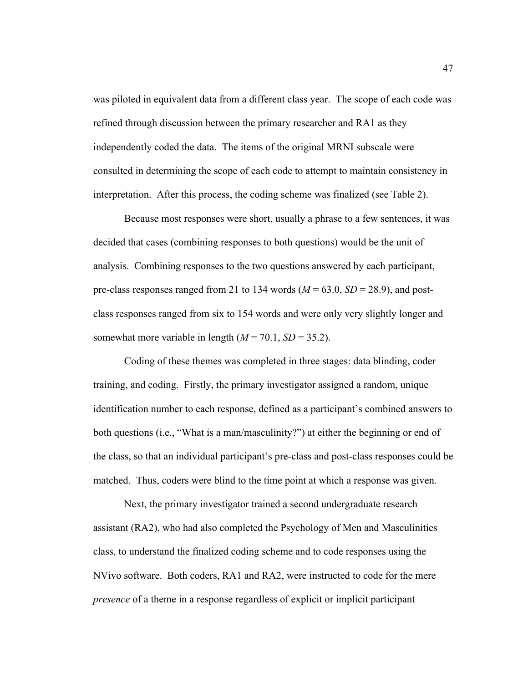was piloted in equivalent data from a different class year. The scope of each code was refined through discussion between the primary researcher and RA1 as they independently coded the data. The items of the original MRNI subscale were consulted in determining the scope of each code to attempt to maintain consistency in interpretation. After this process, the coding scheme was finalized (see Table 2).

Because most responses were short, usually a phrase to a few sentences, it was decided that cases (combining responses to both questions) would be the unit of analysis. Combining responses to the two questions answered by each participant, pre-class responses ranged from 21 to 134 words  $(M = 63.0, SD = 28.9)$ , and postclass responses ranged from six to 154 words and were only very slightly longer and somewhat more variable in length  $(M = 70.1, SD = 35.2)$ .

Coding of these themes was completed in three stages: data blinding, coder training, and coding. Firstly, the primary investigator assigned a random, unique identification number to each response, defined as a participant's combined answers to both questions (i.e., "What is a man/masculinity?") at either the beginning or end of the class, so that an individual participant's pre-class and post-class responses could be matched. Thus, coders were blind to the time point at which a response was given.

Next, the primary investigator trained a second undergraduate research assistant (RA2), who had also completed the Psychology of Men and Masculinities class, to understand the finalized coding scheme and to code responses using the NVivo software. Both coders, RA1 and RA2, were instructed to code for the mere *presence* of a theme in a response regardless of explicit or implicit participant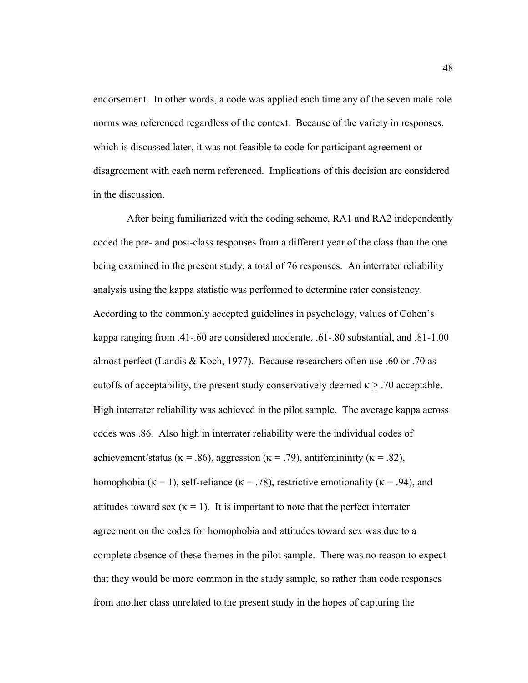endorsement. In other words, a code was applied each time any of the seven male role norms was referenced regardless of the context. Because of the variety in responses, which is discussed later, it was not feasible to code for participant agreement or disagreement with each norm referenced. Implications of this decision are considered in the discussion.

 After being familiarized with the coding scheme, RA1 and RA2 independently coded the pre- and post-class responses from a different year of the class than the one being examined in the present study, a total of 76 responses. An interrater reliability analysis using the kappa statistic was performed to determine rater consistency. According to the commonly accepted guidelines in psychology, values of Cohen's kappa ranging from .41-.60 are considered moderate, .61-.80 substantial, and .81-1.00 almost perfect (Landis & Koch, 1977). Because researchers often use .60 or .70 as cutoffs of acceptability, the present study conservatively deemed  $\kappa \geq 0.70$  acceptable. High interrater reliability was achieved in the pilot sample. The average kappa across codes was .86. Also high in interrater reliability were the individual codes of achievement/status ( $\kappa = .86$ ), aggression ( $\kappa = .79$ ), antifemininity ( $\kappa = .82$ ), homophobia ( $\kappa$  = 1), self-reliance ( $\kappa$  = .78), restrictive emotionality ( $\kappa$  = .94), and attitudes toward sex ( $\kappa = 1$ ). It is important to note that the perfect interrater agreement on the codes for homophobia and attitudes toward sex was due to a complete absence of these themes in the pilot sample. There was no reason to expect that they would be more common in the study sample, so rather than code responses from another class unrelated to the present study in the hopes of capturing the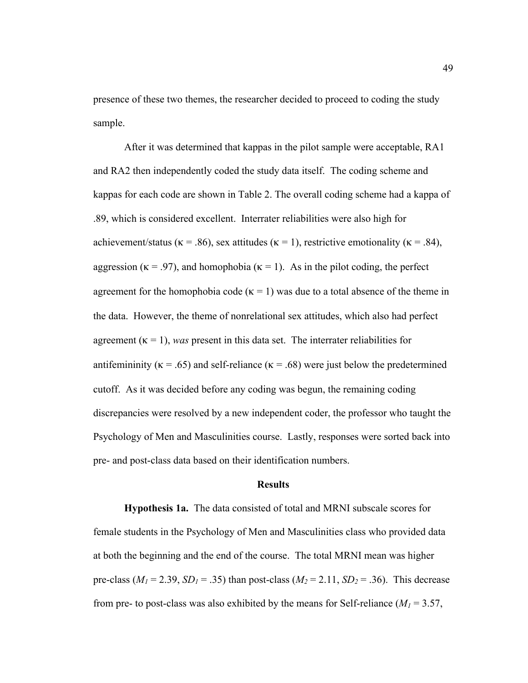presence of these two themes, the researcher decided to proceed to coding the study sample.

After it was determined that kappas in the pilot sample were acceptable, RA1 and RA2 then independently coded the study data itself. The coding scheme and kappas for each code are shown in Table 2. The overall coding scheme had a kappa of .89, which is considered excellent. Interrater reliabilities were also high for achievement/status ( $\kappa$  = .86), sex attitudes ( $\kappa$  = 1), restrictive emotionality ( $\kappa$  = .84), aggression ( $\kappa = .97$ ), and homophobia ( $\kappa = 1$ ). As in the pilot coding, the perfect agreement for the homophobia code ( $\kappa = 1$ ) was due to a total absence of the theme in the data. However, the theme of nonrelational sex attitudes, which also had perfect agreement  $(\kappa = 1)$ , *was* present in this data set. The interrater reliabilities for antifemininity ( $\kappa = .65$ ) and self-reliance ( $\kappa = .68$ ) were just below the predetermined cutoff. As it was decided before any coding was begun, the remaining coding discrepancies were resolved by a new independent coder, the professor who taught the Psychology of Men and Masculinities course. Lastly, responses were sorted back into pre- and post-class data based on their identification numbers.

# **Results**

**Hypothesis 1a.** The data consisted of total and MRNI subscale scores for female students in the Psychology of Men and Masculinities class who provided data at both the beginning and the end of the course. The total MRNI mean was higher pre-class ( $M_1$  = 2.39, *SD<sub>1</sub>* = .35) than post-class ( $M_2$  = 2.11, *SD<sub>2</sub>* = .36). This decrease from pre- to post-class was also exhibited by the means for Self-reliance  $(M_1 = 3.57)$ ,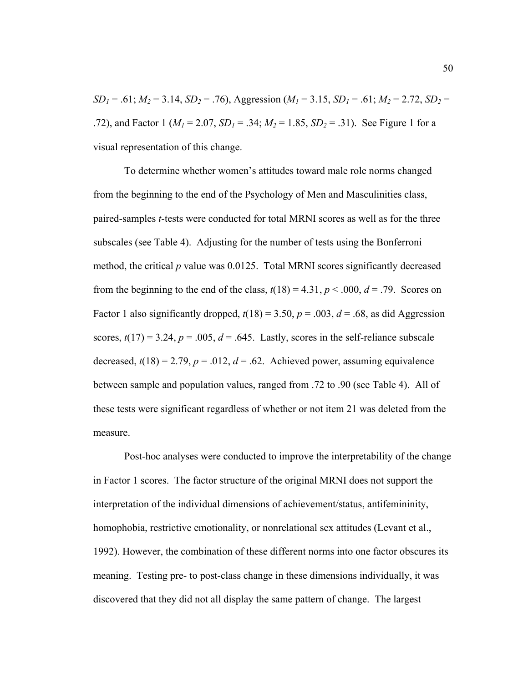$SD_1 = .61$ ;  $M_2 = 3.14$ ,  $SD_2 = .76$ ), Aggression ( $M_1 = 3.15$ ,  $SD_1 = .61$ ;  $M_2 = 2.72$ ,  $SD_2 =$ .72), and Factor 1 ( $M_1 = 2.07$ ,  $SD_1 = .34$ ;  $M_2 = 1.85$ ,  $SD_2 = .31$ ). See Figure 1 for a visual representation of this change.

To determine whether women's attitudes toward male role norms changed from the beginning to the end of the Psychology of Men and Masculinities class, paired-samples *t*-tests were conducted for total MRNI scores as well as for the three subscales (see Table 4). Adjusting for the number of tests using the Bonferroni method, the critical *p* value was 0.0125. Total MRNI scores significantly decreased from the beginning to the end of the class,  $t(18) = 4.31$ ,  $p < .000$ ,  $d = .79$ . Scores on Factor 1 also significantly dropped,  $t(18) = 3.50$ ,  $p = .003$ ,  $d = .68$ , as did Aggression scores,  $t(17) = 3.24$ ,  $p = .005$ ,  $d = .645$ . Lastly, scores in the self-reliance subscale decreased,  $t(18) = 2.79$ ,  $p = .012$ ,  $d = .62$ . Achieved power, assuming equivalence between sample and population values, ranged from .72 to .90 (see Table 4). All of these tests were significant regardless of whether or not item 21 was deleted from the measure.

Post-hoc analyses were conducted to improve the interpretability of the change in Factor 1 scores. The factor structure of the original MRNI does not support the interpretation of the individual dimensions of achievement/status, antifemininity, homophobia, restrictive emotionality, or nonrelational sex attitudes (Levant et al., 1992). However, the combination of these different norms into one factor obscures its meaning. Testing pre- to post-class change in these dimensions individually, it was discovered that they did not all display the same pattern of change. The largest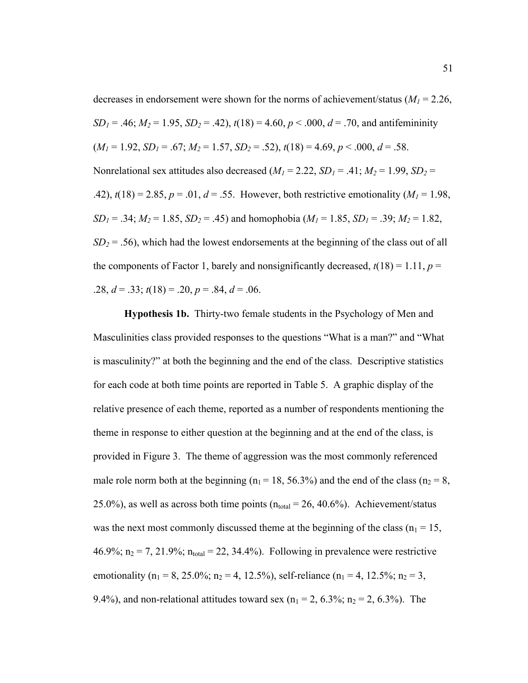decreases in endorsement were shown for the norms of achievement/status  $(M_1 = 2.26,$ *SD<sub>1</sub>* = .46;  $M_2$  = 1.95, *SD<sub>2</sub>* = .42),  $t(18)$  = 4.60,  $p < .000$ ,  $d = .70$ , and antifemininity  $(M_1 = 1.92, SD_1 = .67; M_2 = 1.57, SD_2 = .52), t(18) = 4.69, p < .000, d = .58.$ Nonrelational sex attitudes also decreased  $(M_1 = 2.22, SD_1 = .41; M_2 = 1.99, SD_2 =$ .42),  $t(18) = 2.85$ ,  $p = .01$ ,  $d = .55$ . However, both restrictive emotionality ( $M_1 = 1.98$ , *SD<sub>1</sub>* = .34; *M<sub>2</sub>* = 1.85, *SD<sub>2</sub>* = .45) and homophobia (*M<sub>1</sub>* = 1.85, *SD<sub>1</sub>* = .39; *M<sub>2</sub>* = 1.82,  $SD_2 = .56$ , which had the lowest endorsements at the beginning of the class out of all the components of Factor 1, barely and nonsignificantly decreased,  $t(18) = 1.11$ ,  $p =$ .28,  $d = .33$ ;  $t(18) = .20$ ,  $p = .84$ ,  $d = .06$ .

**Hypothesis 1b.** Thirty-two female students in the Psychology of Men and Masculinities class provided responses to the questions "What is a man?" and "What is masculinity?" at both the beginning and the end of the class. Descriptive statistics for each code at both time points are reported in Table 5. A graphic display of the relative presence of each theme, reported as a number of respondents mentioning the theme in response to either question at the beginning and at the end of the class, is provided in Figure 3. The theme of aggression was the most commonly referenced male role norm both at the beginning ( $n_1 = 18$ , 56.3%) and the end of the class ( $n_2 = 8$ , 25.0%), as well as across both time points  $(n_{total} = 26, 40.6\%)$ . Achievement/status was the next most commonly discussed theme at the beginning of the class ( $n_1 = 15$ , 46.9%;  $n_2 = 7$ , 21.9%;  $n_{total} = 22$ , 34.4%). Following in prevalence were restrictive emotionality ( $n_1 = 8$ , 25.0%;  $n_2 = 4$ , 12.5%), self-reliance ( $n_1 = 4$ , 12.5%;  $n_2 = 3$ , 9.4%), and non-relational attitudes toward sex ( $n_1 = 2$ , 6.3%;  $n_2 = 2$ , 6.3%). The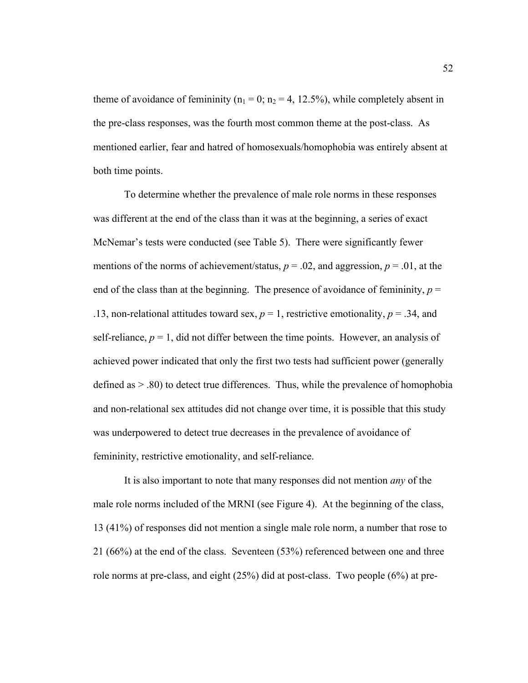theme of avoidance of femininity ( $n_1 = 0$ ;  $n_2 = 4$ , 12.5%), while completely absent in the pre-class responses, was the fourth most common theme at the post-class. As mentioned earlier, fear and hatred of homosexuals/homophobia was entirely absent at both time points.

To determine whether the prevalence of male role norms in these responses was different at the end of the class than it was at the beginning, a series of exact McNemar's tests were conducted (see Table 5). There were significantly fewer mentions of the norms of achievement/status,  $p = .02$ , and aggression,  $p = .01$ , at the end of the class than at the beginning. The presence of avoidance of femininity,  $p =$ .13, non-relational attitudes toward sex,  $p = 1$ , restrictive emotionality,  $p = 0.34$ , and self-reliance,  $p = 1$ , did not differ between the time points. However, an analysis of achieved power indicated that only the first two tests had sufficient power (generally defined as > .80) to detect true differences. Thus, while the prevalence of homophobia and non-relational sex attitudes did not change over time, it is possible that this study was underpowered to detect true decreases in the prevalence of avoidance of femininity, restrictive emotionality, and self-reliance.

It is also important to note that many responses did not mention *any* of the male role norms included of the MRNI (see Figure 4). At the beginning of the class, 13 (41%) of responses did not mention a single male role norm, a number that rose to 21 (66%) at the end of the class. Seventeen (53%) referenced between one and three role norms at pre-class, and eight (25%) did at post-class. Two people (6%) at pre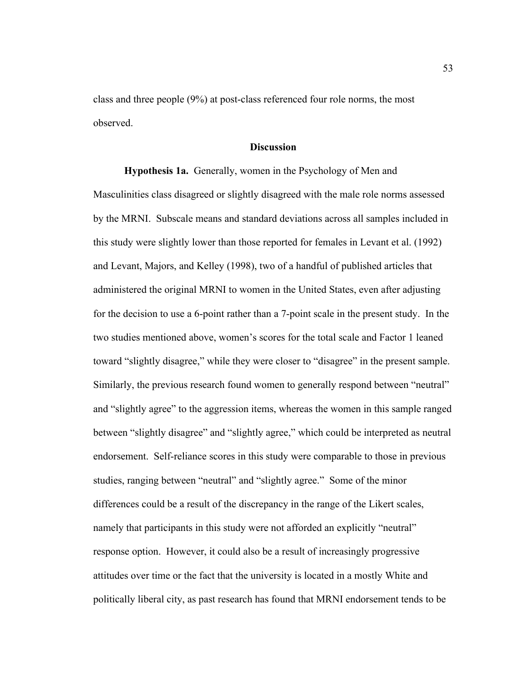class and three people (9%) at post-class referenced four role norms, the most observed.

### **Discussion**

**Hypothesis 1a.** Generally, women in the Psychology of Men and Masculinities class disagreed or slightly disagreed with the male role norms assessed by the MRNI. Subscale means and standard deviations across all samples included in this study were slightly lower than those reported for females in Levant et al. (1992) and Levant, Majors, and Kelley (1998), two of a handful of published articles that administered the original MRNI to women in the United States, even after adjusting for the decision to use a 6-point rather than a 7-point scale in the present study. In the two studies mentioned above, women's scores for the total scale and Factor 1 leaned toward "slightly disagree," while they were closer to "disagree" in the present sample. Similarly, the previous research found women to generally respond between "neutral" and "slightly agree" to the aggression items, whereas the women in this sample ranged between "slightly disagree" and "slightly agree," which could be interpreted as neutral endorsement. Self-reliance scores in this study were comparable to those in previous studies, ranging between "neutral" and "slightly agree." Some of the minor differences could be a result of the discrepancy in the range of the Likert scales, namely that participants in this study were not afforded an explicitly "neutral" response option. However, it could also be a result of increasingly progressive attitudes over time or the fact that the university is located in a mostly White and politically liberal city, as past research has found that MRNI endorsement tends to be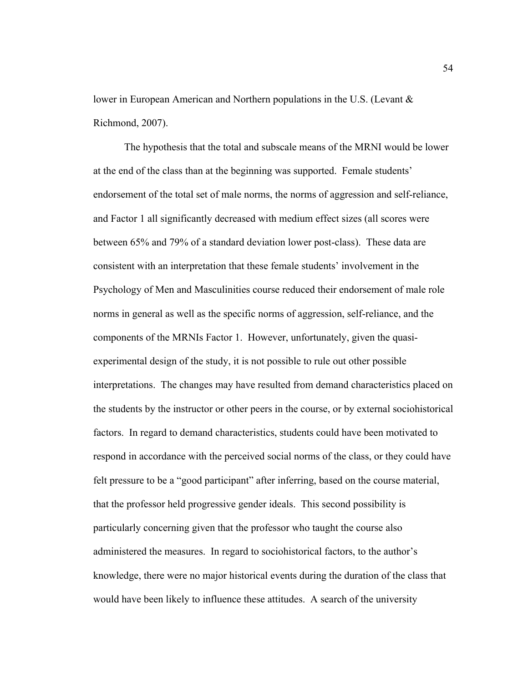lower in European American and Northern populations in the U.S. (Levant & Richmond, 2007).

The hypothesis that the total and subscale means of the MRNI would be lower at the end of the class than at the beginning was supported. Female students' endorsement of the total set of male norms, the norms of aggression and self-reliance, and Factor 1 all significantly decreased with medium effect sizes (all scores were between 65% and 79% of a standard deviation lower post-class). These data are consistent with an interpretation that these female students' involvement in the Psychology of Men and Masculinities course reduced their endorsement of male role norms in general as well as the specific norms of aggression, self-reliance, and the components of the MRNIs Factor 1. However, unfortunately, given the quasiexperimental design of the study, it is not possible to rule out other possible interpretations. The changes may have resulted from demand characteristics placed on the students by the instructor or other peers in the course, or by external sociohistorical factors. In regard to demand characteristics, students could have been motivated to respond in accordance with the perceived social norms of the class, or they could have felt pressure to be a "good participant" after inferring, based on the course material, that the professor held progressive gender ideals. This second possibility is particularly concerning given that the professor who taught the course also administered the measures. In regard to sociohistorical factors, to the author's knowledge, there were no major historical events during the duration of the class that would have been likely to influence these attitudes. A search of the university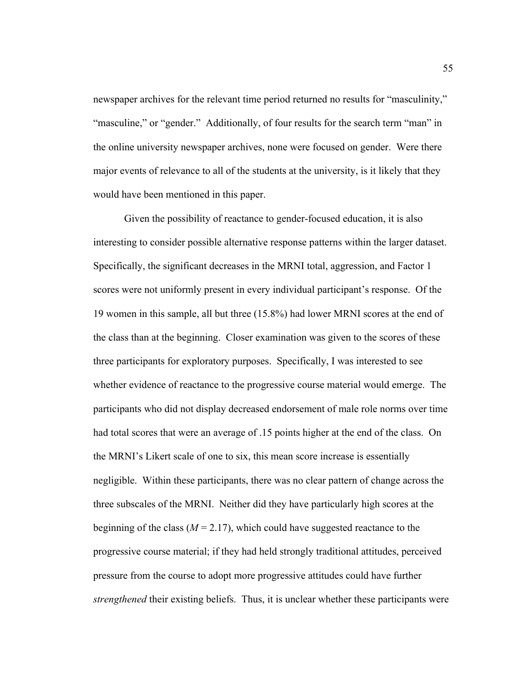newspaper archives for the relevant time period returned no results for "masculinity," "masculine," or "gender." Additionally, of four results for the search term "man" in the online university newspaper archives, none were focused on gender. Were there major events of relevance to all of the students at the university, is it likely that they would have been mentioned in this paper.

Given the possibility of reactance to gender-focused education, it is also interesting to consider possible alternative response patterns within the larger dataset. Specifically, the significant decreases in the MRNI total, aggression, and Factor 1 scores were not uniformly present in every individual participant's response. Of the 19 women in this sample, all but three (15.8%) had lower MRNI scores at the end of the class than at the beginning. Closer examination was given to the scores of these three participants for exploratory purposes. Specifically, I was interested to see whether evidence of reactance to the progressive course material would emerge. The participants who did not display decreased endorsement of male role norms over time had total scores that were an average of .15 points higher at the end of the class. On the MRNI's Likert scale of one to six, this mean score increase is essentially negligible. Within these participants, there was no clear pattern of change across the three subscales of the MRNI. Neither did they have particularly high scores at the beginning of the class ( $M = 2.17$ ), which could have suggested reactance to the progressive course material; if they had held strongly traditional attitudes, perceived pressure from the course to adopt more progressive attitudes could have further *strengthened* their existing beliefs. Thus, it is unclear whether these participants were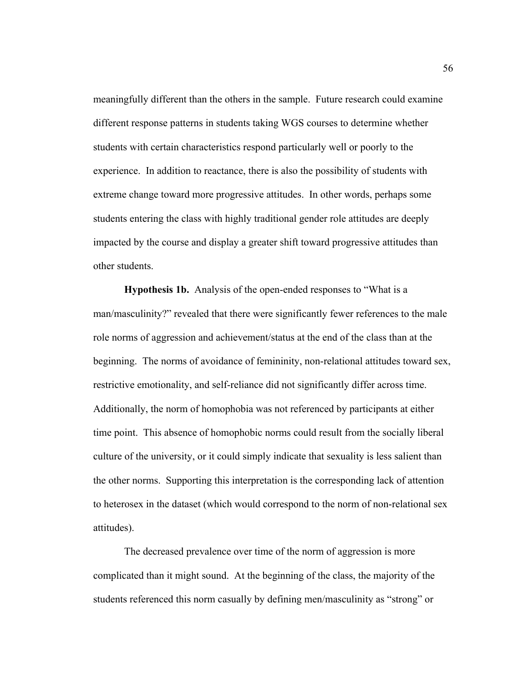meaningfully different than the others in the sample. Future research could examine different response patterns in students taking WGS courses to determine whether students with certain characteristics respond particularly well or poorly to the experience. In addition to reactance, there is also the possibility of students with extreme change toward more progressive attitudes. In other words, perhaps some students entering the class with highly traditional gender role attitudes are deeply impacted by the course and display a greater shift toward progressive attitudes than other students.

**Hypothesis 1b.** Analysis of the open-ended responses to "What is a man/masculinity?" revealed that there were significantly fewer references to the male role norms of aggression and achievement/status at the end of the class than at the beginning. The norms of avoidance of femininity, non-relational attitudes toward sex, restrictive emotionality, and self-reliance did not significantly differ across time. Additionally, the norm of homophobia was not referenced by participants at either time point. This absence of homophobic norms could result from the socially liberal culture of the university, or it could simply indicate that sexuality is less salient than the other norms. Supporting this interpretation is the corresponding lack of attention to heterosex in the dataset (which would correspond to the norm of non-relational sex attitudes).

The decreased prevalence over time of the norm of aggression is more complicated than it might sound. At the beginning of the class, the majority of the students referenced this norm casually by defining men/masculinity as "strong" or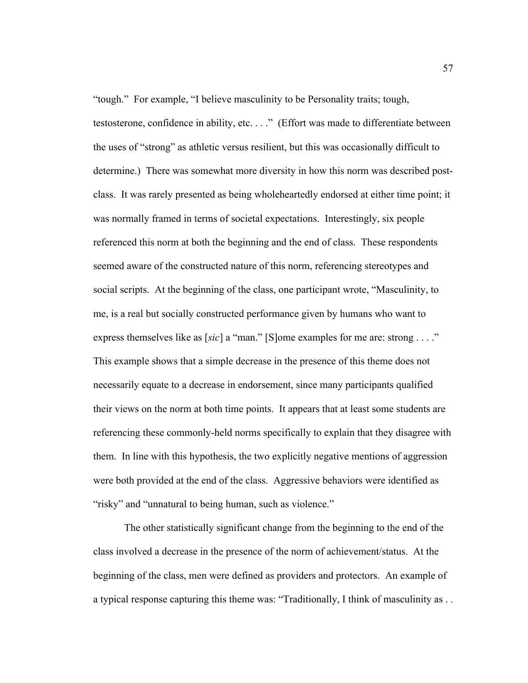"tough." For example, "I believe masculinity to be Personality traits; tough, testosterone, confidence in ability, etc. . . ." (Effort was made to differentiate between the uses of "strong" as athletic versus resilient, but this was occasionally difficult to determine.) There was somewhat more diversity in how this norm was described postclass. It was rarely presented as being wholeheartedly endorsed at either time point; it was normally framed in terms of societal expectations. Interestingly, six people referenced this norm at both the beginning and the end of class. These respondents seemed aware of the constructed nature of this norm, referencing stereotypes and social scripts. At the beginning of the class, one participant wrote, "Masculinity, to me, is a real but socially constructed performance given by humans who want to express themselves like as [*sic*] a "man." [S]ome examples for me are: strong . . . ." This example shows that a simple decrease in the presence of this theme does not necessarily equate to a decrease in endorsement, since many participants qualified their views on the norm at both time points. It appears that at least some students are referencing these commonly-held norms specifically to explain that they disagree with them. In line with this hypothesis, the two explicitly negative mentions of aggression were both provided at the end of the class. Aggressive behaviors were identified as "risky" and "unnatural to being human, such as violence."

The other statistically significant change from the beginning to the end of the class involved a decrease in the presence of the norm of achievement/status. At the beginning of the class, men were defined as providers and protectors. An example of a typical response capturing this theme was: "Traditionally, I think of masculinity as . .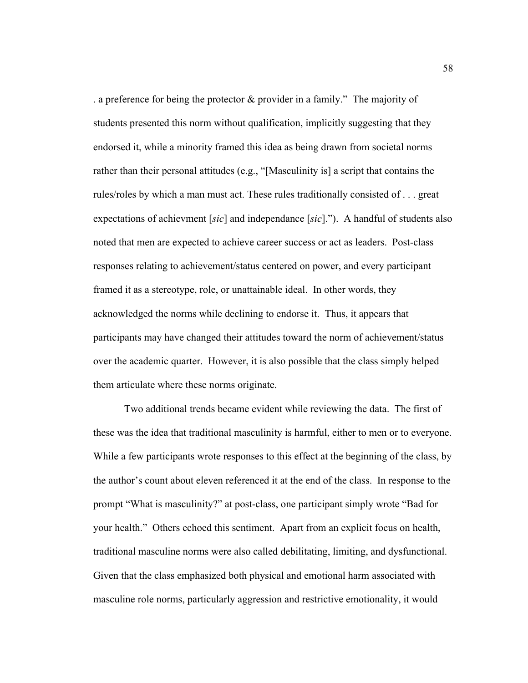. a preference for being the protector & provider in a family." The majority of students presented this norm without qualification, implicitly suggesting that they endorsed it, while a minority framed this idea as being drawn from societal norms rather than their personal attitudes (e.g., "[Masculinity is] a script that contains the rules/roles by which a man must act. These rules traditionally consisted of . . . great expectations of achievment [*sic*] and independance [*sic*]."). A handful of students also noted that men are expected to achieve career success or act as leaders. Post-class responses relating to achievement/status centered on power, and every participant framed it as a stereotype, role, or unattainable ideal. In other words, they acknowledged the norms while declining to endorse it. Thus, it appears that participants may have changed their attitudes toward the norm of achievement/status over the academic quarter. However, it is also possible that the class simply helped them articulate where these norms originate.

Two additional trends became evident while reviewing the data. The first of these was the idea that traditional masculinity is harmful, either to men or to everyone. While a few participants wrote responses to this effect at the beginning of the class, by the author's count about eleven referenced it at the end of the class. In response to the prompt "What is masculinity?" at post-class, one participant simply wrote "Bad for your health." Others echoed this sentiment. Apart from an explicit focus on health, traditional masculine norms were also called debilitating, limiting, and dysfunctional. Given that the class emphasized both physical and emotional harm associated with masculine role norms, particularly aggression and restrictive emotionality, it would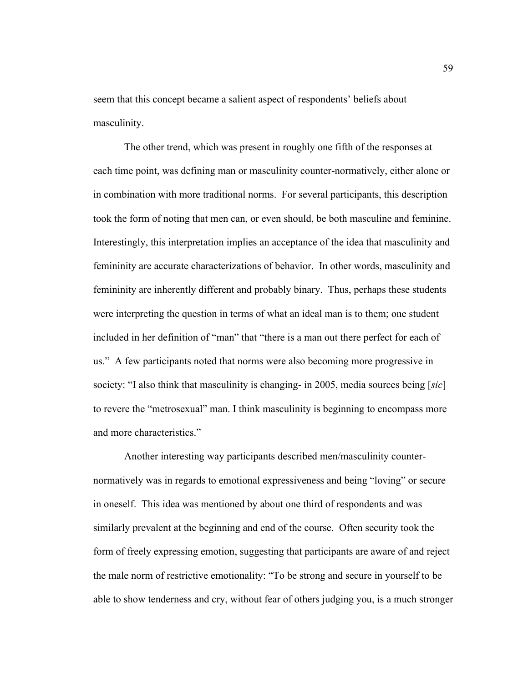seem that this concept became a salient aspect of respondents' beliefs about masculinity.

The other trend, which was present in roughly one fifth of the responses at each time point, was defining man or masculinity counter-normatively, either alone or in combination with more traditional norms. For several participants, this description took the form of noting that men can, or even should, be both masculine and feminine. Interestingly, this interpretation implies an acceptance of the idea that masculinity and femininity are accurate characterizations of behavior. In other words, masculinity and femininity are inherently different and probably binary. Thus, perhaps these students were interpreting the question in terms of what an ideal man is to them; one student included in her definition of "man" that "there is a man out there perfect for each of us." A few participants noted that norms were also becoming more progressive in society: "I also think that masculinity is changing- in 2005, media sources being [*sic*] to revere the "metrosexual" man. I think masculinity is beginning to encompass more and more characteristics."

Another interesting way participants described men/masculinity counternormatively was in regards to emotional expressiveness and being "loving" or secure in oneself. This idea was mentioned by about one third of respondents and was similarly prevalent at the beginning and end of the course. Often security took the form of freely expressing emotion, suggesting that participants are aware of and reject the male norm of restrictive emotionality: "To be strong and secure in yourself to be able to show tenderness and cry, without fear of others judging you, is a much stronger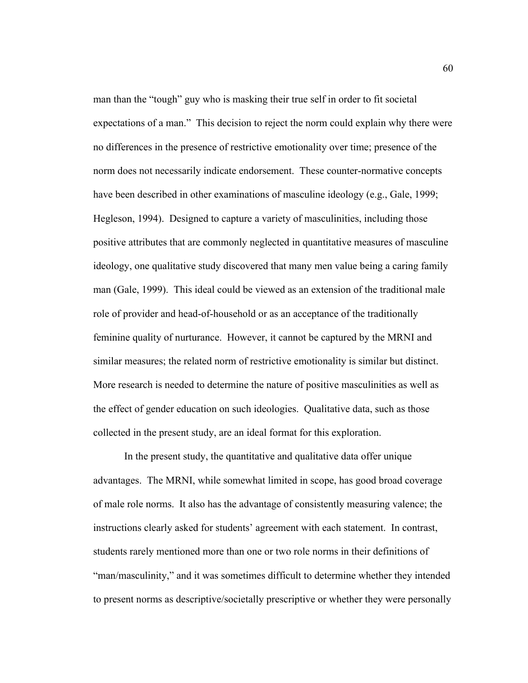man than the "tough" guy who is masking their true self in order to fit societal expectations of a man." This decision to reject the norm could explain why there were no differences in the presence of restrictive emotionality over time; presence of the norm does not necessarily indicate endorsement. These counter-normative concepts have been described in other examinations of masculine ideology (e.g., Gale, 1999; Hegleson, 1994). Designed to capture a variety of masculinities, including those positive attributes that are commonly neglected in quantitative measures of masculine ideology, one qualitative study discovered that many men value being a caring family man (Gale, 1999). This ideal could be viewed as an extension of the traditional male role of provider and head-of-household or as an acceptance of the traditionally feminine quality of nurturance. However, it cannot be captured by the MRNI and similar measures; the related norm of restrictive emotionality is similar but distinct. More research is needed to determine the nature of positive masculinities as well as the effect of gender education on such ideologies. Qualitative data, such as those collected in the present study, are an ideal format for this exploration.

In the present study, the quantitative and qualitative data offer unique advantages. The MRNI, while somewhat limited in scope, has good broad coverage of male role norms. It also has the advantage of consistently measuring valence; the instructions clearly asked for students' agreement with each statement. In contrast, students rarely mentioned more than one or two role norms in their definitions of "man/masculinity," and it was sometimes difficult to determine whether they intended to present norms as descriptive/societally prescriptive or whether they were personally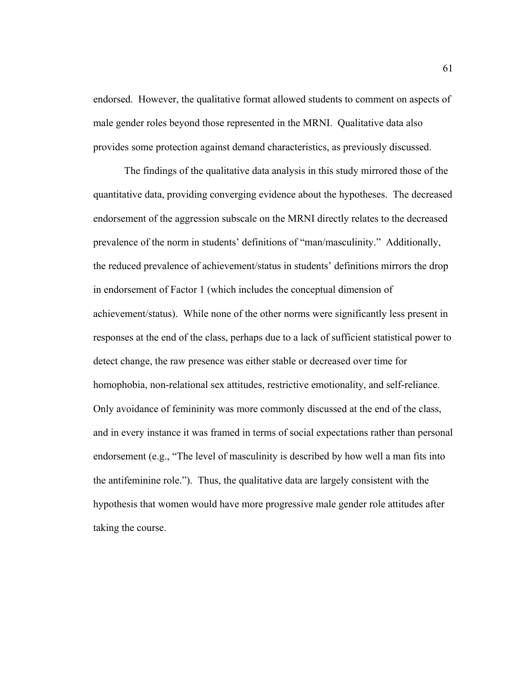endorsed. However, the qualitative format allowed students to comment on aspects of male gender roles beyond those represented in the MRNI. Qualitative data also provides some protection against demand characteristics, as previously discussed.

The findings of the qualitative data analysis in this study mirrored those of the quantitative data, providing converging evidence about the hypotheses. The decreased endorsement of the aggression subscale on the MRNI directly relates to the decreased prevalence of the norm in students' definitions of "man/masculinity." Additionally, the reduced prevalence of achievement/status in students' definitions mirrors the drop in endorsement of Factor 1 (which includes the conceptual dimension of achievement/status). While none of the other norms were significantly less present in responses at the end of the class, perhaps due to a lack of sufficient statistical power to detect change, the raw presence was either stable or decreased over time for homophobia, non-relational sex attitudes, restrictive emotionality, and self-reliance. Only avoidance of femininity was more commonly discussed at the end of the class, and in every instance it was framed in terms of social expectations rather than personal endorsement (e.g., "The level of masculinity is described by how well a man fits into the antifeminine role."). Thus, the qualitative data are largely consistent with the hypothesis that women would have more progressive male gender role attitudes after taking the course.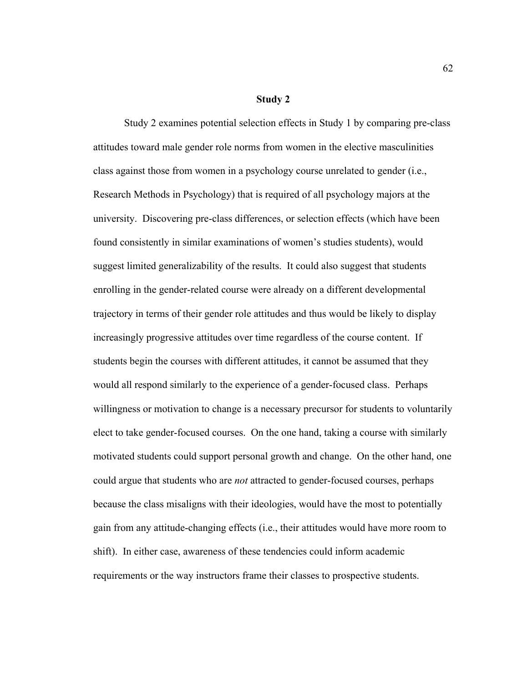#### **Study 2**

Study 2 examines potential selection effects in Study 1 by comparing pre-class attitudes toward male gender role norms from women in the elective masculinities class against those from women in a psychology course unrelated to gender (i.e., Research Methods in Psychology) that is required of all psychology majors at the university. Discovering pre-class differences, or selection effects (which have been found consistently in similar examinations of women's studies students), would suggest limited generalizability of the results. It could also suggest that students enrolling in the gender-related course were already on a different developmental trajectory in terms of their gender role attitudes and thus would be likely to display increasingly progressive attitudes over time regardless of the course content. If students begin the courses with different attitudes, it cannot be assumed that they would all respond similarly to the experience of a gender-focused class. Perhaps willingness or motivation to change is a necessary precursor for students to voluntarily elect to take gender-focused courses. On the one hand, taking a course with similarly motivated students could support personal growth and change. On the other hand, one could argue that students who are *not* attracted to gender-focused courses, perhaps because the class misaligns with their ideologies, would have the most to potentially gain from any attitude-changing effects (i.e., their attitudes would have more room to shift). In either case, awareness of these tendencies could inform academic requirements or the way instructors frame their classes to prospective students.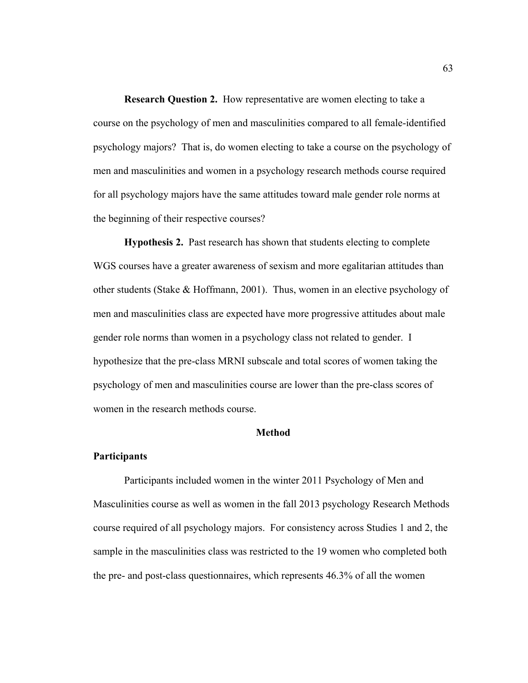**Research Question 2.** How representative are women electing to take a course on the psychology of men and masculinities compared to all female-identified psychology majors? That is, do women electing to take a course on the psychology of men and masculinities and women in a psychology research methods course required for all psychology majors have the same attitudes toward male gender role norms at the beginning of their respective courses?

**Hypothesis 2.** Past research has shown that students electing to complete WGS courses have a greater awareness of sexism and more egalitarian attitudes than other students (Stake & Hoffmann, 2001). Thus, women in an elective psychology of men and masculinities class are expected have more progressive attitudes about male gender role norms than women in a psychology class not related to gender. I hypothesize that the pre-class MRNI subscale and total scores of women taking the psychology of men and masculinities course are lower than the pre-class scores of women in the research methods course.

#### **Method**

### **Participants**

Participants included women in the winter 2011 Psychology of Men and Masculinities course as well as women in the fall 2013 psychology Research Methods course required of all psychology majors. For consistency across Studies 1 and 2, the sample in the masculinities class was restricted to the 19 women who completed both the pre- and post-class questionnaires, which represents 46.3% of all the women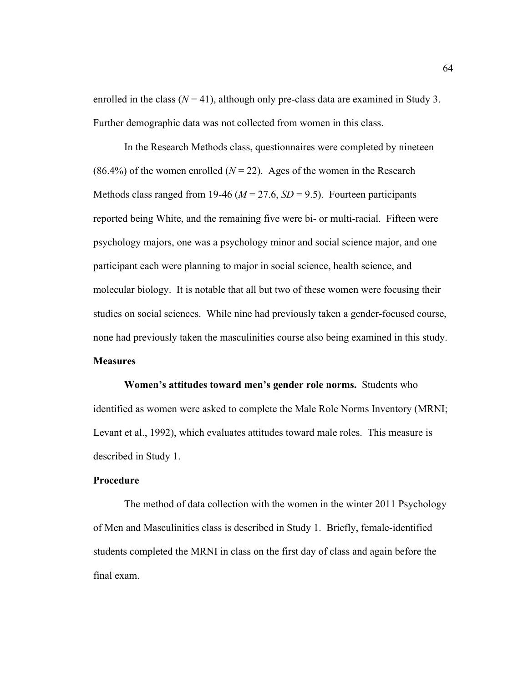enrolled in the class  $(N = 41)$ , although only pre-class data are examined in Study 3. Further demographic data was not collected from women in this class.

In the Research Methods class, questionnaires were completed by nineteen (86.4%) of the women enrolled  $(N = 22)$ . Ages of the women in the Research Methods class ranged from 19-46 ( $M = 27.6$ ,  $SD = 9.5$ ). Fourteen participants reported being White, and the remaining five were bi- or multi-racial. Fifteen were psychology majors, one was a psychology minor and social science major, and one participant each were planning to major in social science, health science, and molecular biology. It is notable that all but two of these women were focusing their studies on social sciences. While nine had previously taken a gender-focused course, none had previously taken the masculinities course also being examined in this study. **Measures**

**Women's attitudes toward men's gender role norms.** Students who identified as women were asked to complete the Male Role Norms Inventory (MRNI; Levant et al., 1992), which evaluates attitudes toward male roles. This measure is described in Study 1.

### **Procedure**

The method of data collection with the women in the winter 2011 Psychology of Men and Masculinities class is described in Study 1. Briefly, female-identified students completed the MRNI in class on the first day of class and again before the final exam.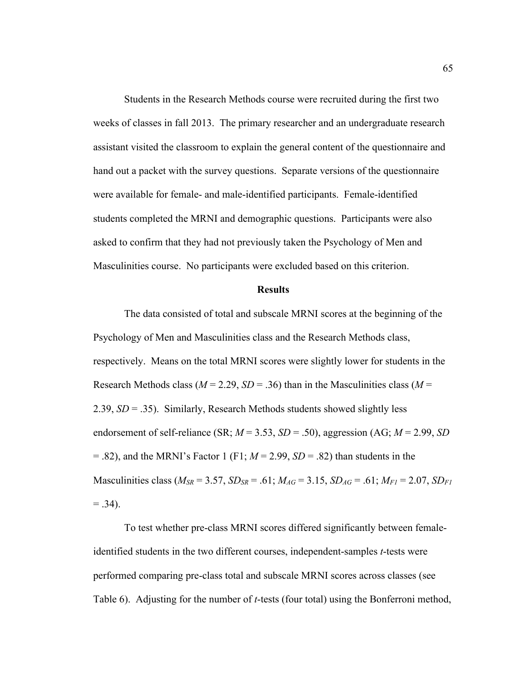Students in the Research Methods course were recruited during the first two weeks of classes in fall 2013. The primary researcher and an undergraduate research assistant visited the classroom to explain the general content of the questionnaire and hand out a packet with the survey questions. Separate versions of the questionnaire were available for female- and male-identified participants. Female-identified students completed the MRNI and demographic questions. Participants were also asked to confirm that they had not previously taken the Psychology of Men and Masculinities course. No participants were excluded based on this criterion.

### **Results**

The data consisted of total and subscale MRNI scores at the beginning of the Psychology of Men and Masculinities class and the Research Methods class, respectively. Means on the total MRNI scores were slightly lower for students in the Research Methods class ( $M = 2.29$ ,  $SD = .36$ ) than in the Masculinities class ( $M =$ 2.39, *SD* = .35). Similarly, Research Methods students showed slightly less endorsement of self-reliance (SR;  $M = 3.53$ ,  $SD = .50$ ), aggression (AG;  $M = 2.99$ , *SD*  $= .82$ ), and the MRNI's Factor 1 (F1;  $M = 2.99$ ,  $SD = .82$ ) than students in the Masculinities class ( $M_{SR} = 3.57$ ,  $SD_{SR} = .61$ ;  $M_{AG} = 3.15$ ,  $SD_{AG} = .61$ ;  $M_{FI} = 2.07$ ,  $SD_{FI}$  $= .34$ ).

To test whether pre-class MRNI scores differed significantly between femaleidentified students in the two different courses, independent-samples *t*-tests were performed comparing pre-class total and subscale MRNI scores across classes (see Table 6). Adjusting for the number of *t*-tests (four total) using the Bonferroni method,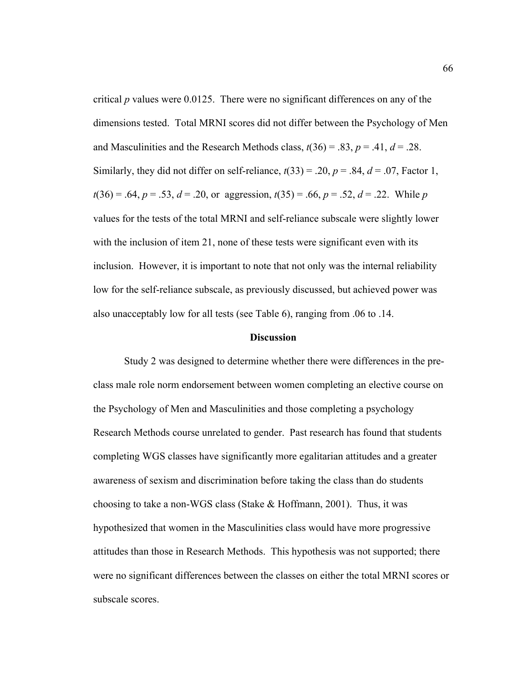critical *p* values were 0.0125. There were no significant differences on any of the dimensions tested. Total MRNI scores did not differ between the Psychology of Men and Masculinities and the Research Methods class,  $t(36) = .83$ ,  $p = .41$ ,  $d = .28$ . Similarly, they did not differ on self-reliance,  $t(33) = .20$ ,  $p = .84$ ,  $d = .07$ , Factor 1,  $t(36) = .64$ ,  $p = .53$ ,  $d = .20$ , or aggression,  $t(35) = .66$ ,  $p = .52$ ,  $d = .22$ . While *p* values for the tests of the total MRNI and self-reliance subscale were slightly lower with the inclusion of item 21, none of these tests were significant even with its inclusion. However, it is important to note that not only was the internal reliability low for the self-reliance subscale, as previously discussed, but achieved power was also unacceptably low for all tests (see Table 6), ranging from .06 to .14.

# **Discussion**

Study 2 was designed to determine whether there were differences in the preclass male role norm endorsement between women completing an elective course on the Psychology of Men and Masculinities and those completing a psychology Research Methods course unrelated to gender. Past research has found that students completing WGS classes have significantly more egalitarian attitudes and a greater awareness of sexism and discrimination before taking the class than do students choosing to take a non-WGS class (Stake & Hoffmann, 2001). Thus, it was hypothesized that women in the Masculinities class would have more progressive attitudes than those in Research Methods. This hypothesis was not supported; there were no significant differences between the classes on either the total MRNI scores or subscale scores.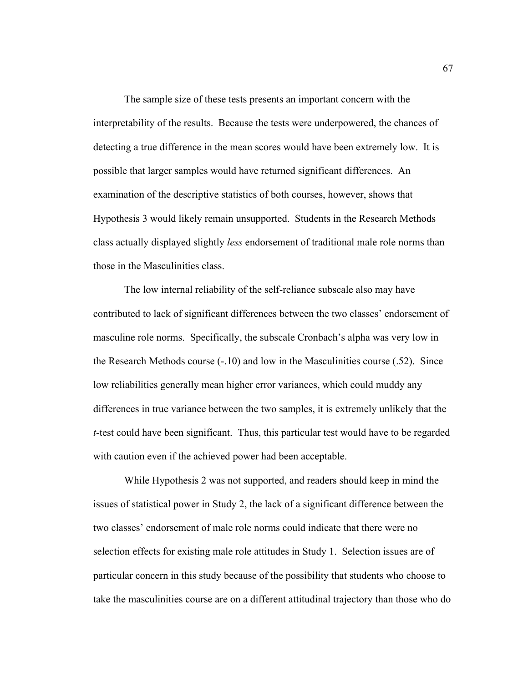The sample size of these tests presents an important concern with the interpretability of the results. Because the tests were underpowered, the chances of detecting a true difference in the mean scores would have been extremely low. It is possible that larger samples would have returned significant differences. An examination of the descriptive statistics of both courses, however, shows that Hypothesis 3 would likely remain unsupported. Students in the Research Methods class actually displayed slightly *less* endorsement of traditional male role norms than those in the Masculinities class.

The low internal reliability of the self-reliance subscale also may have contributed to lack of significant differences between the two classes' endorsement of masculine role norms. Specifically, the subscale Cronbach's alpha was very low in the Research Methods course (-.10) and low in the Masculinities course (.52). Since low reliabilities generally mean higher error variances, which could muddy any differences in true variance between the two samples, it is extremely unlikely that the *t*-test could have been significant. Thus, this particular test would have to be regarded with caution even if the achieved power had been acceptable.

While Hypothesis 2 was not supported, and readers should keep in mind the issues of statistical power in Study 2, the lack of a significant difference between the two classes' endorsement of male role norms could indicate that there were no selection effects for existing male role attitudes in Study 1. Selection issues are of particular concern in this study because of the possibility that students who choose to take the masculinities course are on a different attitudinal trajectory than those who do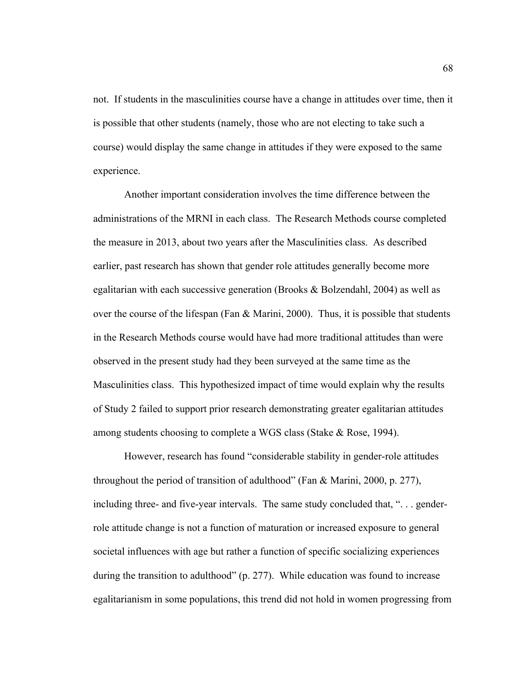not. If students in the masculinities course have a change in attitudes over time, then it is possible that other students (namely, those who are not electing to take such a course) would display the same change in attitudes if they were exposed to the same experience.

Another important consideration involves the time difference between the administrations of the MRNI in each class. The Research Methods course completed the measure in 2013, about two years after the Masculinities class. As described earlier, past research has shown that gender role attitudes generally become more egalitarian with each successive generation (Brooks & Bolzendahl, 2004) as well as over the course of the lifespan (Fan  $\&$  Marini, 2000). Thus, it is possible that students in the Research Methods course would have had more traditional attitudes than were observed in the present study had they been surveyed at the same time as the Masculinities class. This hypothesized impact of time would explain why the results of Study 2 failed to support prior research demonstrating greater egalitarian attitudes among students choosing to complete a WGS class (Stake & Rose, 1994).

However, research has found "considerable stability in gender-role attitudes throughout the period of transition of adulthood" (Fan & Marini, 2000, p. 277), including three- and five-year intervals. The same study concluded that, ". . . genderrole attitude change is not a function of maturation or increased exposure to general societal influences with age but rather a function of specific socializing experiences during the transition to adulthood" (p. 277). While education was found to increase egalitarianism in some populations, this trend did not hold in women progressing from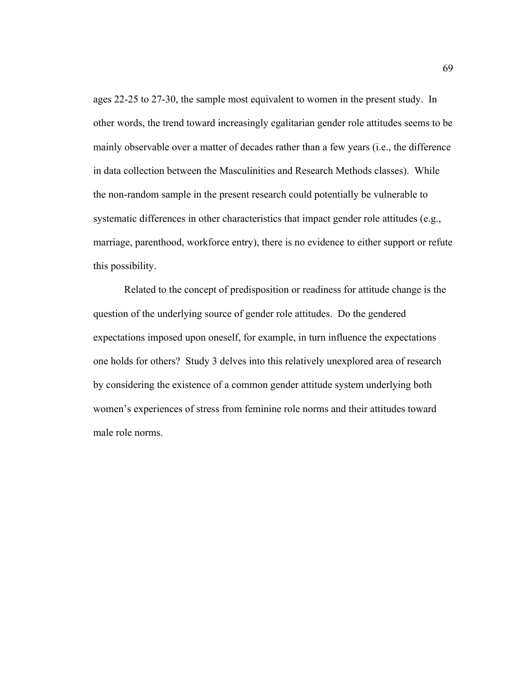ages 22-25 to 27-30, the sample most equivalent to women in the present study. In other words, the trend toward increasingly egalitarian gender role attitudes seems to be mainly observable over a matter of decades rather than a few years (i.e., the difference in data collection between the Masculinities and Research Methods classes). While the non-random sample in the present research could potentially be vulnerable to systematic differences in other characteristics that impact gender role attitudes (e.g., marriage, parenthood, workforce entry), there is no evidence to either support or refute this possibility.

Related to the concept of predisposition or readiness for attitude change is the question of the underlying source of gender role attitudes. Do the gendered expectations imposed upon oneself, for example, in turn influence the expectations one holds for others? Study 3 delves into this relatively unexplored area of research by considering the existence of a common gender attitude system underlying both women's experiences of stress from feminine role norms and their attitudes toward male role norms.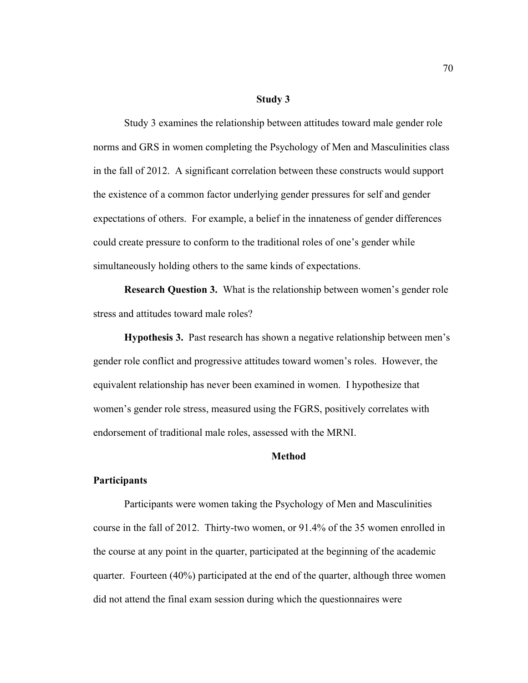#### **Study 3**

Study 3 examines the relationship between attitudes toward male gender role norms and GRS in women completing the Psychology of Men and Masculinities class in the fall of 2012. A significant correlation between these constructs would support the existence of a common factor underlying gender pressures for self and gender expectations of others. For example, a belief in the innateness of gender differences could create pressure to conform to the traditional roles of one's gender while simultaneously holding others to the same kinds of expectations.

**Research Question 3.** What is the relationship between women's gender role stress and attitudes toward male roles?

**Hypothesis 3.** Past research has shown a negative relationship between men's gender role conflict and progressive attitudes toward women's roles. However, the equivalent relationship has never been examined in women. I hypothesize that women's gender role stress, measured using the FGRS, positively correlates with endorsement of traditional male roles, assessed with the MRNI.

# **Method**

### **Participants**

Participants were women taking the Psychology of Men and Masculinities course in the fall of 2012. Thirty-two women, or 91.4% of the 35 women enrolled in the course at any point in the quarter, participated at the beginning of the academic quarter. Fourteen (40%) participated at the end of the quarter, although three women did not attend the final exam session during which the questionnaires were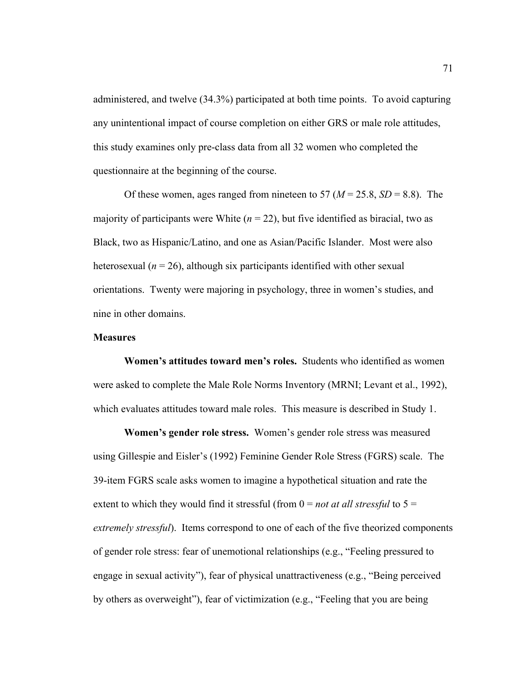administered, and twelve (34.3%) participated at both time points. To avoid capturing any unintentional impact of course completion on either GRS or male role attitudes, this study examines only pre-class data from all 32 women who completed the questionnaire at the beginning of the course.

Of these women, ages ranged from nineteen to 57 ( $M = 25.8$ ,  $SD = 8.8$ ). The majority of participants were White  $(n = 22)$ , but five identified as biracial, two as Black, two as Hispanic/Latino, and one as Asian/Pacific Islander. Most were also heterosexual ( $n = 26$ ), although six participants identified with other sexual orientations. Twenty were majoring in psychology, three in women's studies, and nine in other domains.

# **Measures**

**Women's attitudes toward men's roles.** Students who identified as women were asked to complete the Male Role Norms Inventory (MRNI; Levant et al., 1992), which evaluates attitudes toward male roles. This measure is described in Study 1.

**Women's gender role stress.** Women's gender role stress was measured using Gillespie and Eisler's (1992) Feminine Gender Role Stress (FGRS) scale. The 39-item FGRS scale asks women to imagine a hypothetical situation and rate the extent to which they would find it stressful (from  $0 = not$  *at all stressful* to  $5 =$ *extremely stressful*). Items correspond to one of each of the five theorized components of gender role stress: fear of unemotional relationships (e.g., "Feeling pressured to engage in sexual activity"), fear of physical unattractiveness (e.g., "Being perceived by others as overweight"), fear of victimization (e.g., "Feeling that you are being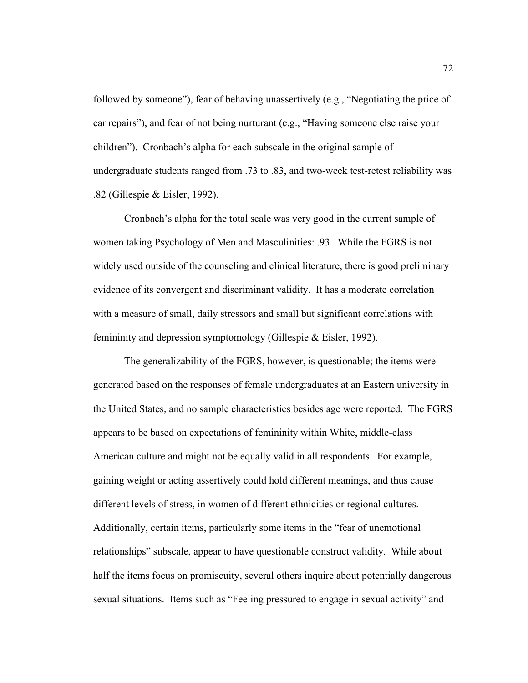followed by someone"), fear of behaving unassertively (e.g., "Negotiating the price of car repairs"), and fear of not being nurturant (e.g., "Having someone else raise your children"). Cronbach's alpha for each subscale in the original sample of undergraduate students ranged from .73 to .83, and two-week test-retest reliability was .82 (Gillespie & Eisler, 1992).

Cronbach's alpha for the total scale was very good in the current sample of women taking Psychology of Men and Masculinities: .93. While the FGRS is not widely used outside of the counseling and clinical literature, there is good preliminary evidence of its convergent and discriminant validity. It has a moderate correlation with a measure of small, daily stressors and small but significant correlations with femininity and depression symptomology (Gillespie & Eisler, 1992).

The generalizability of the FGRS, however, is questionable; the items were generated based on the responses of female undergraduates at an Eastern university in the United States, and no sample characteristics besides age were reported. The FGRS appears to be based on expectations of femininity within White, middle-class American culture and might not be equally valid in all respondents. For example, gaining weight or acting assertively could hold different meanings, and thus cause different levels of stress, in women of different ethnicities or regional cultures. Additionally, certain items, particularly some items in the "fear of unemotional relationships" subscale, appear to have questionable construct validity. While about half the items focus on promiscuity, several others inquire about potentially dangerous sexual situations. Items such as "Feeling pressured to engage in sexual activity" and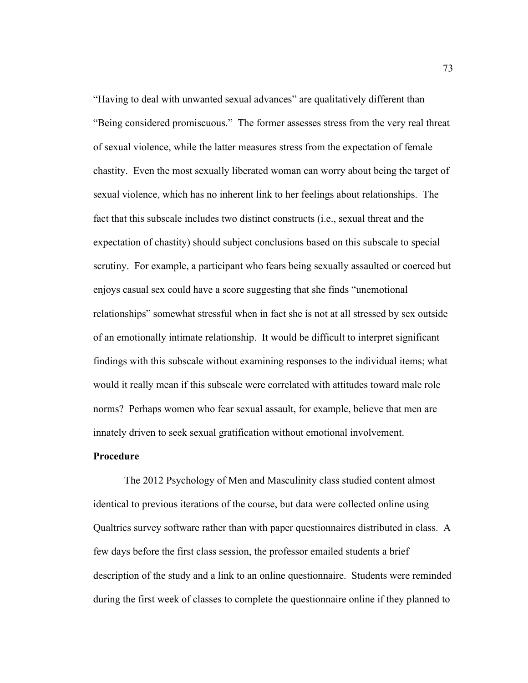"Having to deal with unwanted sexual advances" are qualitatively different than "Being considered promiscuous." The former assesses stress from the very real threat of sexual violence, while the latter measures stress from the expectation of female chastity. Even the most sexually liberated woman can worry about being the target of sexual violence, which has no inherent link to her feelings about relationships. The fact that this subscale includes two distinct constructs (i.e., sexual threat and the expectation of chastity) should subject conclusions based on this subscale to special scrutiny. For example, a participant who fears being sexually assaulted or coerced but enjoys casual sex could have a score suggesting that she finds "unemotional relationships" somewhat stressful when in fact she is not at all stressed by sex outside of an emotionally intimate relationship. It would be difficult to interpret significant findings with this subscale without examining responses to the individual items; what would it really mean if this subscale were correlated with attitudes toward male role norms? Perhaps women who fear sexual assault, for example, believe that men are innately driven to seek sexual gratification without emotional involvement.

# **Procedure**

The 2012 Psychology of Men and Masculinity class studied content almost identical to previous iterations of the course, but data were collected online using Qualtrics survey software rather than with paper questionnaires distributed in class. A few days before the first class session, the professor emailed students a brief description of the study and a link to an online questionnaire. Students were reminded during the first week of classes to complete the questionnaire online if they planned to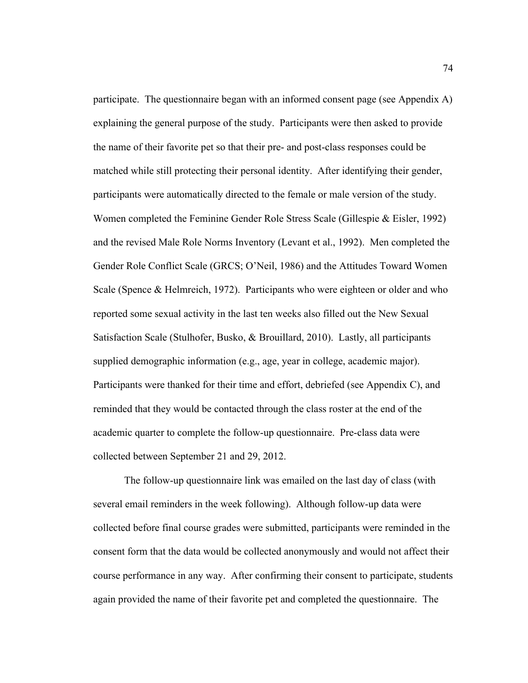participate. The questionnaire began with an informed consent page (see Appendix A) explaining the general purpose of the study. Participants were then asked to provide the name of their favorite pet so that their pre- and post-class responses could be matched while still protecting their personal identity. After identifying their gender, participants were automatically directed to the female or male version of the study. Women completed the Feminine Gender Role Stress Scale (Gillespie & Eisler, 1992) and the revised Male Role Norms Inventory (Levant et al., 1992). Men completed the Gender Role Conflict Scale (GRCS; O'Neil, 1986) and the Attitudes Toward Women Scale (Spence & Helmreich, 1972). Participants who were eighteen or older and who reported some sexual activity in the last ten weeks also filled out the New Sexual Satisfaction Scale (Stulhofer, Busko, & Brouillard, 2010). Lastly, all participants supplied demographic information (e.g., age, year in college, academic major). Participants were thanked for their time and effort, debriefed (see Appendix C), and reminded that they would be contacted through the class roster at the end of the academic quarter to complete the follow-up questionnaire. Pre-class data were collected between September 21 and 29, 2012.

The follow-up questionnaire link was emailed on the last day of class (with several email reminders in the week following). Although follow-up data were collected before final course grades were submitted, participants were reminded in the consent form that the data would be collected anonymously and would not affect their course performance in any way. After confirming their consent to participate, students again provided the name of their favorite pet and completed the questionnaire. The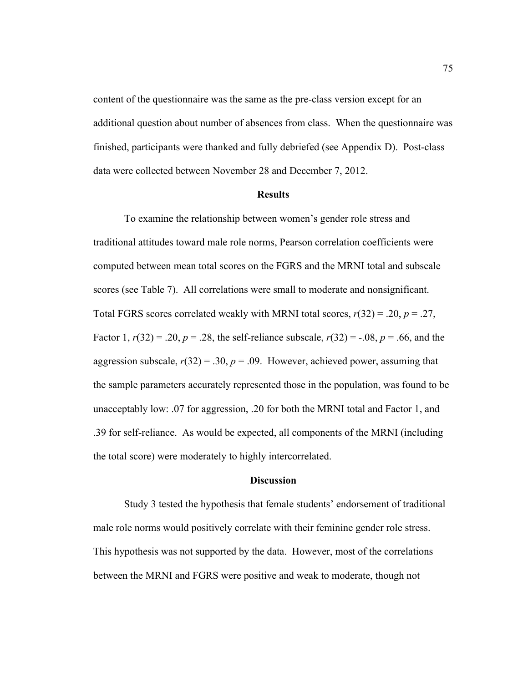content of the questionnaire was the same as the pre-class version except for an additional question about number of absences from class. When the questionnaire was finished, participants were thanked and fully debriefed (see Appendix D). Post-class data were collected between November 28 and December 7, 2012.

### **Results**

To examine the relationship between women's gender role stress and traditional attitudes toward male role norms, Pearson correlation coefficients were computed between mean total scores on the FGRS and the MRNI total and subscale scores (see Table 7). All correlations were small to moderate and nonsignificant. Total FGRS scores correlated weakly with MRNI total scores, *r*(32) = .20, *p* = .27, Factor 1,  $r(32) = .20$ ,  $p = .28$ , the self-reliance subscale,  $r(32) = .08$ ,  $p = .66$ , and the aggression subscale,  $r(32) = 0.30$ ,  $p = 0.09$ . However, achieved power, assuming that the sample parameters accurately represented those in the population, was found to be unacceptably low: .07 for aggression, .20 for both the MRNI total and Factor 1, and .39 for self-reliance. As would be expected, all components of the MRNI (including the total score) were moderately to highly intercorrelated.

### **Discussion**

Study 3 tested the hypothesis that female students' endorsement of traditional male role norms would positively correlate with their feminine gender role stress. This hypothesis was not supported by the data. However, most of the correlations between the MRNI and FGRS were positive and weak to moderate, though not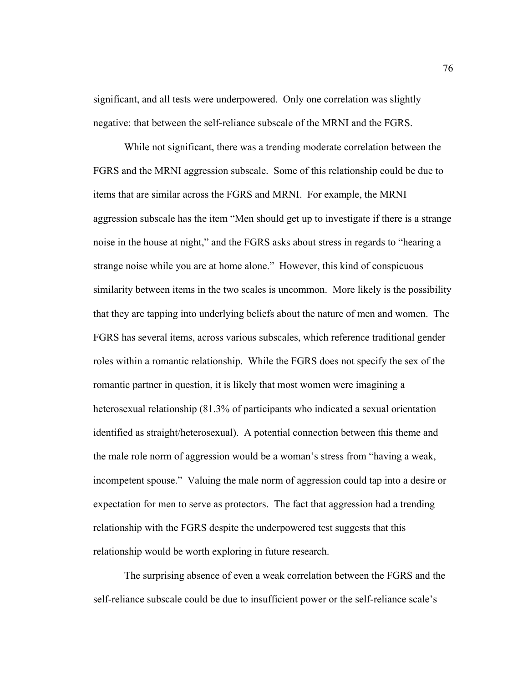significant, and all tests were underpowered. Only one correlation was slightly negative: that between the self-reliance subscale of the MRNI and the FGRS.

While not significant, there was a trending moderate correlation between the FGRS and the MRNI aggression subscale. Some of this relationship could be due to items that are similar across the FGRS and MRNI. For example, the MRNI aggression subscale has the item "Men should get up to investigate if there is a strange noise in the house at night," and the FGRS asks about stress in regards to "hearing a strange noise while you are at home alone." However, this kind of conspicuous similarity between items in the two scales is uncommon. More likely is the possibility that they are tapping into underlying beliefs about the nature of men and women. The FGRS has several items, across various subscales, which reference traditional gender roles within a romantic relationship. While the FGRS does not specify the sex of the romantic partner in question, it is likely that most women were imagining a heterosexual relationship (81.3% of participants who indicated a sexual orientation identified as straight/heterosexual). A potential connection between this theme and the male role norm of aggression would be a woman's stress from "having a weak, incompetent spouse." Valuing the male norm of aggression could tap into a desire or expectation for men to serve as protectors. The fact that aggression had a trending relationship with the FGRS despite the underpowered test suggests that this relationship would be worth exploring in future research.

The surprising absence of even a weak correlation between the FGRS and the self-reliance subscale could be due to insufficient power or the self-reliance scale's

76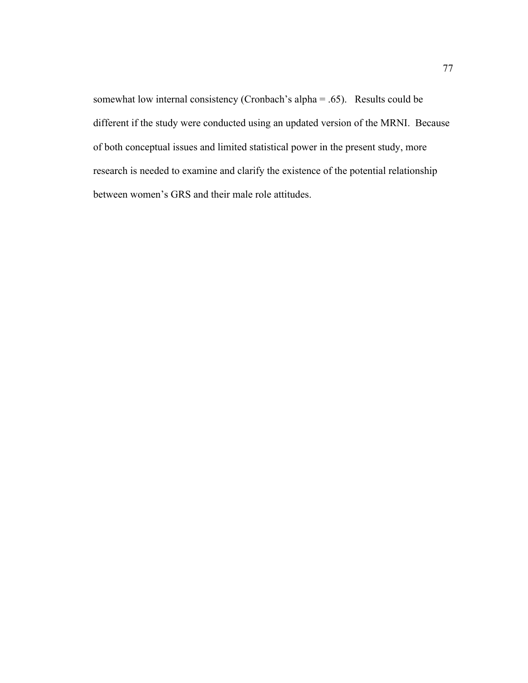somewhat low internal consistency (Cronbach's alpha = .65). Results could be different if the study were conducted using an updated version of the MRNI. Because of both conceptual issues and limited statistical power in the present study, more research is needed to examine and clarify the existence of the potential relationship between women's GRS and their male role attitudes.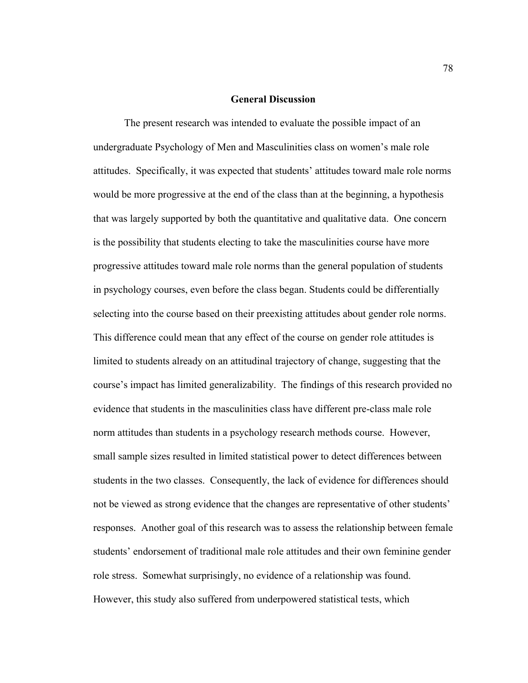### **General Discussion**

The present research was intended to evaluate the possible impact of an undergraduate Psychology of Men and Masculinities class on women's male role attitudes. Specifically, it was expected that students' attitudes toward male role norms would be more progressive at the end of the class than at the beginning, a hypothesis that was largely supported by both the quantitative and qualitative data. One concern is the possibility that students electing to take the masculinities course have more progressive attitudes toward male role norms than the general population of students in psychology courses, even before the class began. Students could be differentially selecting into the course based on their preexisting attitudes about gender role norms. This difference could mean that any effect of the course on gender role attitudes is limited to students already on an attitudinal trajectory of change, suggesting that the course's impact has limited generalizability. The findings of this research provided no evidence that students in the masculinities class have different pre-class male role norm attitudes than students in a psychology research methods course. However, small sample sizes resulted in limited statistical power to detect differences between students in the two classes. Consequently, the lack of evidence for differences should not be viewed as strong evidence that the changes are representative of other students' responses. Another goal of this research was to assess the relationship between female students' endorsement of traditional male role attitudes and their own feminine gender role stress. Somewhat surprisingly, no evidence of a relationship was found. However, this study also suffered from underpowered statistical tests, which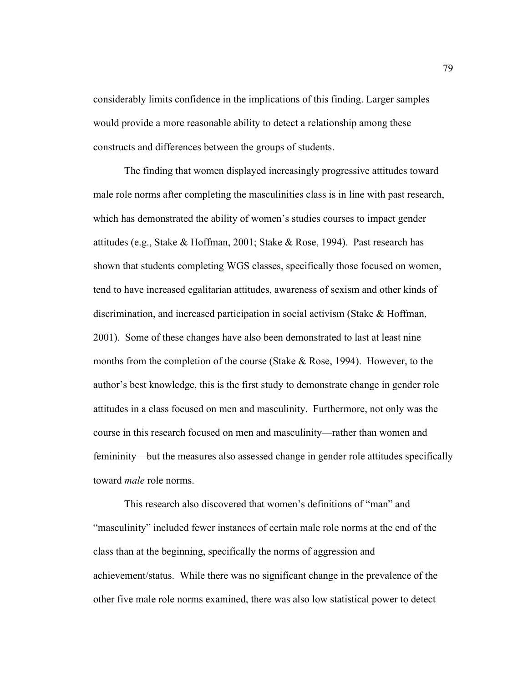considerably limits confidence in the implications of this finding. Larger samples would provide a more reasonable ability to detect a relationship among these constructs and differences between the groups of students.

The finding that women displayed increasingly progressive attitudes toward male role norms after completing the masculinities class is in line with past research, which has demonstrated the ability of women's studies courses to impact gender attitudes (e.g., Stake & Hoffman, 2001; Stake & Rose, 1994). Past research has shown that students completing WGS classes, specifically those focused on women, tend to have increased egalitarian attitudes, awareness of sexism and other kinds of discrimination, and increased participation in social activism (Stake & Hoffman, 2001). Some of these changes have also been demonstrated to last at least nine months from the completion of the course (Stake & Rose, 1994). However, to the author's best knowledge, this is the first study to demonstrate change in gender role attitudes in a class focused on men and masculinity. Furthermore, not only was the course in this research focused on men and masculinity—rather than women and femininity—but the measures also assessed change in gender role attitudes specifically toward *male* role norms.

This research also discovered that women's definitions of "man" and "masculinity" included fewer instances of certain male role norms at the end of the class than at the beginning, specifically the norms of aggression and achievement/status. While there was no significant change in the prevalence of the other five male role norms examined, there was also low statistical power to detect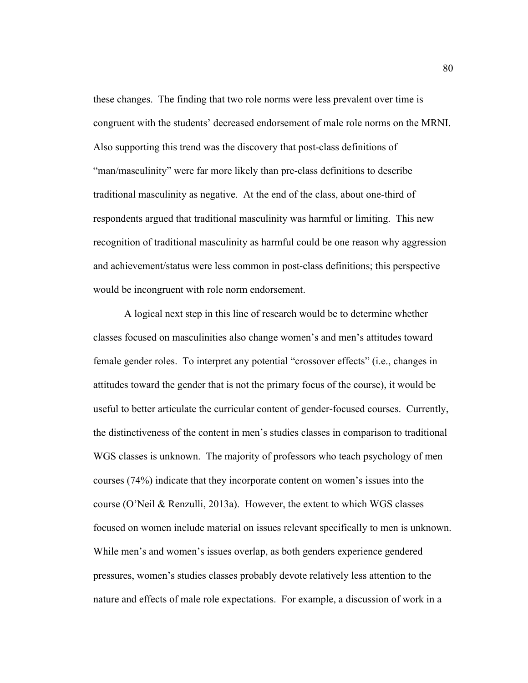these changes. The finding that two role norms were less prevalent over time is congruent with the students' decreased endorsement of male role norms on the MRNI. Also supporting this trend was the discovery that post-class definitions of "man/masculinity" were far more likely than pre-class definitions to describe traditional masculinity as negative. At the end of the class, about one-third of respondents argued that traditional masculinity was harmful or limiting. This new recognition of traditional masculinity as harmful could be one reason why aggression and achievement/status were less common in post-class definitions; this perspective would be incongruent with role norm endorsement.

A logical next step in this line of research would be to determine whether classes focused on masculinities also change women's and men's attitudes toward female gender roles. To interpret any potential "crossover effects" (i.e., changes in attitudes toward the gender that is not the primary focus of the course), it would be useful to better articulate the curricular content of gender-focused courses. Currently, the distinctiveness of the content in men's studies classes in comparison to traditional WGS classes is unknown. The majority of professors who teach psychology of men courses (74%) indicate that they incorporate content on women's issues into the course (O'Neil & Renzulli, 2013a). However, the extent to which WGS classes focused on women include material on issues relevant specifically to men is unknown. While men's and women's issues overlap, as both genders experience gendered pressures, women's studies classes probably devote relatively less attention to the nature and effects of male role expectations. For example, a discussion of work in a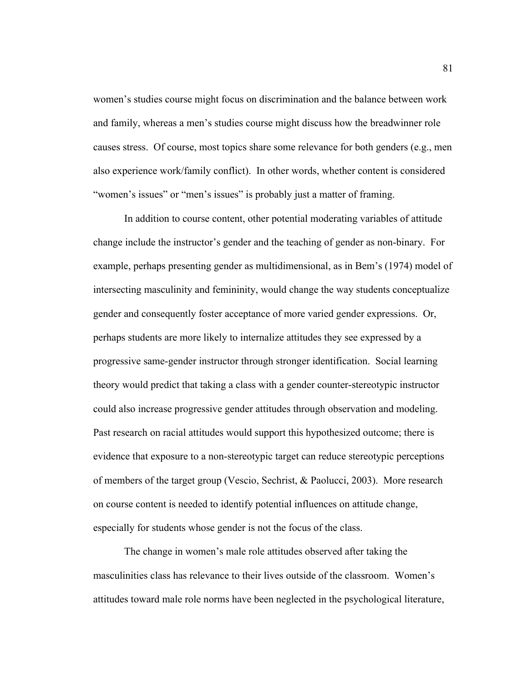women's studies course might focus on discrimination and the balance between work and family, whereas a men's studies course might discuss how the breadwinner role causes stress. Of course, most topics share some relevance for both genders (e.g., men also experience work/family conflict). In other words, whether content is considered "women's issues" or "men's issues" is probably just a matter of framing.

In addition to course content, other potential moderating variables of attitude change include the instructor's gender and the teaching of gender as non-binary. For example, perhaps presenting gender as multidimensional, as in Bem's (1974) model of intersecting masculinity and femininity, would change the way students conceptualize gender and consequently foster acceptance of more varied gender expressions. Or, perhaps students are more likely to internalize attitudes they see expressed by a progressive same-gender instructor through stronger identification. Social learning theory would predict that taking a class with a gender counter-stereotypic instructor could also increase progressive gender attitudes through observation and modeling. Past research on racial attitudes would support this hypothesized outcome; there is evidence that exposure to a non-stereotypic target can reduce stereotypic perceptions of members of the target group (Vescio, Sechrist, & Paolucci, 2003). More research on course content is needed to identify potential influences on attitude change, especially for students whose gender is not the focus of the class.

The change in women's male role attitudes observed after taking the masculinities class has relevance to their lives outside of the classroom. Women's attitudes toward male role norms have been neglected in the psychological literature,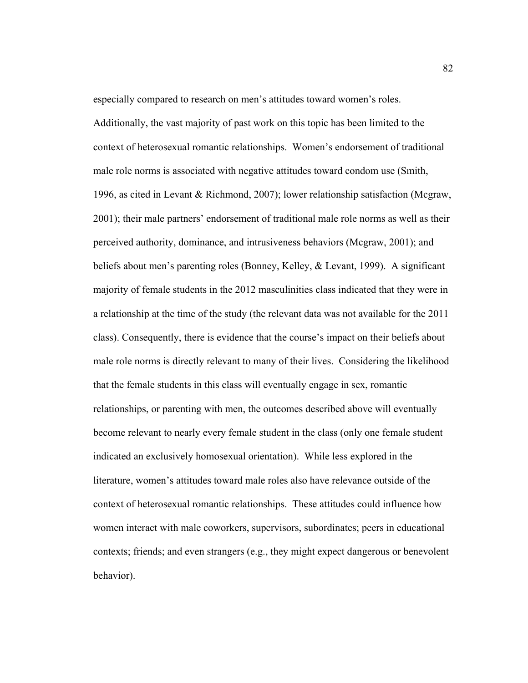especially compared to research on men's attitudes toward women's roles.

Additionally, the vast majority of past work on this topic has been limited to the context of heterosexual romantic relationships. Women's endorsement of traditional male role norms is associated with negative attitudes toward condom use (Smith, 1996, as cited in Levant & Richmond, 2007); lower relationship satisfaction (Mcgraw, 2001); their male partners' endorsement of traditional male role norms as well as their perceived authority, dominance, and intrusiveness behaviors (Mcgraw, 2001); and beliefs about men's parenting roles (Bonney, Kelley, & Levant, 1999). A significant majority of female students in the 2012 masculinities class indicated that they were in a relationship at the time of the study (the relevant data was not available for the 2011 class). Consequently, there is evidence that the course's impact on their beliefs about male role norms is directly relevant to many of their lives. Considering the likelihood that the female students in this class will eventually engage in sex, romantic relationships, or parenting with men, the outcomes described above will eventually become relevant to nearly every female student in the class (only one female student indicated an exclusively homosexual orientation). While less explored in the literature, women's attitudes toward male roles also have relevance outside of the context of heterosexual romantic relationships. These attitudes could influence how women interact with male coworkers, supervisors, subordinates; peers in educational contexts; friends; and even strangers (e.g., they might expect dangerous or benevolent behavior).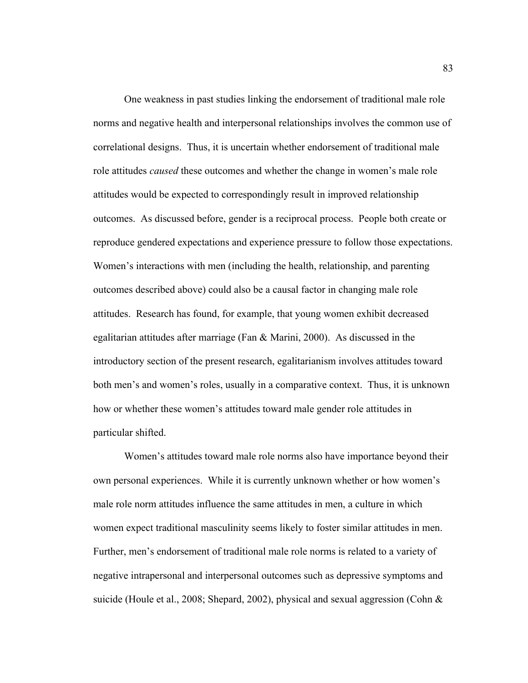One weakness in past studies linking the endorsement of traditional male role norms and negative health and interpersonal relationships involves the common use of correlational designs. Thus, it is uncertain whether endorsement of traditional male role attitudes *caused* these outcomes and whether the change in women's male role attitudes would be expected to correspondingly result in improved relationship outcomes. As discussed before, gender is a reciprocal process. People both create or reproduce gendered expectations and experience pressure to follow those expectations. Women's interactions with men (including the health, relationship, and parenting outcomes described above) could also be a causal factor in changing male role attitudes. Research has found, for example, that young women exhibit decreased egalitarian attitudes after marriage (Fan & Marini, 2000). As discussed in the introductory section of the present research, egalitarianism involves attitudes toward both men's and women's roles, usually in a comparative context. Thus, it is unknown how or whether these women's attitudes toward male gender role attitudes in particular shifted.

Women's attitudes toward male role norms also have importance beyond their own personal experiences. While it is currently unknown whether or how women's male role norm attitudes influence the same attitudes in men, a culture in which women expect traditional masculinity seems likely to foster similar attitudes in men. Further, men's endorsement of traditional male role norms is related to a variety of negative intrapersonal and interpersonal outcomes such as depressive symptoms and suicide (Houle et al., 2008; Shepard, 2002), physical and sexual aggression (Cohn &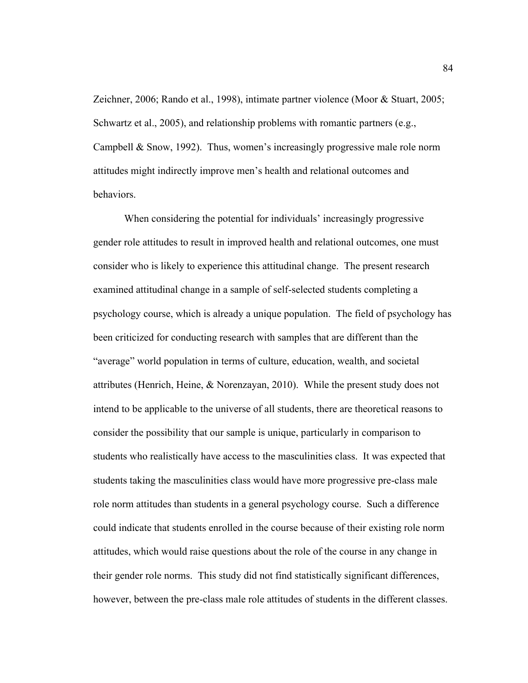Zeichner, 2006; Rando et al., 1998), intimate partner violence (Moor & Stuart, 2005; Schwartz et al., 2005), and relationship problems with romantic partners (e.g., Campbell & Snow, 1992). Thus, women's increasingly progressive male role norm attitudes might indirectly improve men's health and relational outcomes and behaviors.

When considering the potential for individuals' increasingly progressive gender role attitudes to result in improved health and relational outcomes, one must consider who is likely to experience this attitudinal change. The present research examined attitudinal change in a sample of self-selected students completing a psychology course, which is already a unique population. The field of psychology has been criticized for conducting research with samples that are different than the "average" world population in terms of culture, education, wealth, and societal attributes (Henrich, Heine, & Norenzayan, 2010). While the present study does not intend to be applicable to the universe of all students, there are theoretical reasons to consider the possibility that our sample is unique, particularly in comparison to students who realistically have access to the masculinities class. It was expected that students taking the masculinities class would have more progressive pre-class male role norm attitudes than students in a general psychology course. Such a difference could indicate that students enrolled in the course because of their existing role norm attitudes, which would raise questions about the role of the course in any change in their gender role norms. This study did not find statistically significant differences, however, between the pre-class male role attitudes of students in the different classes.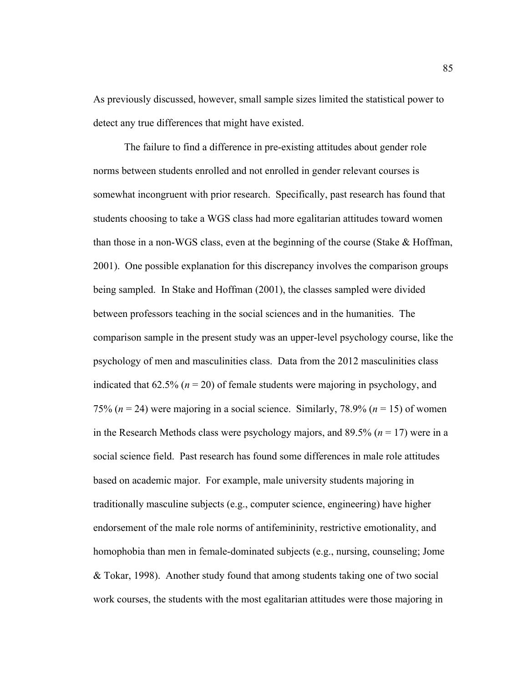As previously discussed, however, small sample sizes limited the statistical power to detect any true differences that might have existed.

The failure to find a difference in pre-existing attitudes about gender role norms between students enrolled and not enrolled in gender relevant courses is somewhat incongruent with prior research. Specifically, past research has found that students choosing to take a WGS class had more egalitarian attitudes toward women than those in a non-WGS class, even at the beginning of the course (Stake & Hoffman, 2001). One possible explanation for this discrepancy involves the comparison groups being sampled. In Stake and Hoffman (2001), the classes sampled were divided between professors teaching in the social sciences and in the humanities. The comparison sample in the present study was an upper-level psychology course, like the psychology of men and masculinities class. Data from the 2012 masculinities class indicated that  $62.5\%$  ( $n = 20$ ) of female students were majoring in psychology, and 75% (*n* = 24) were majoring in a social science. Similarly, 78.9% (*n* = 15) of women in the Research Methods class were psychology majors, and  $89.5\%$  ( $n = 17$ ) were in a social science field. Past research has found some differences in male role attitudes based on academic major. For example, male university students majoring in traditionally masculine subjects (e.g., computer science, engineering) have higher endorsement of the male role norms of antifemininity, restrictive emotionality, and homophobia than men in female-dominated subjects (e.g., nursing, counseling; Jome & Tokar, 1998). Another study found that among students taking one of two social work courses, the students with the most egalitarian attitudes were those majoring in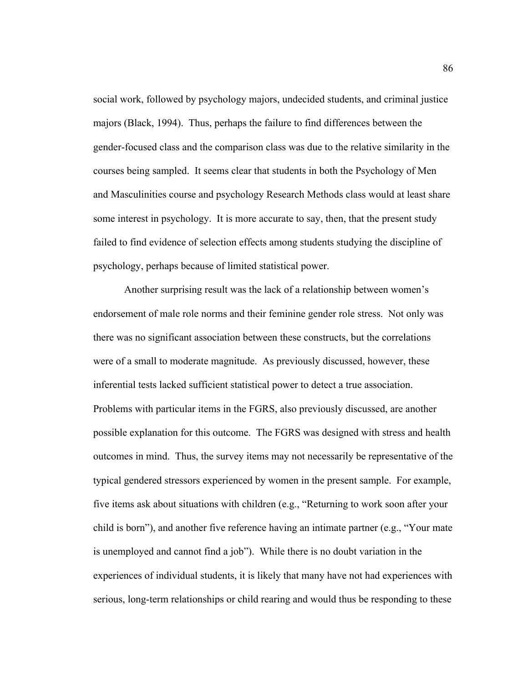social work, followed by psychology majors, undecided students, and criminal justice majors (Black, 1994). Thus, perhaps the failure to find differences between the gender-focused class and the comparison class was due to the relative similarity in the courses being sampled. It seems clear that students in both the Psychology of Men and Masculinities course and psychology Research Methods class would at least share some interest in psychology. It is more accurate to say, then, that the present study failed to find evidence of selection effects among students studying the discipline of psychology, perhaps because of limited statistical power.

Another surprising result was the lack of a relationship between women's endorsement of male role norms and their feminine gender role stress. Not only was there was no significant association between these constructs, but the correlations were of a small to moderate magnitude. As previously discussed, however, these inferential tests lacked sufficient statistical power to detect a true association. Problems with particular items in the FGRS, also previously discussed, are another possible explanation for this outcome. The FGRS was designed with stress and health outcomes in mind. Thus, the survey items may not necessarily be representative of the typical gendered stressors experienced by women in the present sample. For example, five items ask about situations with children (e.g., "Returning to work soon after your child is born"), and another five reference having an intimate partner (e.g., "Your mate is unemployed and cannot find a job"). While there is no doubt variation in the experiences of individual students, it is likely that many have not had experiences with serious, long-term relationships or child rearing and would thus be responding to these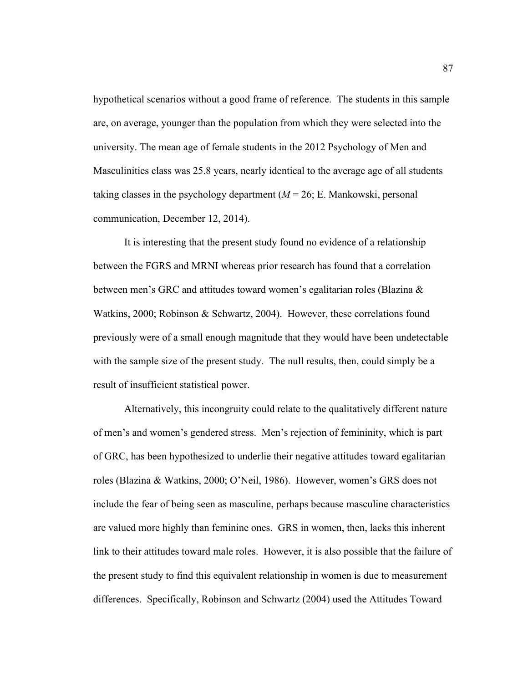hypothetical scenarios without a good frame of reference. The students in this sample are, on average, younger than the population from which they were selected into the university. The mean age of female students in the 2012 Psychology of Men and Masculinities class was 25.8 years, nearly identical to the average age of all students taking classes in the psychology department  $(M = 26; E$ . Mankowski, personal communication, December 12, 2014).

It is interesting that the present study found no evidence of a relationship between the FGRS and MRNI whereas prior research has found that a correlation between men's GRC and attitudes toward women's egalitarian roles (Blazina & Watkins, 2000; Robinson & Schwartz, 2004). However, these correlations found previously were of a small enough magnitude that they would have been undetectable with the sample size of the present study. The null results, then, could simply be a result of insufficient statistical power.

Alternatively, this incongruity could relate to the qualitatively different nature of men's and women's gendered stress. Men's rejection of femininity, which is part of GRC, has been hypothesized to underlie their negative attitudes toward egalitarian roles (Blazina & Watkins, 2000; O'Neil, 1986). However, women's GRS does not include the fear of being seen as masculine, perhaps because masculine characteristics are valued more highly than feminine ones. GRS in women, then, lacks this inherent link to their attitudes toward male roles. However, it is also possible that the failure of the present study to find this equivalent relationship in women is due to measurement differences. Specifically, Robinson and Schwartz (2004) used the Attitudes Toward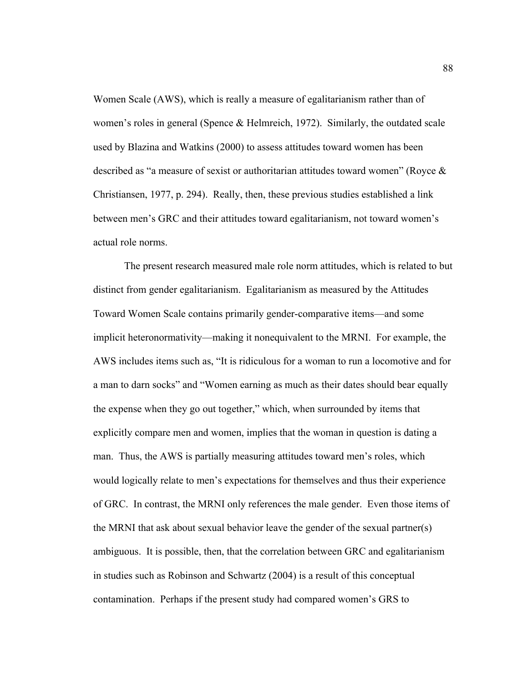Women Scale (AWS), which is really a measure of egalitarianism rather than of women's roles in general (Spence & Helmreich, 1972). Similarly, the outdated scale used by Blazina and Watkins (2000) to assess attitudes toward women has been described as "a measure of sexist or authoritarian attitudes toward women" (Royce & Christiansen, 1977, p. 294). Really, then, these previous studies established a link between men's GRC and their attitudes toward egalitarianism, not toward women's actual role norms.

The present research measured male role norm attitudes, which is related to but distinct from gender egalitarianism. Egalitarianism as measured by the Attitudes Toward Women Scale contains primarily gender-comparative items—and some implicit heteronormativity—making it nonequivalent to the MRNI. For example, the AWS includes items such as, "It is ridiculous for a woman to run a locomotive and for a man to darn socks" and "Women earning as much as their dates should bear equally the expense when they go out together," which, when surrounded by items that explicitly compare men and women, implies that the woman in question is dating a man. Thus, the AWS is partially measuring attitudes toward men's roles, which would logically relate to men's expectations for themselves and thus their experience of GRC. In contrast, the MRNI only references the male gender. Even those items of the MRNI that ask about sexual behavior leave the gender of the sexual partner(s) ambiguous. It is possible, then, that the correlation between GRC and egalitarianism in studies such as Robinson and Schwartz (2004) is a result of this conceptual contamination. Perhaps if the present study had compared women's GRS to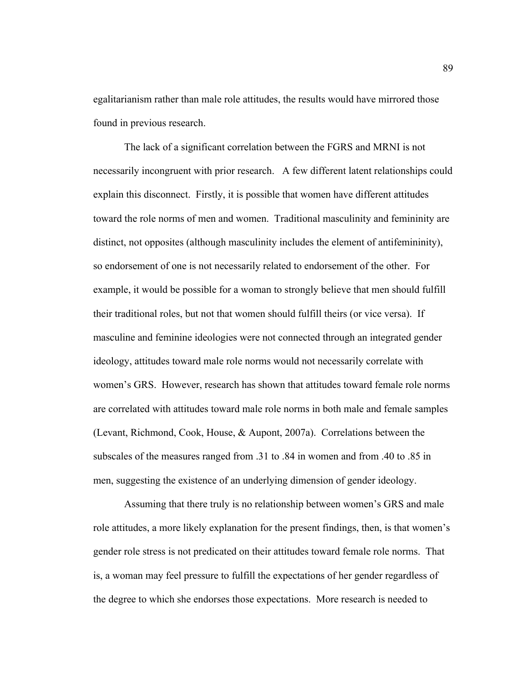egalitarianism rather than male role attitudes, the results would have mirrored those found in previous research.

The lack of a significant correlation between the FGRS and MRNI is not necessarily incongruent with prior research. A few different latent relationships could explain this disconnect. Firstly, it is possible that women have different attitudes toward the role norms of men and women. Traditional masculinity and femininity are distinct, not opposites (although masculinity includes the element of antifemininity), so endorsement of one is not necessarily related to endorsement of the other. For example, it would be possible for a woman to strongly believe that men should fulfill their traditional roles, but not that women should fulfill theirs (or vice versa). If masculine and feminine ideologies were not connected through an integrated gender ideology, attitudes toward male role norms would not necessarily correlate with women's GRS. However, research has shown that attitudes toward female role norms are correlated with attitudes toward male role norms in both male and female samples (Levant, Richmond, Cook, House, & Aupont, 2007a). Correlations between the subscales of the measures ranged from .31 to .84 in women and from .40 to .85 in men, suggesting the existence of an underlying dimension of gender ideology.

Assuming that there truly is no relationship between women's GRS and male role attitudes, a more likely explanation for the present findings, then, is that women's gender role stress is not predicated on their attitudes toward female role norms. That is, a woman may feel pressure to fulfill the expectations of her gender regardless of the degree to which she endorses those expectations. More research is needed to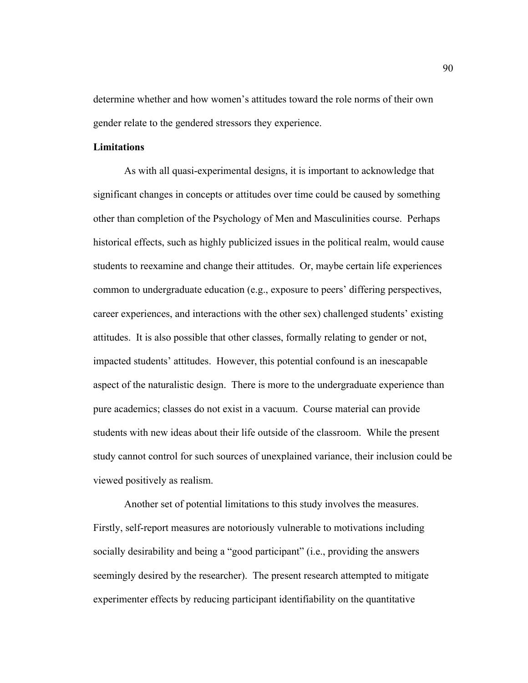determine whether and how women's attitudes toward the role norms of their own gender relate to the gendered stressors they experience.

# **Limitations**

As with all quasi-experimental designs, it is important to acknowledge that significant changes in concepts or attitudes over time could be caused by something other than completion of the Psychology of Men and Masculinities course. Perhaps historical effects, such as highly publicized issues in the political realm, would cause students to reexamine and change their attitudes. Or, maybe certain life experiences common to undergraduate education (e.g., exposure to peers' differing perspectives, career experiences, and interactions with the other sex) challenged students' existing attitudes. It is also possible that other classes, formally relating to gender or not, impacted students' attitudes. However, this potential confound is an inescapable aspect of the naturalistic design. There is more to the undergraduate experience than pure academics; classes do not exist in a vacuum. Course material can provide students with new ideas about their life outside of the classroom. While the present study cannot control for such sources of unexplained variance, their inclusion could be viewed positively as realism.

Another set of potential limitations to this study involves the measures. Firstly, self-report measures are notoriously vulnerable to motivations including socially desirability and being a "good participant" (i.e., providing the answers seemingly desired by the researcher). The present research attempted to mitigate experimenter effects by reducing participant identifiability on the quantitative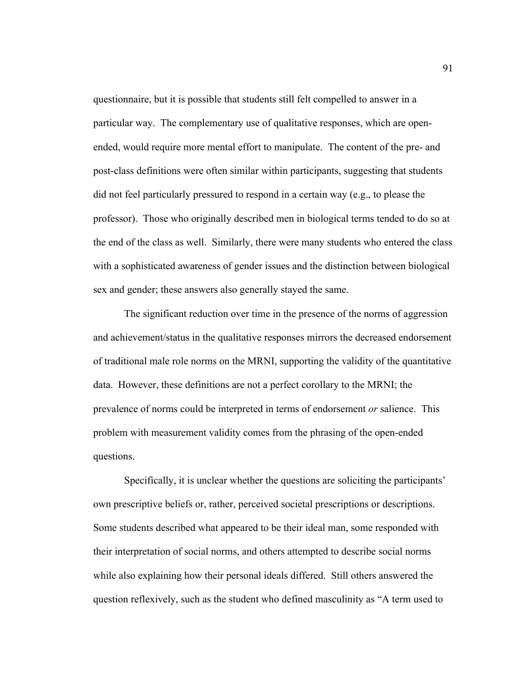questionnaire, but it is possible that students still felt compelled to answer in a particular way. The complementary use of qualitative responses, which are openended, would require more mental effort to manipulate. The content of the pre- and post-class definitions were often similar within participants, suggesting that students did not feel particularly pressured to respond in a certain way (e.g., to please the professor). Those who originally described men in biological terms tended to do so at the end of the class as well. Similarly, there were many students who entered the class with a sophisticated awareness of gender issues and the distinction between biological sex and gender; these answers also generally stayed the same.

The significant reduction over time in the presence of the norms of aggression and achievement/status in the qualitative responses mirrors the decreased endorsement of traditional male role norms on the MRNI, supporting the validity of the quantitative data. However, these definitions are not a perfect corollary to the MRNI; the prevalence of norms could be interpreted in terms of endorsement *or* salience. This problem with measurement validity comes from the phrasing of the open-ended questions.

Specifically, it is unclear whether the questions are soliciting the participants' own prescriptive beliefs or, rather, perceived societal prescriptions or descriptions. Some students described what appeared to be their ideal man, some responded with their interpretation of social norms, and others attempted to describe social norms while also explaining how their personal ideals differed. Still others answered the question reflexively, such as the student who defined masculinity as "A term used to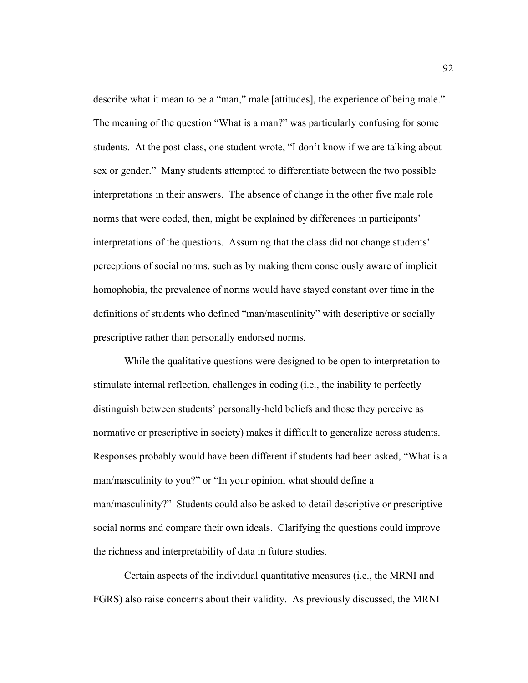describe what it mean to be a "man," male [attitudes], the experience of being male." The meaning of the question "What is a man?" was particularly confusing for some students. At the post-class, one student wrote, "I don't know if we are talking about sex or gender." Many students attempted to differentiate between the two possible interpretations in their answers. The absence of change in the other five male role norms that were coded, then, might be explained by differences in participants' interpretations of the questions. Assuming that the class did not change students' perceptions of social norms, such as by making them consciously aware of implicit homophobia, the prevalence of norms would have stayed constant over time in the definitions of students who defined "man/masculinity" with descriptive or socially prescriptive rather than personally endorsed norms.

While the qualitative questions were designed to be open to interpretation to stimulate internal reflection, challenges in coding (i.e., the inability to perfectly distinguish between students' personally-held beliefs and those they perceive as normative or prescriptive in society) makes it difficult to generalize across students. Responses probably would have been different if students had been asked, "What is a man/masculinity to you?" or "In your opinion, what should define a man/masculinity?" Students could also be asked to detail descriptive or prescriptive social norms and compare their own ideals. Clarifying the questions could improve the richness and interpretability of data in future studies.

Certain aspects of the individual quantitative measures (i.e., the MRNI and FGRS) also raise concerns about their validity. As previously discussed, the MRNI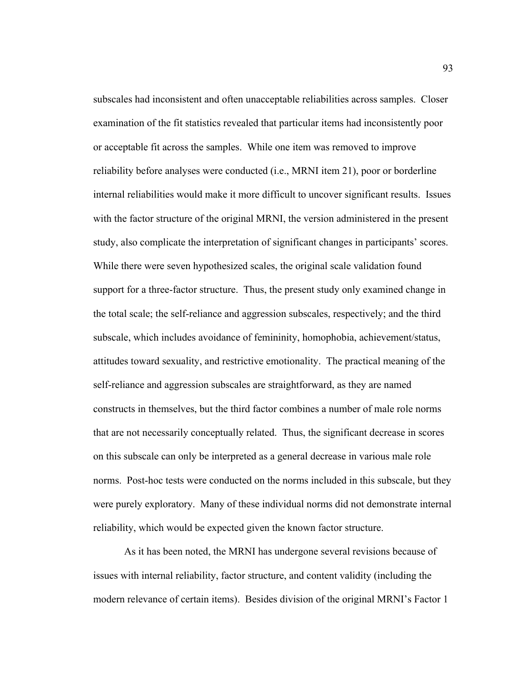subscales had inconsistent and often unacceptable reliabilities across samples. Closer examination of the fit statistics revealed that particular items had inconsistently poor or acceptable fit across the samples. While one item was removed to improve reliability before analyses were conducted (i.e., MRNI item 21), poor or borderline internal reliabilities would make it more difficult to uncover significant results. Issues with the factor structure of the original MRNI, the version administered in the present study, also complicate the interpretation of significant changes in participants' scores. While there were seven hypothesized scales, the original scale validation found support for a three-factor structure. Thus, the present study only examined change in the total scale; the self-reliance and aggression subscales, respectively; and the third subscale, which includes avoidance of femininity, homophobia, achievement/status, attitudes toward sexuality, and restrictive emotionality. The practical meaning of the self-reliance and aggression subscales are straightforward, as they are named constructs in themselves, but the third factor combines a number of male role norms that are not necessarily conceptually related. Thus, the significant decrease in scores on this subscale can only be interpreted as a general decrease in various male role norms. Post-hoc tests were conducted on the norms included in this subscale, but they were purely exploratory. Many of these individual norms did not demonstrate internal reliability, which would be expected given the known factor structure.

As it has been noted, the MRNI has undergone several revisions because of issues with internal reliability, factor structure, and content validity (including the modern relevance of certain items). Besides division of the original MRNI's Factor 1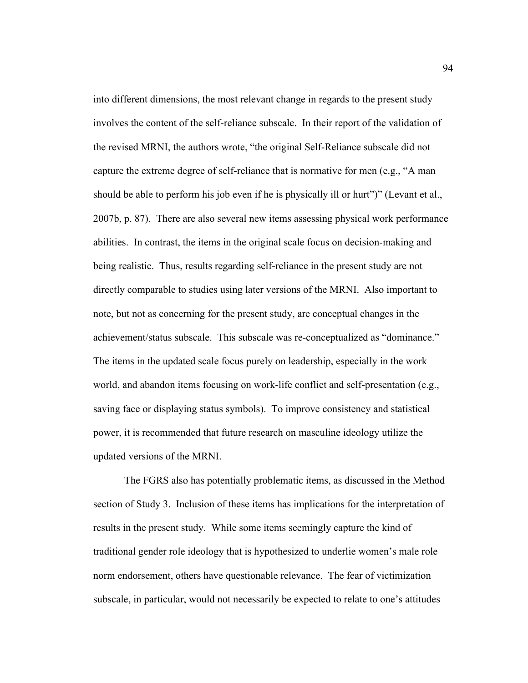into different dimensions, the most relevant change in regards to the present study involves the content of the self-reliance subscale. In their report of the validation of the revised MRNI, the authors wrote, "the original Self-Reliance subscale did not capture the extreme degree of self-reliance that is normative for men (e.g., "A man should be able to perform his job even if he is physically ill or hurt")" (Levant et al., 2007b, p. 87). There are also several new items assessing physical work performance abilities. In contrast, the items in the original scale focus on decision-making and being realistic. Thus, results regarding self-reliance in the present study are not directly comparable to studies using later versions of the MRNI. Also important to note, but not as concerning for the present study, are conceptual changes in the achievement/status subscale. This subscale was re-conceptualized as "dominance." The items in the updated scale focus purely on leadership, especially in the work world, and abandon items focusing on work-life conflict and self-presentation (e.g., saving face or displaying status symbols). To improve consistency and statistical power, it is recommended that future research on masculine ideology utilize the updated versions of the MRNI.

The FGRS also has potentially problematic items, as discussed in the Method section of Study 3. Inclusion of these items has implications for the interpretation of results in the present study. While some items seemingly capture the kind of traditional gender role ideology that is hypothesized to underlie women's male role norm endorsement, others have questionable relevance. The fear of victimization subscale, in particular, would not necessarily be expected to relate to one's attitudes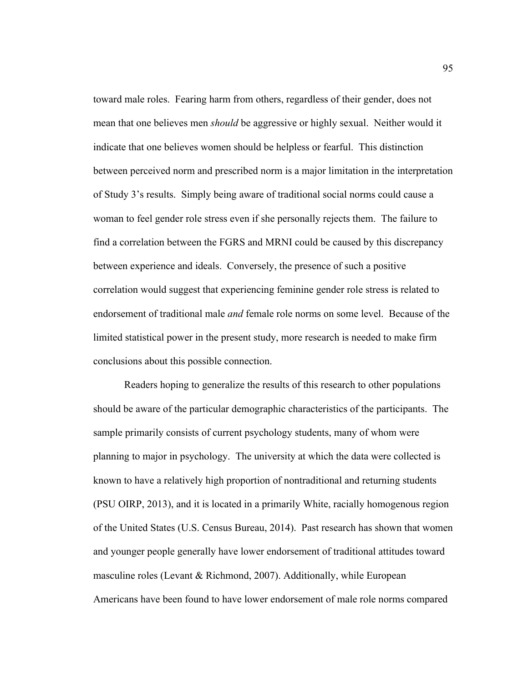toward male roles. Fearing harm from others, regardless of their gender, does not mean that one believes men *should* be aggressive or highly sexual. Neither would it indicate that one believes women should be helpless or fearful. This distinction between perceived norm and prescribed norm is a major limitation in the interpretation of Study 3's results. Simply being aware of traditional social norms could cause a woman to feel gender role stress even if she personally rejects them. The failure to find a correlation between the FGRS and MRNI could be caused by this discrepancy between experience and ideals. Conversely, the presence of such a positive correlation would suggest that experiencing feminine gender role stress is related to endorsement of traditional male *and* female role norms on some level. Because of the limited statistical power in the present study, more research is needed to make firm conclusions about this possible connection.

Readers hoping to generalize the results of this research to other populations should be aware of the particular demographic characteristics of the participants. The sample primarily consists of current psychology students, many of whom were planning to major in psychology. The university at which the data were collected is known to have a relatively high proportion of nontraditional and returning students (PSU OIRP, 2013), and it is located in a primarily White, racially homogenous region of the United States (U.S. Census Bureau, 2014). Past research has shown that women and younger people generally have lower endorsement of traditional attitudes toward masculine roles (Levant & Richmond, 2007). Additionally, while European Americans have been found to have lower endorsement of male role norms compared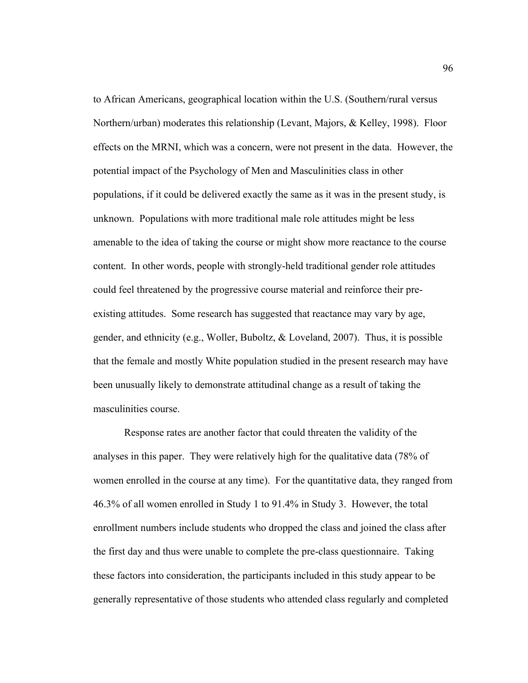to African Americans, geographical location within the U.S. (Southern/rural versus Northern/urban) moderates this relationship (Levant, Majors, & Kelley, 1998). Floor effects on the MRNI, which was a concern, were not present in the data. However, the potential impact of the Psychology of Men and Masculinities class in other populations, if it could be delivered exactly the same as it was in the present study, is unknown. Populations with more traditional male role attitudes might be less amenable to the idea of taking the course or might show more reactance to the course content. In other words, people with strongly-held traditional gender role attitudes could feel threatened by the progressive course material and reinforce their preexisting attitudes. Some research has suggested that reactance may vary by age, gender, and ethnicity (e.g., Woller, Buboltz,  $& Loveland, 2007$ ). Thus, it is possible that the female and mostly White population studied in the present research may have been unusually likely to demonstrate attitudinal change as a result of taking the masculinities course.

Response rates are another factor that could threaten the validity of the analyses in this paper. They were relatively high for the qualitative data (78% of women enrolled in the course at any time). For the quantitative data, they ranged from 46.3% of all women enrolled in Study 1 to 91.4% in Study 3. However, the total enrollment numbers include students who dropped the class and joined the class after the first day and thus were unable to complete the pre-class questionnaire. Taking these factors into consideration, the participants included in this study appear to be generally representative of those students who attended class regularly and completed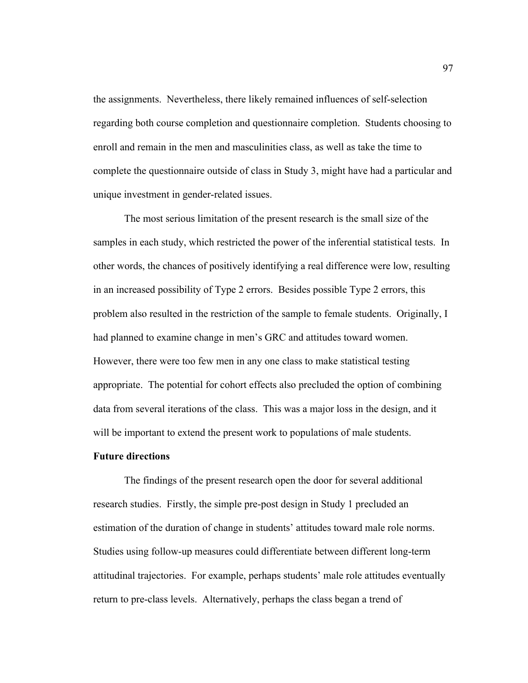the assignments. Nevertheless, there likely remained influences of self-selection regarding both course completion and questionnaire completion. Students choosing to enroll and remain in the men and masculinities class, as well as take the time to complete the questionnaire outside of class in Study 3, might have had a particular and unique investment in gender-related issues.

The most serious limitation of the present research is the small size of the samples in each study, which restricted the power of the inferential statistical tests. In other words, the chances of positively identifying a real difference were low, resulting in an increased possibility of Type 2 errors. Besides possible Type 2 errors, this problem also resulted in the restriction of the sample to female students. Originally, I had planned to examine change in men's GRC and attitudes toward women. However, there were too few men in any one class to make statistical testing appropriate. The potential for cohort effects also precluded the option of combining data from several iterations of the class. This was a major loss in the design, and it will be important to extend the present work to populations of male students.

# **Future directions**

The findings of the present research open the door for several additional research studies. Firstly, the simple pre-post design in Study 1 precluded an estimation of the duration of change in students' attitudes toward male role norms. Studies using follow-up measures could differentiate between different long-term attitudinal trajectories. For example, perhaps students' male role attitudes eventually return to pre-class levels. Alternatively, perhaps the class began a trend of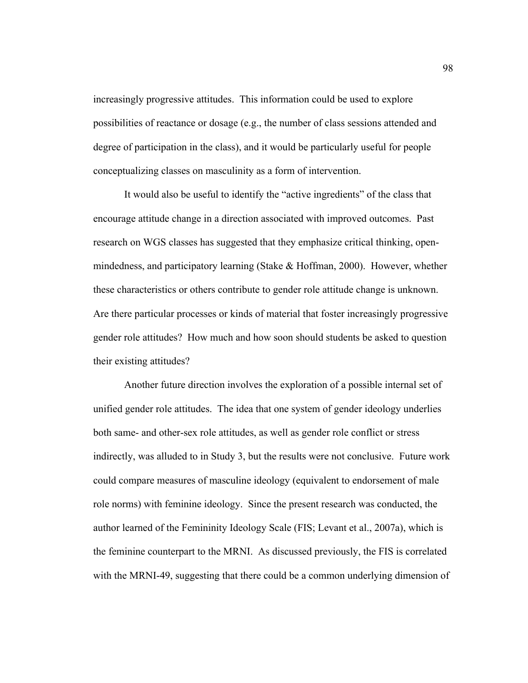increasingly progressive attitudes. This information could be used to explore possibilities of reactance or dosage (e.g., the number of class sessions attended and degree of participation in the class), and it would be particularly useful for people conceptualizing classes on masculinity as a form of intervention.

It would also be useful to identify the "active ingredients" of the class that encourage attitude change in a direction associated with improved outcomes. Past research on WGS classes has suggested that they emphasize critical thinking, openmindedness, and participatory learning (Stake & Hoffman, 2000). However, whether these characteristics or others contribute to gender role attitude change is unknown. Are there particular processes or kinds of material that foster increasingly progressive gender role attitudes? How much and how soon should students be asked to question their existing attitudes?

Another future direction involves the exploration of a possible internal set of unified gender role attitudes. The idea that one system of gender ideology underlies both same- and other-sex role attitudes, as well as gender role conflict or stress indirectly, was alluded to in Study 3, but the results were not conclusive. Future work could compare measures of masculine ideology (equivalent to endorsement of male role norms) with feminine ideology. Since the present research was conducted, the author learned of the Femininity Ideology Scale (FIS; Levant et al., 2007a), which is the feminine counterpart to the MRNI. As discussed previously, the FIS is correlated with the MRNI-49, suggesting that there could be a common underlying dimension of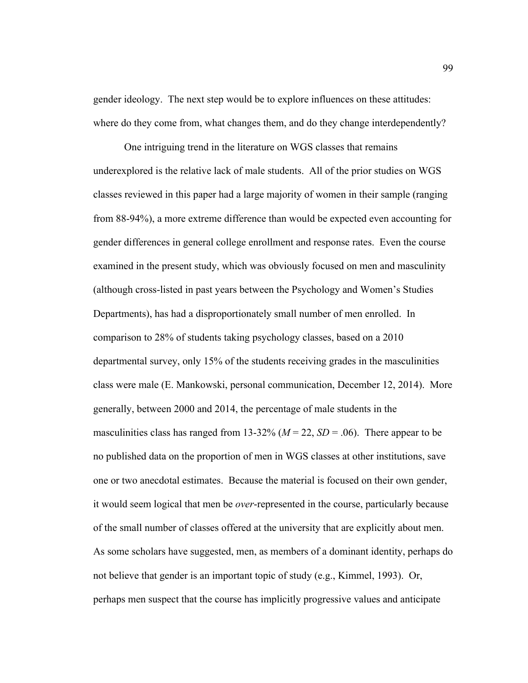gender ideology. The next step would be to explore influences on these attitudes: where do they come from, what changes them, and do they change interdependently?

One intriguing trend in the literature on WGS classes that remains underexplored is the relative lack of male students. All of the prior studies on WGS classes reviewed in this paper had a large majority of women in their sample (ranging from 88-94%), a more extreme difference than would be expected even accounting for gender differences in general college enrollment and response rates. Even the course examined in the present study, which was obviously focused on men and masculinity (although cross-listed in past years between the Psychology and Women's Studies Departments), has had a disproportionately small number of men enrolled. In comparison to 28% of students taking psychology classes, based on a 2010 departmental survey, only 15% of the students receiving grades in the masculinities class were male (E. Mankowski, personal communication, December 12, 2014). More generally, between 2000 and 2014, the percentage of male students in the masculinities class has ranged from 13-32% ( $M = 22$ ,  $SD = .06$ ). There appear to be no published data on the proportion of men in WGS classes at other institutions, save one or two anecdotal estimates. Because the material is focused on their own gender, it would seem logical that men be *over*-represented in the course, particularly because of the small number of classes offered at the university that are explicitly about men. As some scholars have suggested, men, as members of a dominant identity, perhaps do not believe that gender is an important topic of study (e.g., Kimmel, 1993). Or, perhaps men suspect that the course has implicitly progressive values and anticipate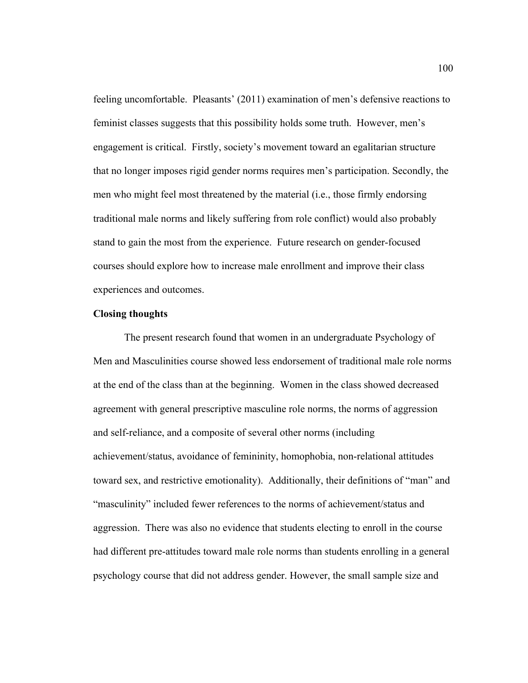feeling uncomfortable. Pleasants' (2011) examination of men's defensive reactions to feminist classes suggests that this possibility holds some truth. However, men's engagement is critical. Firstly, society's movement toward an egalitarian structure that no longer imposes rigid gender norms requires men's participation. Secondly, the men who might feel most threatened by the material (i.e., those firmly endorsing traditional male norms and likely suffering from role conflict) would also probably stand to gain the most from the experience. Future research on gender-focused courses should explore how to increase male enrollment and improve their class experiences and outcomes.

### **Closing thoughts**

The present research found that women in an undergraduate Psychology of Men and Masculinities course showed less endorsement of traditional male role norms at the end of the class than at the beginning. Women in the class showed decreased agreement with general prescriptive masculine role norms, the norms of aggression and self-reliance, and a composite of several other norms (including achievement/status, avoidance of femininity, homophobia, non-relational attitudes toward sex, and restrictive emotionality). Additionally, their definitions of "man" and "masculinity" included fewer references to the norms of achievement/status and aggression. There was also no evidence that students electing to enroll in the course had different pre-attitudes toward male role norms than students enrolling in a general psychology course that did not address gender. However, the small sample size and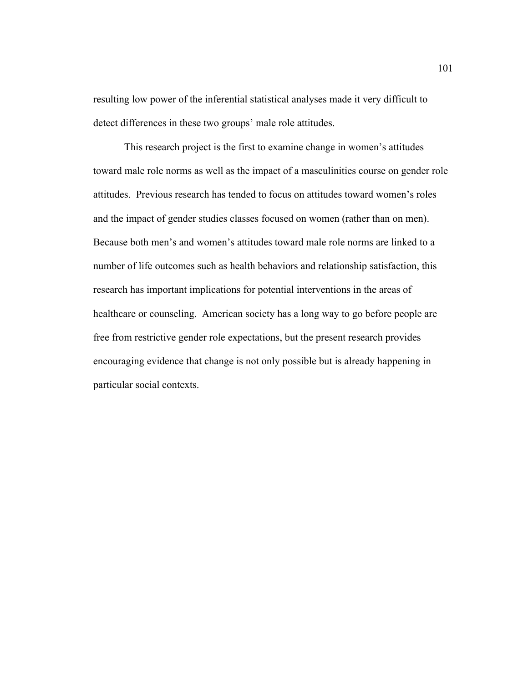resulting low power of the inferential statistical analyses made it very difficult to detect differences in these two groups' male role attitudes.

This research project is the first to examine change in women's attitudes toward male role norms as well as the impact of a masculinities course on gender role attitudes. Previous research has tended to focus on attitudes toward women's roles and the impact of gender studies classes focused on women (rather than on men). Because both men's and women's attitudes toward male role norms are linked to a number of life outcomes such as health behaviors and relationship satisfaction, this research has important implications for potential interventions in the areas of healthcare or counseling. American society has a long way to go before people are free from restrictive gender role expectations, but the present research provides encouraging evidence that change is not only possible but is already happening in particular social contexts.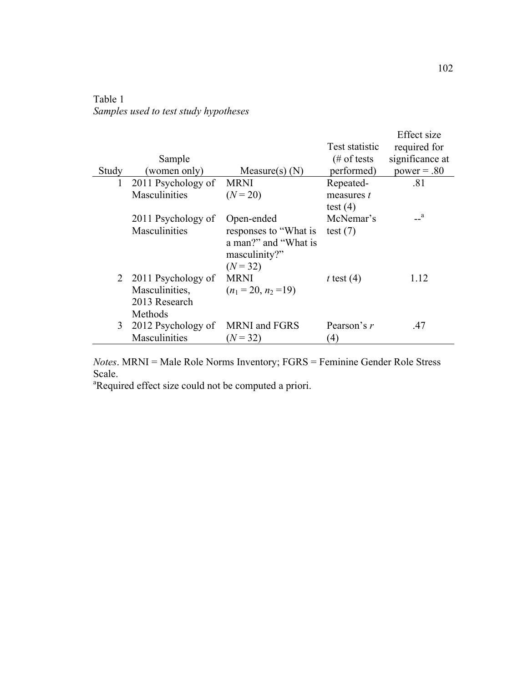| Table 1                               |  |  |  |
|---------------------------------------|--|--|--|
| Samples used to test study hypotheses |  |  |  |

|       |                      |                                                                              | Test statistic   | Effect size<br>required for |
|-------|----------------------|------------------------------------------------------------------------------|------------------|-----------------------------|
|       | Sample               |                                                                              | $#$ of tests     | significance at             |
| Study | (women only)         | Measure(s) $(N)$                                                             | performed)       | $power = .80$               |
| 1     | 2011 Psychology of   | <b>MRNI</b>                                                                  | Repeated-        | .81                         |
|       | Masculinities        | $(N = 20)$                                                                   | measures t       |                             |
|       |                      |                                                                              | test $(4)$       |                             |
|       | 2011 Psychology of   | Open-ended                                                                   | McNemar's        | $\mathbf{a}$                |
|       | <b>Masculinities</b> | responses to "What is<br>a man?" and "What is<br>masculinity?"<br>$(N = 32)$ | test $(7)$       |                             |
|       | 2 2011 Psychology of | <b>MRNI</b>                                                                  | t test $(4)$     | 1.12                        |
|       | Masculinities,       | $(n_1 = 20, n_2 = 19)$                                                       |                  |                             |
|       | 2013 Research        |                                                                              |                  |                             |
|       | Methods              |                                                                              |                  |                             |
| 3     | 2012 Psychology of   | <b>MRNI</b> and FGRS                                                         | Pearson's $r$    | .47                         |
|       | Masculinities        | $(N = 32)$                                                                   | $\left(4\right)$ |                             |

*Notes*. MRNI = Male Role Norms Inventory; FGRS = Feminine Gender Role Stress Scale.

<sup>a</sup>Required effect size could not be computed a priori.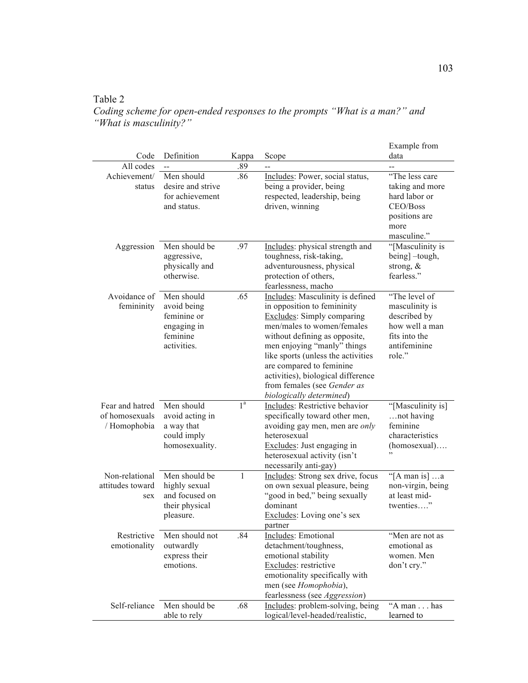# Table 2

*Coding scheme for open-ended responses to the prompts "What is a man?" and "What is masculinity?"*

| Code                                              | Definition                                                                        | Kappa          | Scope                                                                                                                                                                                                                                                                                                                                                                 | Example from<br>data                                                                                         |
|---------------------------------------------------|-----------------------------------------------------------------------------------|----------------|-----------------------------------------------------------------------------------------------------------------------------------------------------------------------------------------------------------------------------------------------------------------------------------------------------------------------------------------------------------------------|--------------------------------------------------------------------------------------------------------------|
| All codes                                         |                                                                                   | .89            |                                                                                                                                                                                                                                                                                                                                                                       |                                                                                                              |
| Achievement/<br>status                            | Men should<br>desire and strive<br>for achievement<br>and status.                 | .86            | Includes: Power, social status,<br>being a provider, being<br>respected, leadership, being<br>driven, winning                                                                                                                                                                                                                                                         | "The less care<br>taking and more<br>hard labor or<br>CEO/Boss<br>positions are<br>more<br>masculine."       |
| Aggression                                        | Men should be<br>aggressive,<br>physically and<br>otherwise.                      | .97            | Includes: physical strength and<br>toughness, risk-taking,<br>adventurousness, physical<br>protection of others,<br>fearlessness, macho                                                                                                                                                                                                                               | "[Masculinity is<br>being] -tough,<br>strong, $\&$<br>fearless."                                             |
| Avoidance of<br>femininity                        | Men should<br>avoid being<br>feminine or<br>engaging in<br>feminine<br>activities | .65            | Includes: Masculinity is defined<br>in opposition to femininity<br><b>Excludes:</b> Simply comparing<br>men/males to women/females<br>without defining as opposite,<br>men enjoying "manly" things<br>like sports (unless the activities<br>are compared to feminine<br>activities), biological difference<br>from females (see Gender as<br>biologically determined) | "The level of<br>masculinity is<br>described by<br>how well a man<br>fits into the<br>antifeminine<br>role." |
| Fear and hatred<br>of homosexuals<br>/ Homophobia | Men should<br>avoid acting in<br>a way that<br>could imply<br>homosexuality.      | 1 <sup>a</sup> | Includes: Restrictive behavior<br>specifically toward other men,<br>avoiding gay men, men are only<br>heterosexual<br>Excludes: Just engaging in<br>heterosexual activity (isn't<br>necessarily anti-gay)                                                                                                                                                             | "[Masculinity is]<br>not having<br>feminine<br>characteristics<br>$(homosexual)$                             |
| Non-relational<br>attitudes toward<br>sex         | Men should be<br>highly sexual<br>and focused on<br>their physical<br>pleasure.   | $\mathbf{1}$   | Includes: Strong sex drive, focus<br>on own sexual pleasure, being<br>"good in bed," being sexually<br>dominant<br>Excludes: Loving one's sex<br>partner                                                                                                                                                                                                              | "[A man is] $\dots$ a<br>non-virgin, being<br>at least mid-<br>twenties"                                     |
| Restrictive<br>emotionality                       | Men should not<br>outwardly<br>express their<br>emotions.                         | .84            | Includes: Emotional<br>detachment/toughness,<br>emotional stability<br>Excludes: restrictive<br>emotionality specifically with<br>men (see Homophobia),<br>fearlessness (see Aggression)                                                                                                                                                                              | "Men are not as<br>emotional as<br>women. Men<br>don't cry."                                                 |
| Self-reliance                                     | Men should be<br>able to rely                                                     | .68            | Includes: problem-solving, being<br>logical/level-headed/realistic,                                                                                                                                                                                                                                                                                                   | "A man has<br>learned to                                                                                     |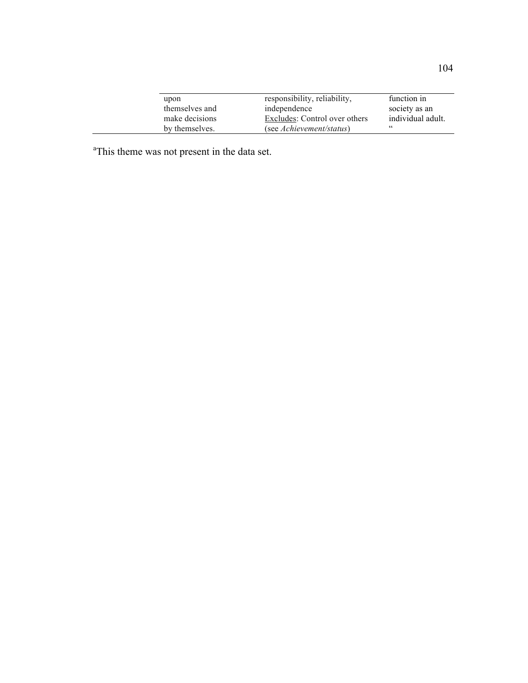| upon           | responsibility, reliability,  | function in       |
|----------------|-------------------------------|-------------------|
| themselves and | independence                  | society as an     |
| make decisions | Excludes: Control over others | individual adult. |
| by themselves. | (see Achievement/status)      | cc                |

<sup>a</sup>This theme was not present in the data set.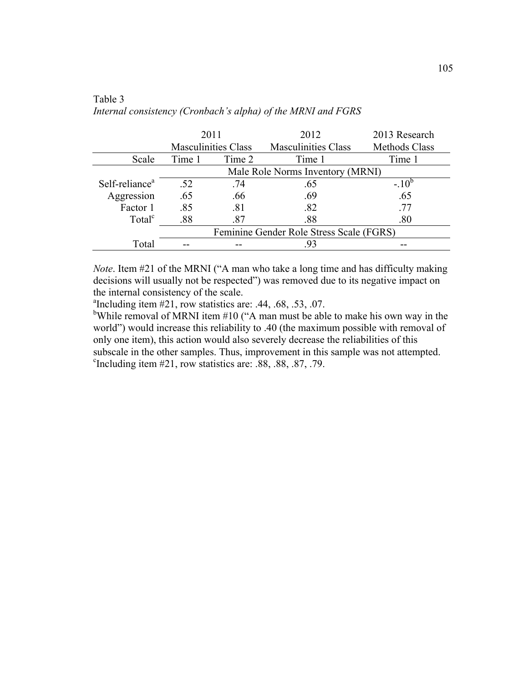|                            | 2011                             |                            | 2012                                     | 2013 Research        |
|----------------------------|----------------------------------|----------------------------|------------------------------------------|----------------------|
|                            |                                  | <b>Masculinities Class</b> | <b>Masculinities Class</b>               | <b>Methods Class</b> |
| Scale                      | Time 1                           | Time 2                     | Time 1                                   | Time 1               |
|                            | Male Role Norms Inventory (MRNI) |                            |                                          |                      |
| Self-reliance <sup>a</sup> | .52                              | .74                        | .65                                      | $-10^{6}$            |
| Aggression                 | .65                              | .66                        | .69                                      | .65                  |
| Factor 1                   | .85                              | .81                        | .82                                      | .77                  |
| Total <sup>c</sup>         | .88                              | .87                        | .88                                      | .80                  |
|                            |                                  |                            | Feminine Gender Role Stress Scale (FGRS) |                      |
| Total                      |                                  |                            | .93                                      |                      |

## Table 3 *Internal consistency (Cronbach's alpha) of the MRNI and FGRS*

*Note*. Item #21 of the MRNI ("A man who take a long time and has difficulty making decisions will usually not be respected") was removed due to its negative impact on the internal consistency of the scale.

<sup>a</sup>Including item  $#21$ , row statistics are: .44, .68, .53, .07.

<sup>b</sup>While removal of MRNI item  $#10$  ("A man must be able to make his own way in the world") would increase this reliability to .40 (the maximum possible with removal of only one item), this action would also severely decrease the reliabilities of this subscale in the other samples. Thus, improvement in this sample was not attempted.  $\text{°Including item } \#21, \text{row statistics are: } .88, .88, .87, .79.$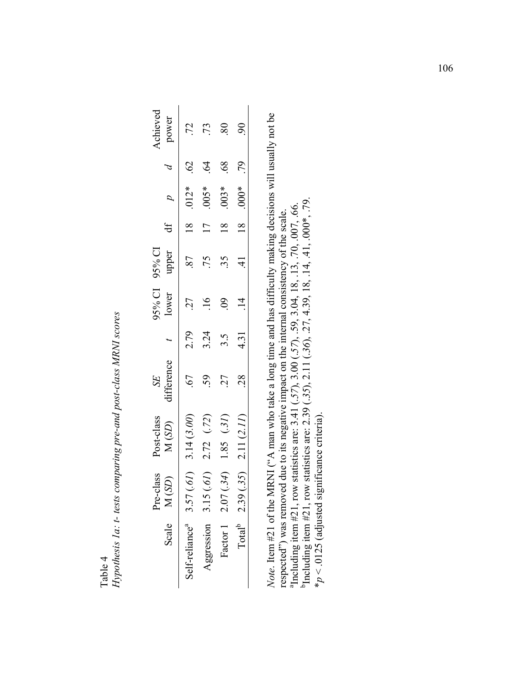| l)<br>D<br>Tahle | Hypothesis 1a: t- tests comparing pre-and post-class MRNI scores |
|------------------|------------------------------------------------------------------|
|                  |                                                                  |

| <b>Achieved</b><br>power |                                 |                 | $80\,$         | $\delta$                |  |
|--------------------------|---------------------------------|-----------------|----------------|-------------------------|--|
|                          | $\mathcal{S}$                   | $\widetilde{q}$ | $\overline{8}$ | .79                     |  |
|                          | $.012*$                         | $.005*$         | $.003*$        | $.000*$                 |  |
| đ                        |                                 |                 |                |                         |  |
| 15% CI 95% CI<br>upper   | 87                              |                 | 35             |                         |  |
| lower                    | 27                              |                 |                |                         |  |
|                          | 2.79                            | 3.24            | 3.5            | 4.31                    |  |
| <i>difference</i><br>SE  | 67                              |                 | 27             | $\frac{8}{2}$           |  |
| Post-class<br>M(SD)      | 3.14(3.00)                      | 2.72(72)        | 1.85(31)       | 2.11(2.11)              |  |
| class<br>(S2)<br>Pre-c   | (g)                             | (29)<br>3.15    | (.34)<br>2.07  | (.35)                   |  |
| Scale M (                | Self-reliance <sup>a</sup> 3.57 | Aggression      | Factor 1       | Total <sup>b</sup> 2.39 |  |

*Note*. Item #21 of the MRNI ("A man who take a long time and has difficulty making decisions will usually not be Note. Item #21 of the MRNI ( $A$  man who take a long time and has difficulty making decisions will usually not be respected") was removed due to its negative impact on the internal consistency of the scale.<br><sup>a</sup>Including item #21, row statistics are: 3.41 (.57), 3.00 (.57), .59, 3.04, 18, .13, .70, .007, .66.<br><sup>b</sup>Including item #21, ro <sup>a</sup>Including item #21, row statistics are: 3.41 (.57), 3.00 (.57), .59, 3.04, 18, .13, .70, .007, .66. respected") was removed due to its negative impact on the internal consistency of the scale.

bIncluding item #21, row statistics are: 2.39 (.*35*), 2.11 (.*36*), .27, 4.39, 18, .14, .41, .000\*, .79.

 $*_p$  < .0125 (adjusted significance criteria). \**p* < .0125 (adjusted significance criteria).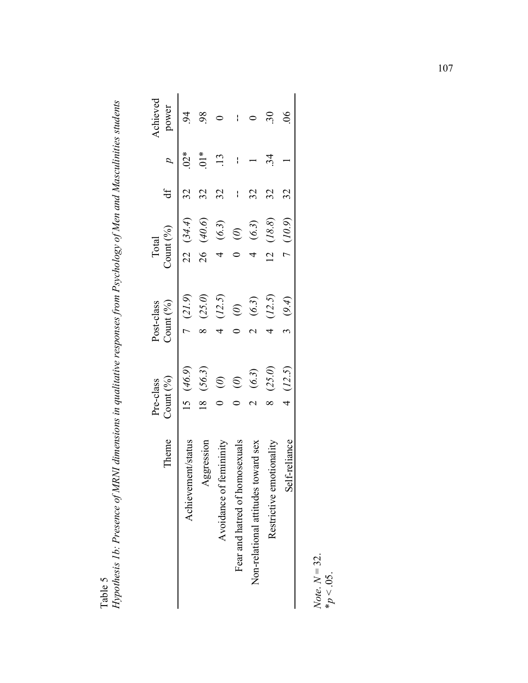Table 5<br>Hypothesis 1b: Presence of MRNI dimensions in qualitative responses from Psychology of Men and Masculinities students *Hypothesis 1b: Presence of MRNI dimensions in qualitative responses from Psychology of Men and Masculinities students*

| heme                                    | Count $(\%)$<br>Pre-class |        | Post-class<br>Count $(\%)$ |         | Total | $\text{Count} \left( \frac{0}{0} \right)$ | đ |                  | Achieved<br>power |
|-----------------------------------------|---------------------------|--------|----------------------------|---------|-------|-------------------------------------------|---|------------------|-------------------|
| Achievement/status                      | (46.9)                    |        |                            | (21.9)  |       | 22(34.4)                                  |   | $02*$            |                   |
| gression<br>$\mathsf{A}^\mathsf{a}$     |                           | (56.3) |                            | (25.0)  | 26    | (40.6)                                    |   | $\sum_{i=1}^{k}$ |                   |
| Avoidance of fe                         | $\widehat{\mathcal{Z}}$   |        |                            | (12.5)  |       | (6.3)                                     |   |                  |                   |
| osexuals<br>Fear and hatred of hom      | $\widehat{\mathcal{O}}$   |        |                            | $\odot$ |       | $\odot$                                   |   |                  |                   |
| ward sex<br>Non-relational attitudes to |                           | (6.3)  |                            | (6.3)   |       | (6.3)                                     |   |                  |                   |
| tıonalıt<br>Restrictive emc             |                           | (25.0) |                            | (12.5)  |       | (18.8)                                    |   |                  |                   |
| -reliance<br>Self                       |                           | (12.5) |                            | (9.4)   |       | (10.9)                                    |   |                  | ర్                |

*Note*. *N* = 32. *Note*.  $N = 32$ .<br>\* $p < .05$ .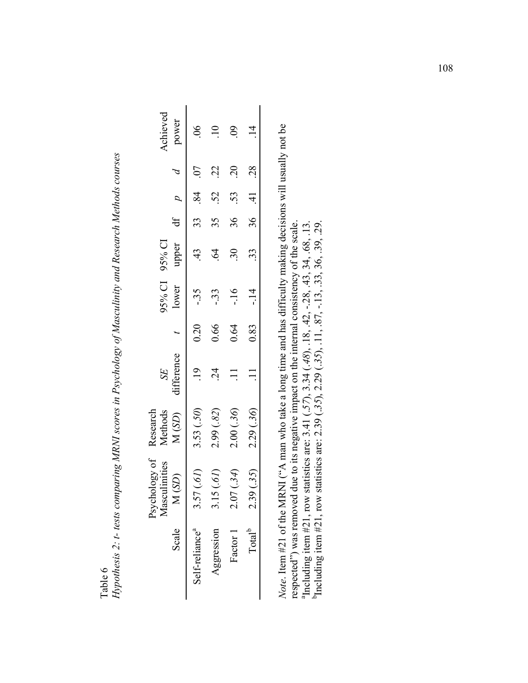Hypothesis 2: t- tests comparing MRNI scores in Psychology of Masculinity and Research Methods courses *Hypothesis 2: t- tests comparing MRNI scores in Psychology of Masculinity and Research Methods courses* Table 6

| Achieved<br>power              |                                 |                                 | $\mathsf{\S}0$ |                         |  |
|--------------------------------|---------------------------------|---------------------------------|----------------|-------------------------|--|
|                                |                                 |                                 |                |                         |  |
|                                | 33.84                           | .52                             | 53.            | 36 41 28                |  |
| df $p$                         |                                 |                                 | 36             |                         |  |
| upper<br>95% CI 95% CI         |                                 |                                 |                | 33                      |  |
| lower                          | -.35                            | -33                             | $-16$          | $\frac{4}{1}$           |  |
|                                | 0.20                            | 0.66                            | 0.64           | 0.83                    |  |
| difference<br>SE               |                                 |                                 |                |                         |  |
| Research<br>Methods<br>M(SD)   | 3.53(.50)                       | 2.99(0.82)                      | 2.00(.36)      | 2.29 (.36)              |  |
| Psychology of<br>Masculinities | $\widetilde{(\mathit{19})}$     | $\widetilde{(\varrho)}$<br>3.15 | 2.07(.34)      | (35)                    |  |
| Scale M                        | Self-reliance <sup>a</sup> 3.57 | Aggression                      | Factor 1       | Total <sup>b</sup> 2.39 |  |

Note. Item #21 of the MRNI ( $A$  man who take a long time and has difficulty making decisions will usually not be *Note*. Item #21 of the MRNI ("A man who take a long time and has difficulty making decisions will usually not be respected") was removed due to its negative impact on the internal consistency of the scale.<br>"Including item #21, row statistics are: 3.41 (.57), 3.34 (.48), .18, .42, -.28, .43, 34, .68, .13.<br>"Including item #21, row sta respected") was removed due to its negative impact on the internal consistency of the scale.  ${}^4$ Including item #21, row statistics are: 3.41 (.57), 3.34 (.48), .18, .42, -.28, .43, 34, .68, .13. bIncluding item #21, row statistics are: 2.39 (.*35*), 2.29 (.*35*), .11, .87, -.13, .33, 36, .39, .29.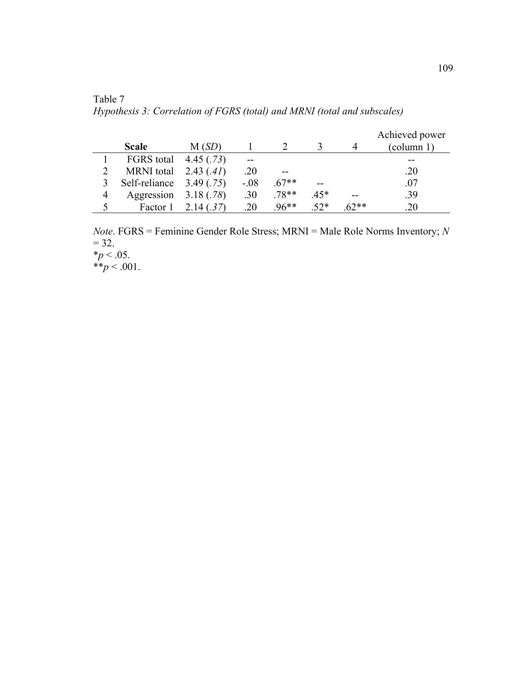Table 7 *Hypothesis 3: Correlation of FGRS (total) and MRNI (total and subscales)*

|   | <b>Scale</b>      | M(SD)     |        |         |        |        | Achieved power<br>(column 1) |
|---|-------------------|-----------|--------|---------|--------|--------|------------------------------|
|   | FGRS total        | 4.45(.73) | --     |         |        |        |                              |
|   | <b>MRNI</b> total | 2.43(.41) | .20    |         |        |        | .20                          |
|   | Self-reliance     | 3.49(.75) | $-.08$ | $.67**$ |        |        | .07                          |
| 4 | Aggression        | 3.18(.78) | .30    | $.78**$ | $.45*$ | --     | .39                          |
|   | Factor 1          | 2.14(.37) | .20    | $96**$  | $52*$  | $62**$ | 20                           |

*Note*. FGRS = Feminine Gender Role Stress; MRNI = Male Role Norms Inventory; *N*  $= 32.$  $*_{p}$  < .05.  $*^*p < .001$ .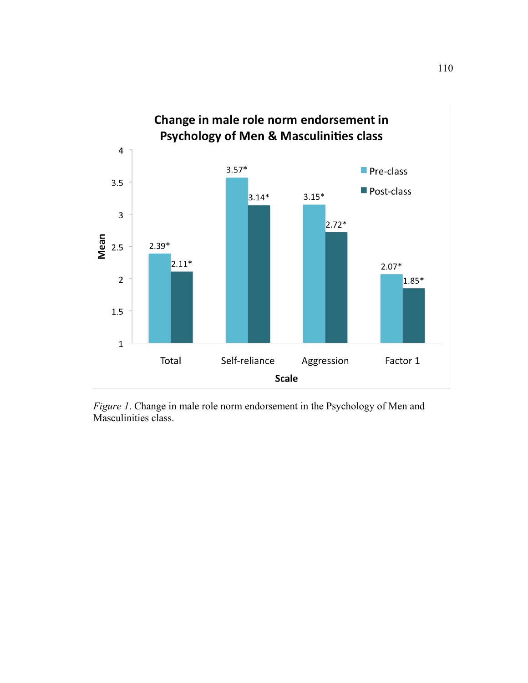

*Figure 1*. Change in male role norm endorsement in the Psychology of Men and Masculinities class.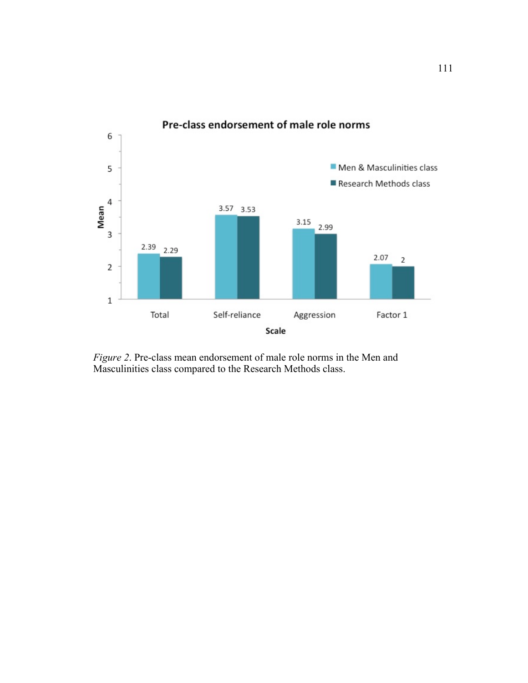

*Figure 2*. Pre-class mean endorsement of male role norms in the Men and Masculinities class compared to the Research Methods class.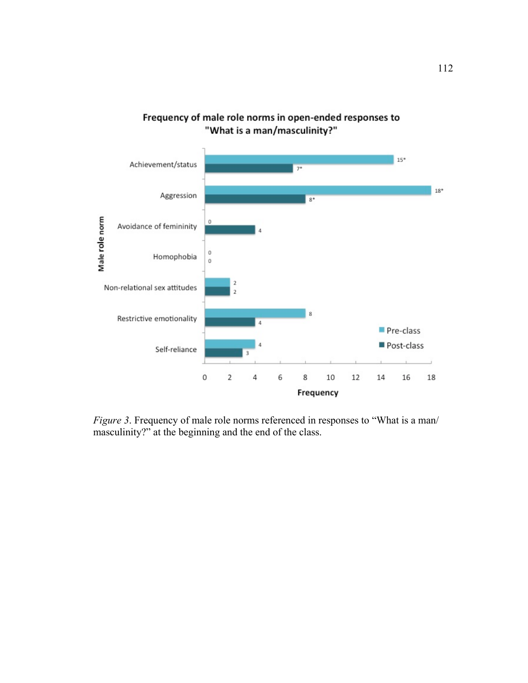

Frequency of male role norms in open-ended responses to "What is a man/masculinity?"

*Figure 3*. Frequency of male role norms referenced in responses to "What is a man/ masculinity?" at the beginning and the end of the class.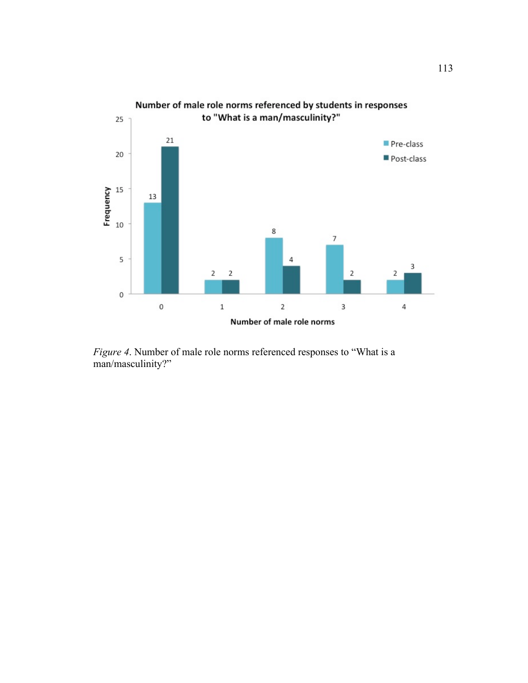

*Figure 4*. Number of male role norms referenced responses to "What is a man/masculinity?"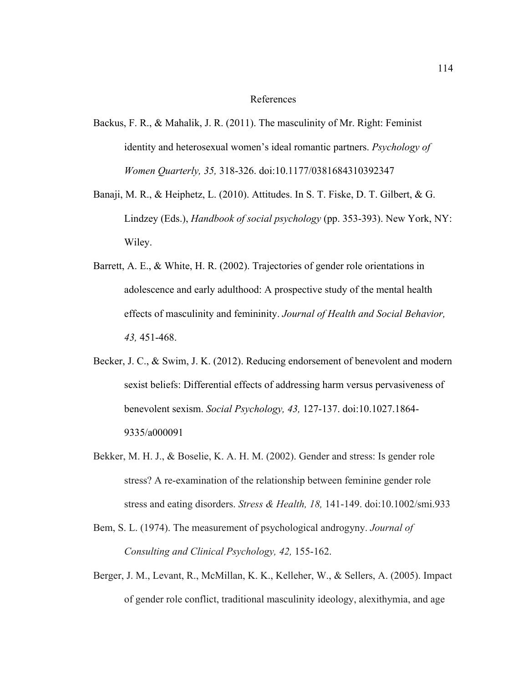#### References

- Backus, F. R., & Mahalik, J. R. (2011). The masculinity of Mr. Right: Feminist identity and heterosexual women's ideal romantic partners. *Psychology of Women Quarterly, 35,* 318-326. doi:10.1177/0381684310392347
- Banaji, M. R., & Heiphetz, L. (2010). Attitudes. In S. T. Fiske, D. T. Gilbert, & G. Lindzey (Eds.), *Handbook of social psychology* (pp. 353-393). New York, NY: Wiley.
- Barrett, A. E., & White, H. R. (2002). Trajectories of gender role orientations in adolescence and early adulthood: A prospective study of the mental health effects of masculinity and femininity. *Journal of Health and Social Behavior, 43,* 451-468.
- Becker, J. C., & Swim, J. K. (2012). Reducing endorsement of benevolent and modern sexist beliefs: Differential effects of addressing harm versus pervasiveness of benevolent sexism. *Social Psychology, 43,* 127-137. doi:10.1027.1864- 9335/a000091
- Bekker, M. H. J., & Boselie, K. A. H. M. (2002). Gender and stress: Is gender role stress? A re-examination of the relationship between feminine gender role stress and eating disorders. *Stress & Health, 18,* 141-149. doi:10.1002/smi.933
- Bem, S. L. (1974). The measurement of psychological androgyny. *Journal of Consulting and Clinical Psychology, 42,* 155-162.
- Berger, J. M., Levant, R., McMillan, K. K., Kelleher, W., & Sellers, A. (2005). Impact of gender role conflict, traditional masculinity ideology, alexithymia, and age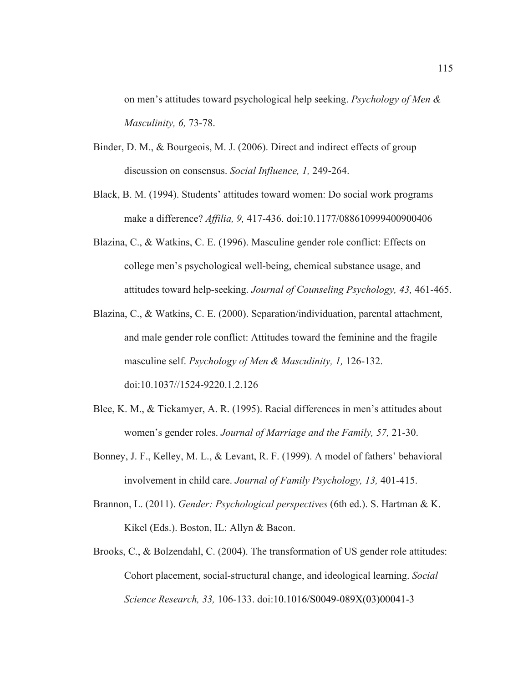on men's attitudes toward psychological help seeking. *Psychology of Men & Masculinity, 6,* 73-78.

- Binder, D. M., & Bourgeois, M. J. (2006). Direct and indirect effects of group discussion on consensus. *Social Influence, 1,* 249-264.
- Black, B. M. (1994). Students' attitudes toward women: Do social work programs make a difference? *Affilia, 9,* 417-436. doi:10.1177/088610999400900406
- Blazina, C., & Watkins, C. E. (1996). Masculine gender role conflict: Effects on college men's psychological well-being, chemical substance usage, and attitudes toward help-seeking. *Journal of Counseling Psychology, 43,* 461-465.
- Blazina, C., & Watkins, C. E. (2000). Separation/individuation, parental attachment, and male gender role conflict: Attitudes toward the feminine and the fragile masculine self. *Psychology of Men & Masculinity, 1,* 126-132. doi:10.1037//1524-9220.1.2.126
- Blee, K. M., & Tickamyer, A. R. (1995). Racial differences in men's attitudes about women's gender roles. *Journal of Marriage and the Family, 57,* 21-30.
- Bonney, J. F., Kelley, M. L., & Levant, R. F. (1999). A model of fathers' behavioral involvement in child care. *Journal of Family Psychology, 13,* 401-415.
- Brannon, L. (2011). *Gender: Psychological perspectives* (6th ed.). S. Hartman & K. Kikel (Eds.). Boston, IL: Allyn & Bacon.
- Brooks, C., & Bolzendahl, C. (2004). The transformation of US gender role attitudes: Cohort placement, social-structural change, and ideological learning. *Social Science Research, 33,* 106-133. doi:10.1016/S0049-089X(03)00041-3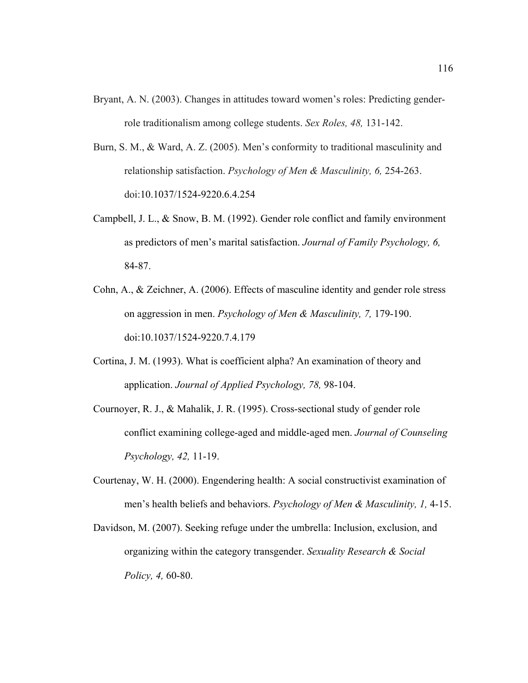- Bryant, A. N. (2003). Changes in attitudes toward women's roles: Predicting genderrole traditionalism among college students. *Sex Roles, 48,* 131-142.
- Burn, S. M., & Ward, A. Z. (2005). Men's conformity to traditional masculinity and relationship satisfaction. *Psychology of Men & Masculinity, 6,* 254-263. doi:10.1037/1524-9220.6.4.254
- Campbell, J. L., & Snow, B. M. (1992). Gender role conflict and family environment as predictors of men's marital satisfaction. *Journal of Family Psychology, 6,* 84-87.
- Cohn, A., & Zeichner, A. (2006). Effects of masculine identity and gender role stress on aggression in men. *Psychology of Men & Masculinity, 7,* 179-190. doi:10.1037/1524-9220.7.4.179
- Cortina, J. M. (1993). What is coefficient alpha? An examination of theory and application. *Journal of Applied Psychology, 78,* 98-104.
- Cournoyer, R. J., & Mahalik, J. R. (1995). Cross-sectional study of gender role conflict examining college-aged and middle-aged men. *Journal of Counseling Psychology, 42,* 11-19.
- Courtenay, W. H. (2000). Engendering health: A social constructivist examination of men's health beliefs and behaviors. *Psychology of Men & Masculinity, 1,* 4-15.
- Davidson, M. (2007). Seeking refuge under the umbrella: Inclusion, exclusion, and organizing within the category transgender. *Sexuality Research & Social Policy, 4,* 60-80.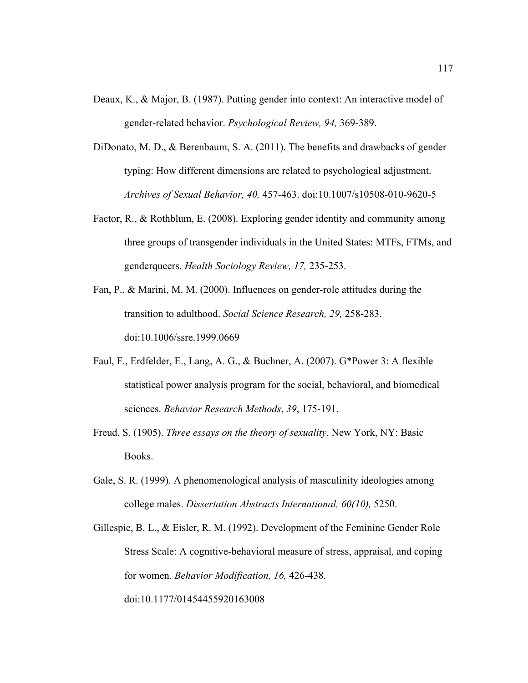- Deaux, K., & Major, B. (1987). Putting gender into context: An interactive model of gender-related behavior. *Psychological Review, 94,* 369-389.
- DiDonato, M. D., & Berenbaum, S. A. (2011). The benefits and drawbacks of gender typing: How different dimensions are related to psychological adjustment. *Archives of Sexual Behavior, 40,* 457-463. doi:10.1007/s10508-010-9620-5
- Factor, R., & Rothblum, E. (2008). Exploring gender identity and community among three groups of transgender individuals in the United States: MTFs, FTMs, and genderqueers. *Health Sociology Review, 17,* 235-253.
- Fan, P., & Marini, M. M. (2000). Influences on gender-role attitudes during the transition to adulthood. *Social Science Research, 29,* 258-283. doi:10.1006/ssre.1999.0669
- Faul, F., Erdfelder, E., Lang, A. G., & Buchner, A. (2007). G\*Power 3: A flexible statistical power analysis program for the social, behavioral, and biomedical sciences. *Behavior Research Methods*, *39*, 175-191.
- Freud, S. (1905). *Three essays on the theory of sexuality*. New York, NY: Basic Books.
- Gale, S. R. (1999). A phenomenological analysis of masculinity ideologies among college males. *Dissertation Abstracts International, 60(10),* 5250.
- Gillespie, B. L., & Eisler, R. M. (1992). Development of the Feminine Gender Role Stress Scale: A cognitive-behavioral measure of stress, appraisal, and coping for women. *Behavior Modification, 16,* 426-438*.* doi:10.1177/01454455920163008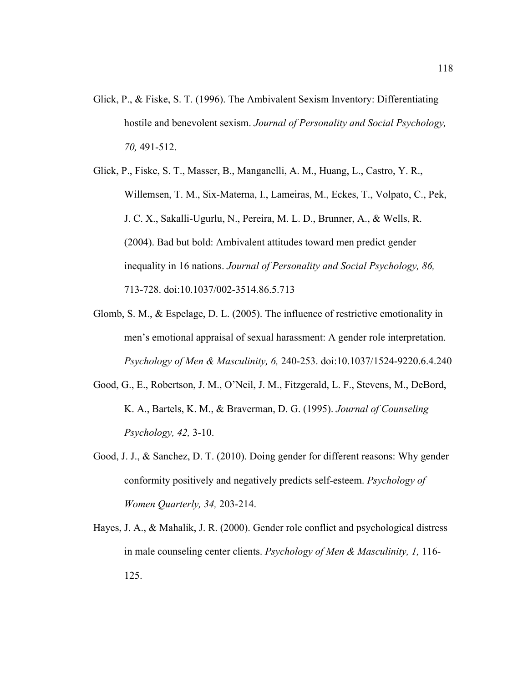- Glick, P., & Fiske, S. T. (1996). The Ambivalent Sexism Inventory: Differentiating hostile and benevolent sexism. *Journal of Personality and Social Psychology, 70,* 491-512.
- Glick, P., Fiske, S. T., Masser, B., Manganelli, A. M., Huang, L., Castro, Y. R., Willemsen, T. M., Six-Materna, I., Lameiras, M., Eckes, T., Volpato, C., Pek, J. C. X., Sakalli-Ugurlu, N., Pereira, M. L. D., Brunner, A., & Wells, R. (2004). Bad but bold: Ambivalent attitudes toward men predict gender inequality in 16 nations. *Journal of Personality and Social Psychology, 86,* 713-728. doi:10.1037/002-3514.86.5.713
- Glomb, S. M., & Espelage, D. L. (2005). The influence of restrictive emotionality in men's emotional appraisal of sexual harassment: A gender role interpretation. *Psychology of Men & Masculinity, 6,* 240-253. doi:10.1037/1524-9220.6.4.240
- Good, G., E., Robertson, J. M., O'Neil, J. M., Fitzgerald, L. F., Stevens, M., DeBord, K. A., Bartels, K. M., & Braverman, D. G. (1995). *Journal of Counseling Psychology, 42,* 3-10.
- Good, J. J., & Sanchez, D. T. (2010). Doing gender for different reasons: Why gender conformity positively and negatively predicts self-esteem. *Psychology of Women Quarterly, 34,* 203-214.
- Hayes, J. A., & Mahalik, J. R. (2000). Gender role conflict and psychological distress in male counseling center clients. *Psychology of Men & Masculinity, 1,* 116- 125.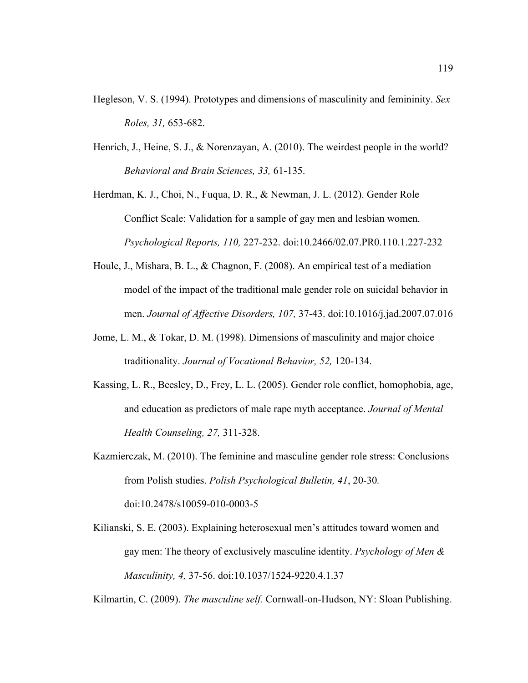- Hegleson, V. S. (1994). Prototypes and dimensions of masculinity and femininity. *Sex Roles, 31,* 653-682.
- Henrich, J., Heine, S. J., & Norenzayan, A. (2010). The weirdest people in the world? *Behavioral and Brain Sciences, 33,* 61-135.
- Herdman, K. J., Choi, N., Fuqua, D. R., & Newman, J. L. (2012). Gender Role Conflict Scale: Validation for a sample of gay men and lesbian women. *Psychological Reports, 110,* 227-232. doi:10.2466/02.07.PR0.110.1.227-232
- Houle, J., Mishara, B. L., & Chagnon, F. (2008). An empirical test of a mediation model of the impact of the traditional male gender role on suicidal behavior in men. *Journal of Affective Disorders, 107,* 37-43. doi:10.1016/j.jad.2007.07.016
- Jome, L. M., & Tokar, D. M. (1998). Dimensions of masculinity and major choice traditionality. *Journal of Vocational Behavior, 52,* 120-134.
- Kassing, L. R., Beesley, D., Frey, L. L. (2005). Gender role conflict, homophobia, age, and education as predictors of male rape myth acceptance. *Journal of Mental Health Counseling, 27,* 311-328.
- Kazmierczak, M. (2010). The feminine and masculine gender role stress: Conclusions from Polish studies. *Polish Psychological Bulletin, 41*, 20-30*.* doi:10.2478/s10059-010-0003-5
- Kilianski, S. E. (2003). Explaining heterosexual men's attitudes toward women and gay men: The theory of exclusively masculine identity. *Psychology of Men & Masculinity, 4,* 37-56. doi:10.1037/1524-9220.4.1.37

Kilmartin, C. (2009). *The masculine self.* Cornwall-on-Hudson, NY: Sloan Publishing.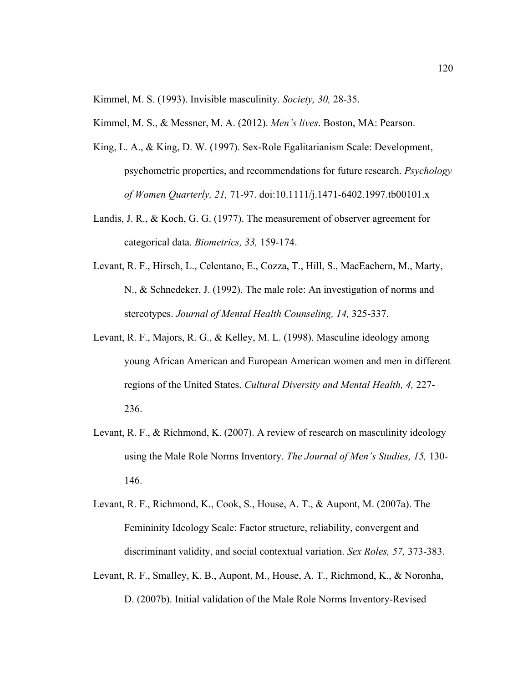Kimmel, M. S. (1993). Invisible masculinity. *Society, 30,* 28-35.

Kimmel, M. S., & Messner, M. A. (2012). *Men's lives*. Boston, MA: Pearson.

- King, L. A., & King, D. W. (1997). Sex-Role Egalitarianism Scale: Development, psychometric properties, and recommendations for future research. *Psychology of Women Quarterly, 21,* 71-97. doi:10.1111/j.1471-6402.1997.tb00101.x
- Landis, J. R., & Koch, G. G. (1977). The measurement of observer agreement for categorical data. *Biometrics, 33,* 159-174.
- Levant, R. F., Hirsch, L., Celentano, E., Cozza, T., Hill, S., MacEachern, M., Marty, N., & Schnedeker, J. (1992). The male role: An investigation of norms and stereotypes. *Journal of Mental Health Counseling, 14,* 325-337.
- Levant, R. F., Majors, R. G., & Kelley, M. L. (1998). Masculine ideology among young African American and European American women and men in different regions of the United States. *Cultural Diversity and Mental Health, 4,* 227- 236.
- Levant, R. F., & Richmond, K. (2007). A review of research on masculinity ideology using the Male Role Norms Inventory. *The Journal of Men's Studies, 15,* 130- 146.
- Levant, R. F., Richmond, K., Cook, S., House, A. T., & Aupont, M. (2007a). The Femininity Ideology Scale: Factor structure, reliability, convergent and discriminant validity, and social contextual variation. *Sex Roles, 57,* 373-383.
- Levant, R. F., Smalley, K. B., Aupont, M., House, A. T., Richmond, K., & Noronha, D. (2007b). Initial validation of the Male Role Norms Inventory-Revised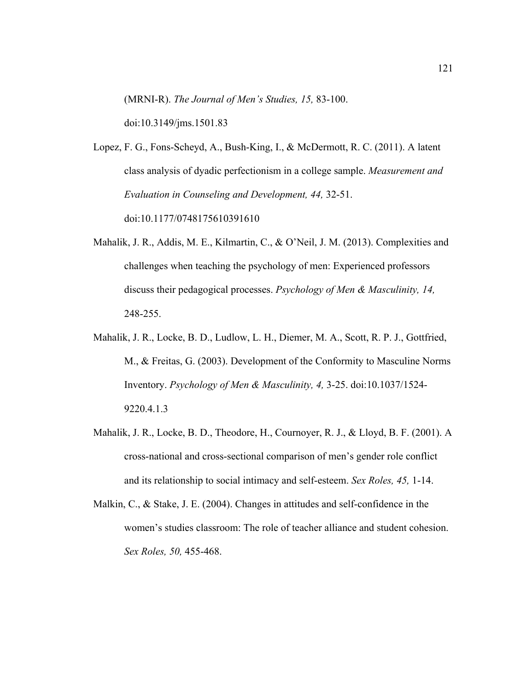(MRNI-R). *The Journal of Men's Studies, 15,* 83-100.

doi:10.3149/jms.1501.83

Lopez, F. G., Fons-Scheyd, A., Bush-King, I., & McDermott, R. C. (2011). A latent class analysis of dyadic perfectionism in a college sample. *Measurement and Evaluation in Counseling and Development, 44,* 32-51. doi:10.1177/0748175610391610

- Mahalik, J. R., Addis, M. E., Kilmartin, C., & O'Neil, J. M. (2013). Complexities and challenges when teaching the psychology of men: Experienced professors discuss their pedagogical processes. *Psychology of Men & Masculinity, 14,* 248-255.
- Mahalik, J. R., Locke, B. D., Ludlow, L. H., Diemer, M. A., Scott, R. P. J., Gottfried, M., & Freitas, G. (2003). Development of the Conformity to Masculine Norms Inventory. *Psychology of Men & Masculinity, 4,* 3-25. doi:10.1037/1524- 9220.4.1.3
- Mahalik, J. R., Locke, B. D., Theodore, H., Cournoyer, R. J., & Lloyd, B. F. (2001). A cross-national and cross-sectional comparison of men's gender role conflict and its relationship to social intimacy and self-esteem. *Sex Roles, 45,* 1-14.
- Malkin, C., & Stake, J. E. (2004). Changes in attitudes and self-confidence in the women's studies classroom: The role of teacher alliance and student cohesion. *Sex Roles, 50,* 455-468.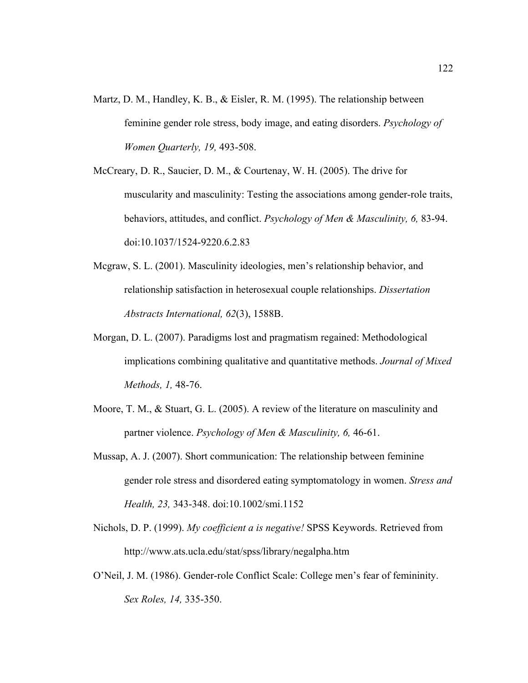- Martz, D. M., Handley, K. B., & Eisler, R. M. (1995). The relationship between feminine gender role stress, body image, and eating disorders. *Psychology of Women Quarterly, 19,* 493-508.
- McCreary, D. R., Saucier, D. M., & Courtenay, W. H. (2005). The drive for muscularity and masculinity: Testing the associations among gender-role traits, behaviors, attitudes, and conflict. *Psychology of Men & Masculinity, 6,* 83-94. doi:10.1037/1524-9220.6.2.83
- Mcgraw, S. L. (2001). Masculinity ideologies, men's relationship behavior, and relationship satisfaction in heterosexual couple relationships. *Dissertation Abstracts International, 62*(3), 1588B.
- Morgan, D. L. (2007). Paradigms lost and pragmatism regained: Methodological implications combining qualitative and quantitative methods. *Journal of Mixed Methods, 1,* 48-76.
- Moore, T. M., & Stuart, G. L. (2005). A review of the literature on masculinity and partner violence. *Psychology of Men & Masculinity, 6,* 46-61.
- Mussap, A. J. (2007). Short communication: The relationship between feminine gender role stress and disordered eating symptomatology in women. *Stress and Health, 23,* 343-348. doi:10.1002/smi.1152
- Nichols, D. P. (1999). *My coefficient a is negative!* SPSS Keywords. Retrieved from http://www.ats.ucla.edu/stat/spss/library/negalpha.htm
- O'Neil, J. M. (1986). Gender-role Conflict Scale: College men's fear of femininity. *Sex Roles, 14,* 335-350.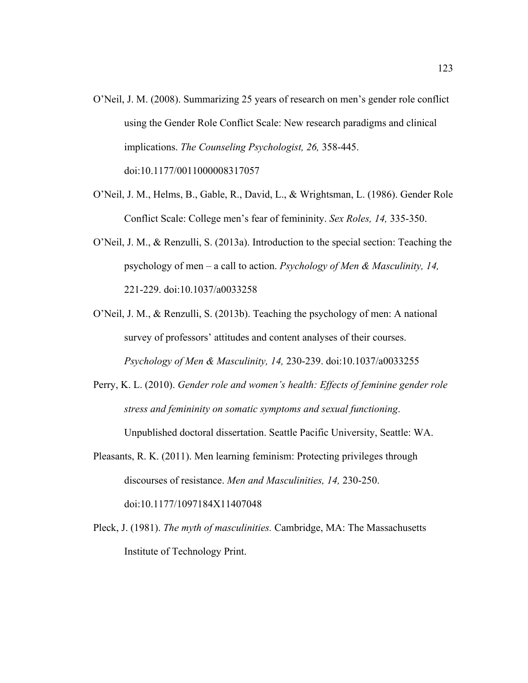- O'Neil, J. M. (2008). Summarizing 25 years of research on men's gender role conflict using the Gender Role Conflict Scale: New research paradigms and clinical implications. *The Counseling Psychologist, 26,* 358-445. doi:10.1177/0011000008317057
- O'Neil, J. M., Helms, B., Gable, R., David, L., & Wrightsman, L. (1986). Gender Role Conflict Scale: College men's fear of femininity. *Sex Roles, 14,* 335-350.
- O'Neil, J. M., & Renzulli, S. (2013a). Introduction to the special section: Teaching the psychology of men – a call to action. *Psychology of Men & Masculinity, 14,* 221-229. doi:10.1037/a0033258
- O'Neil, J. M., & Renzulli, S. (2013b). Teaching the psychology of men: A national survey of professors' attitudes and content analyses of their courses. *Psychology of Men & Masculinity, 14,* 230-239. doi:10.1037/a0033255
- Perry, K. L. (2010). *Gender role and women's health: Effects of feminine gender role stress and femininity on somatic symptoms and sexual functioning*. Unpublished doctoral dissertation. Seattle Pacific University, Seattle: WA.
- Pleasants, R. K. (2011). Men learning feminism: Protecting privileges through discourses of resistance. *Men and Masculinities, 14,* 230-250. doi:10.1177/1097184X11407048
- Pleck, J. (1981). *The myth of masculinities.* Cambridge, MA: The Massachusetts Institute of Technology Print.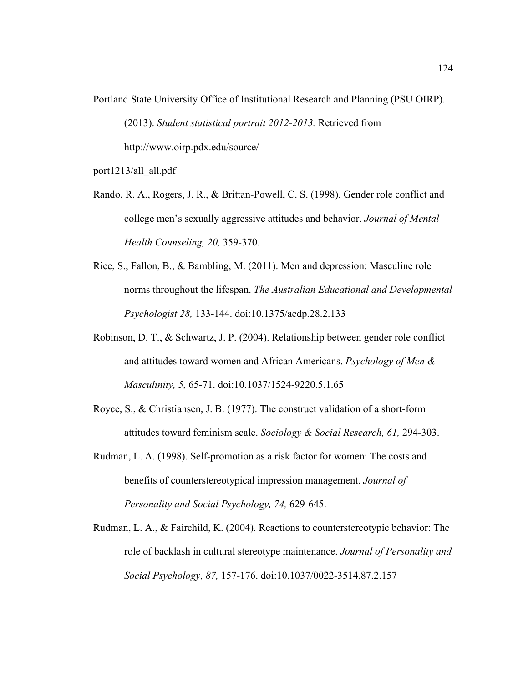Portland State University Office of Institutional Research and Planning (PSU OIRP). (2013). *Student statistical portrait 2012-2013.* Retrieved from http://www.oirp.pdx.edu/source/

port1213/all\_all.pdf

Rando, R. A., Rogers, J. R., & Brittan-Powell, C. S. (1998). Gender role conflict and college men's sexually aggressive attitudes and behavior. *Journal of Mental Health Counseling, 20,* 359-370.

- Rice, S., Fallon, B., & Bambling, M. (2011). Men and depression: Masculine role norms throughout the lifespan. *The Australian Educational and Developmental Psychologist 28,* 133-144. doi:10.1375/aedp.28.2.133
- Robinson, D. T., & Schwartz, J. P. (2004). Relationship between gender role conflict and attitudes toward women and African Americans. *Psychology of Men & Masculinity, 5,* 65-71. doi:10.1037/1524-9220.5.1.65
- Royce, S., & Christiansen, J. B. (1977). The construct validation of a short-form attitudes toward feminism scale. *Sociology & Social Research, 61,* 294-303.
- Rudman, L. A. (1998). Self-promotion as a risk factor for women: The costs and benefits of counterstereotypical impression management. *Journal of Personality and Social Psychology, 74,* 629-645.
- Rudman, L. A., & Fairchild, K. (2004). Reactions to counterstereotypic behavior: The role of backlash in cultural stereotype maintenance. *Journal of Personality and Social Psychology, 87,* 157-176. doi:10.1037/0022-3514.87.2.157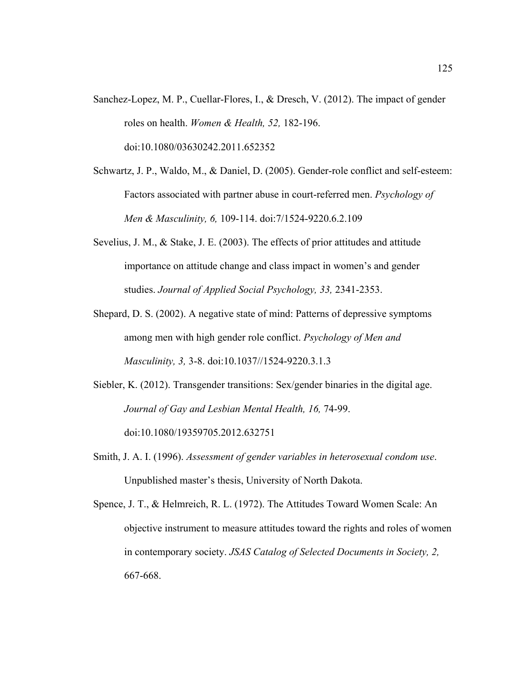- Sanchez-Lopez, M. P., Cuellar-Flores, I., & Dresch, V. (2012). The impact of gender roles on health. *Women & Health, 52,* 182-196. doi:10.1080/03630242.2011.652352
- Schwartz, J. P., Waldo, M., & Daniel, D. (2005). Gender-role conflict and self-esteem: Factors associated with partner abuse in court-referred men. *Psychology of Men & Masculinity, 6,* 109-114. doi:7/1524-9220.6.2.109
- Sevelius, J. M., & Stake, J. E. (2003). The effects of prior attitudes and attitude importance on attitude change and class impact in women's and gender studies. *Journal of Applied Social Psychology, 33,* 2341-2353.
- Shepard, D. S. (2002). A negative state of mind: Patterns of depressive symptoms among men with high gender role conflict. *Psychology of Men and Masculinity, 3,* 3-8. doi:10.1037//1524-9220.3.1.3
- Siebler, K. (2012). Transgender transitions: Sex/gender binaries in the digital age. *Journal of Gay and Lesbian Mental Health, 16,* 74-99. doi:10.1080/19359705.2012.632751
- Smith, J. A. I. (1996). *Assessment of gender variables in heterosexual condom use*. Unpublished master's thesis, University of North Dakota.
- Spence, J. T., & Helmreich, R. L. (1972). The Attitudes Toward Women Scale: An objective instrument to measure attitudes toward the rights and roles of women in contemporary society. *JSAS Catalog of Selected Documents in Society, 2,* 667-668.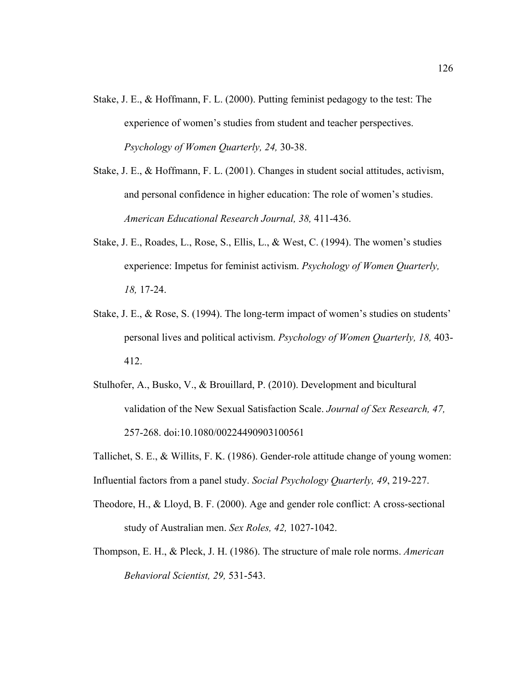- Stake, J. E., & Hoffmann, F. L. (2000). Putting feminist pedagogy to the test: The experience of women's studies from student and teacher perspectives. *Psychology of Women Quarterly, 24,* 30-38.
- Stake, J. E., & Hoffmann, F. L. (2001). Changes in student social attitudes, activism, and personal confidence in higher education: The role of women's studies. *American Educational Research Journal, 38,* 411-436.
- Stake, J. E., Roades, L., Rose, S., Ellis, L., & West, C. (1994). The women's studies experience: Impetus for feminist activism. *Psychology of Women Quarterly, 18,* 17-24.
- Stake, J. E., & Rose, S. (1994). The long-term impact of women's studies on students' personal lives and political activism. *Psychology of Women Quarterly, 18,* 403- 412.
- Stulhofer, A., Busko, V., & Brouillard, P. (2010). Development and bicultural validation of the New Sexual Satisfaction Scale. *Journal of Sex Research, 47,* 257-268. doi:10.1080/00224490903100561
- Tallichet, S. E., & Willits, F. K. (1986). Gender-role attitude change of young women: Influential factors from a panel study. *Social Psychology Quarterly, 49*, 219-227.
- Theodore, H., & Lloyd, B. F. (2000). Age and gender role conflict: A cross-sectional study of Australian men. *Sex Roles, 42,* 1027-1042.
- Thompson, E. H., & Pleck, J. H. (1986). The structure of male role norms. *American Behavioral Scientist, 29,* 531-543.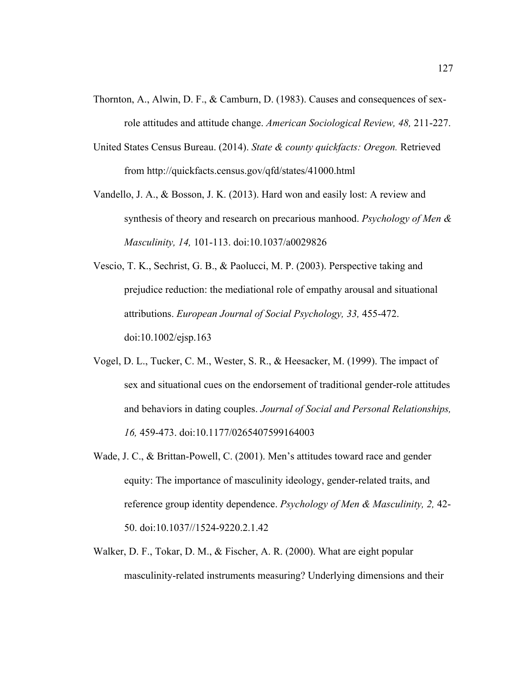- Thornton, A., Alwin, D. F., & Camburn, D. (1983). Causes and consequences of sexrole attitudes and attitude change. *American Sociological Review, 48,* 211-227.
- United States Census Bureau. (2014). *State & county quickfacts: Oregon.* Retrieved from http://quickfacts.census.gov/qfd/states/41000.html
- Vandello, J. A., & Bosson, J. K. (2013). Hard won and easily lost: A review and synthesis of theory and research on precarious manhood. *Psychology of Men & Masculinity, 14,* 101-113. doi:10.1037/a0029826
- Vescio, T. K., Sechrist, G. B., & Paolucci, M. P. (2003). Perspective taking and prejudice reduction: the mediational role of empathy arousal and situational attributions. *European Journal of Social Psychology, 33,* 455-472. doi:10.1002/ejsp.163
- Vogel, D. L., Tucker, C. M., Wester, S. R., & Heesacker, M. (1999). The impact of sex and situational cues on the endorsement of traditional gender-role attitudes and behaviors in dating couples. *Journal of Social and Personal Relationships, 16,* 459-473. doi:10.1177/0265407599164003
- Wade, J. C., & Brittan-Powell, C. (2001). Men's attitudes toward race and gender equity: The importance of masculinity ideology, gender-related traits, and reference group identity dependence. *Psychology of Men & Masculinity, 2,* 42- 50. doi:10.1037//1524-9220.2.1.42
- Walker, D. F., Tokar, D. M., & Fischer, A. R. (2000). What are eight popular masculinity-related instruments measuring? Underlying dimensions and their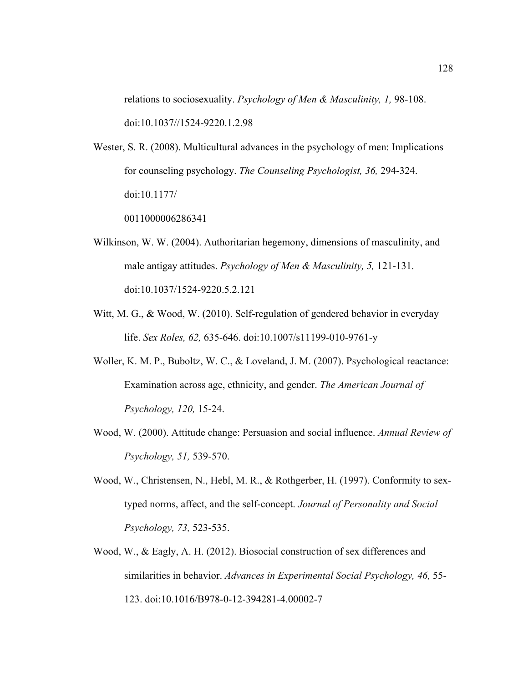relations to sociosexuality. *Psychology of Men & Masculinity, 1,* 98-108. doi:10.1037//1524-9220.1.2.98

Wester, S. R. (2008). Multicultural advances in the psychology of men: Implications for counseling psychology. *The Counseling Psychologist, 36,* 294-324. doi:10.1177/

0011000006286341

- Wilkinson, W. W. (2004). Authoritarian hegemony, dimensions of masculinity, and male antigay attitudes. *Psychology of Men & Masculinity, 5,* 121-131. doi:10.1037/1524-9220.5.2.121
- Witt, M. G., & Wood, W. (2010). Self-regulation of gendered behavior in everyday life. *Sex Roles, 62,* 635-646. doi:10.1007/s11199-010-9761-y
- Woller, K. M. P., Buboltz, W. C., & Loveland, J. M. (2007). Psychological reactance: Examination across age, ethnicity, and gender. *The American Journal of Psychology, 120,* 15-24.
- Wood, W. (2000). Attitude change: Persuasion and social influence. *Annual Review of Psychology, 51,* 539-570.
- Wood, W., Christensen, N., Hebl, M. R., & Rothgerber, H. (1997). Conformity to sextyped norms, affect, and the self-concept. *Journal of Personality and Social Psychology, 73,* 523-535.
- Wood, W., & Eagly, A. H. (2012). Biosocial construction of sex differences and similarities in behavior. *Advances in Experimental Social Psychology, 46,* 55- 123. doi:10.1016/B978-0-12-394281-4.00002-7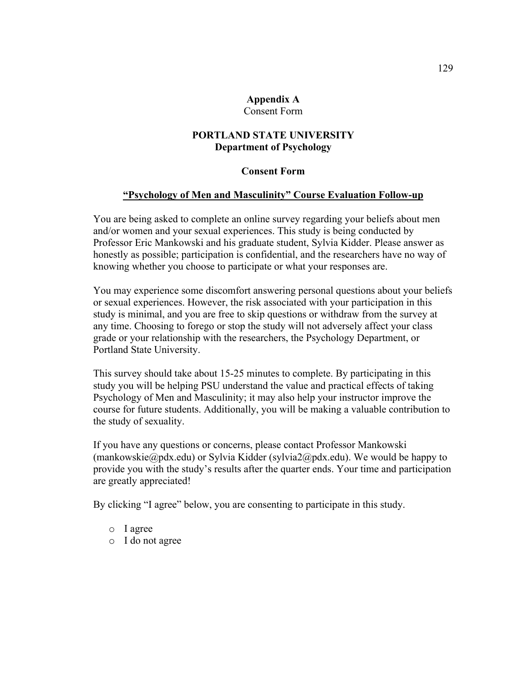#### **Appendix A** Consent Form

## **PORTLAND STATE UNIVERSITY Department of Psychology**

### **Consent Form**

### **"Psychology of Men and Masculinity" Course Evaluation Follow-up**

You are being asked to complete an online survey regarding your beliefs about men and/or women and your sexual experiences. This study is being conducted by Professor Eric Mankowski and his graduate student, Sylvia Kidder. Please answer as honestly as possible; participation is confidential, and the researchers have no way of knowing whether you choose to participate or what your responses are.

You may experience some discomfort answering personal questions about your beliefs or sexual experiences. However, the risk associated with your participation in this study is minimal, and you are free to skip questions or withdraw from the survey at any time. Choosing to forego or stop the study will not adversely affect your class grade or your relationship with the researchers, the Psychology Department, or Portland State University.

This survey should take about 15-25 minutes to complete. By participating in this study you will be helping PSU understand the value and practical effects of taking Psychology of Men and Masculinity; it may also help your instructor improve the course for future students. Additionally, you will be making a valuable contribution to the study of sexuality.

If you have any questions or concerns, please contact Professor Mankowski (mankowskie@pdx.edu) or Sylvia Kidder (sylvia2@pdx.edu). We would be happy to provide you with the study's results after the quarter ends. Your time and participation are greatly appreciated!

By clicking "I agree" below, you are consenting to participate in this study.

- o I agree
- o I do not agree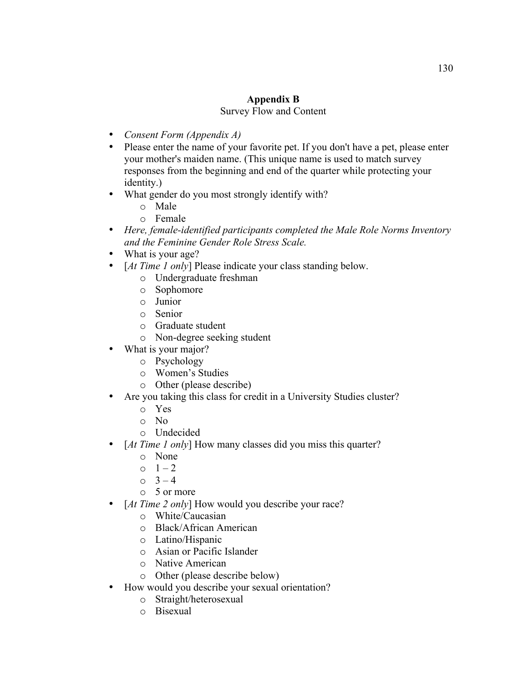## **Appendix B** Survey Flow and Content

- *Consent Form (Appendix A)*
- Please enter the name of your favorite pet. If you don't have a pet, please enter your mother's maiden name. (This unique name is used to match survey responses from the beginning and end of the quarter while protecting your identity.)
- What gender do you most strongly identify with?
	- o Male
	- o Female
- *Here, female-identified participants completed the Male Role Norms Inventory and the Feminine Gender Role Stress Scale.*
- What is your age?
- [*At Time 1 only*] Please indicate your class standing below.
	- o Undergraduate freshman
	- o Sophomore
	- o Junior
	- o Senior
	- o Graduate student
	- o Non-degree seeking student
- What is your major?
	- o Psychology
	- o Women's Studies
	- o Other (please describe)
- Are you taking this class for credit in a University Studies cluster?
	- o Yes
	- o No
	- o Undecided
- [*At Time 1 only*] How many classes did you miss this quarter?
	- o None
	- $0 \t 1 2$
	- $0 \t 3 4$
	- o 5 or more
- [*At Time 2 only*] How would you describe your race?
	- o White/Caucasian
	- o Black/African American
	- o Latino/Hispanic
	- o Asian or Pacific Islander
	- o Native American
	- o Other (please describe below)
- How would you describe your sexual orientation?
	- o Straight/heterosexual
	- o Bisexual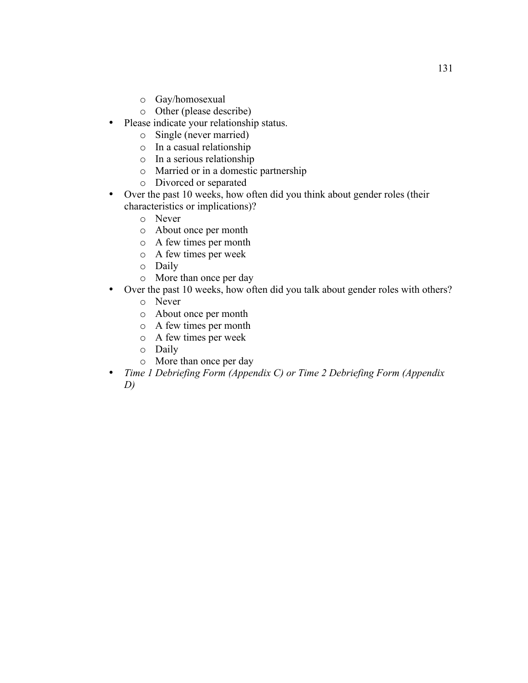- o Gay/homosexual
- o Other (please describe)
- Please indicate your relationship status.
	- o Single (never married)
	- o In a casual relationship
	- o In a serious relationship
	- o Married or in a domestic partnership
	- o Divorced or separated
- Over the past 10 weeks, how often did you think about gender roles (their characteristics or implications)?
	- o Never
	- o About once per month
	- o A few times per month
	- o A few times per week
	- o Daily
	- o More than once per day
- Over the past 10 weeks, how often did you talk about gender roles with others?
	- o Never
	- o About once per month
	- o A few times per month
	- o A few times per week
	- o Daily
	- o More than once per day
- *Time 1 Debriefing Form (Appendix C) or Time 2 Debriefing Form (Appendix D)*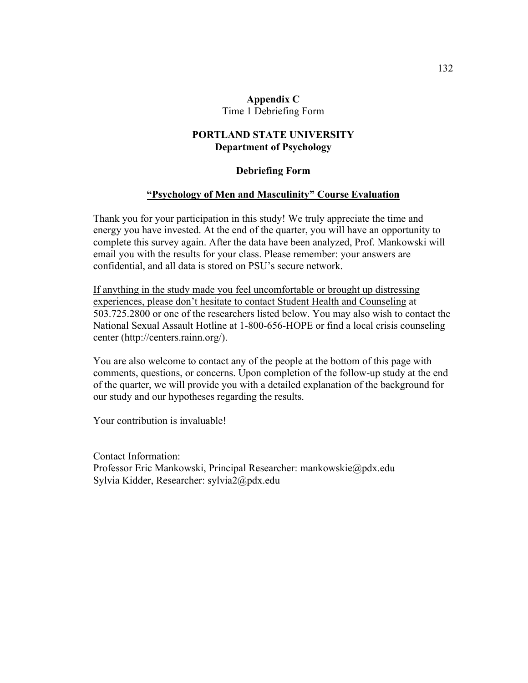### **Appendix C** Time 1 Debriefing Form

## **PORTLAND STATE UNIVERSITY Department of Psychology**

### **Debriefing Form**

### **"Psychology of Men and Masculinity" Course Evaluation**

Thank you for your participation in this study! We truly appreciate the time and energy you have invested. At the end of the quarter, you will have an opportunity to complete this survey again. After the data have been analyzed, Prof. Mankowski will email you with the results for your class. Please remember: your answers are confidential, and all data is stored on PSU's secure network.

If anything in the study made you feel uncomfortable or brought up distressing experiences, please don't hesitate to contact Student Health and Counseling at 503.725.2800 or one of the researchers listed below. You may also wish to contact the National Sexual Assault Hotline at 1-800-656-HOPE or find a local crisis counseling center (http://centers.rainn.org/).

You are also welcome to contact any of the people at the bottom of this page with comments, questions, or concerns. Upon completion of the follow-up study at the end of the quarter, we will provide you with a detailed explanation of the background for our study and our hypotheses regarding the results.

Your contribution is invaluable!

Contact Information: Professor Eric Mankowski, Principal Researcher: mankowskie@pdx.edu Sylvia Kidder, Researcher: sylvia2@pdx.edu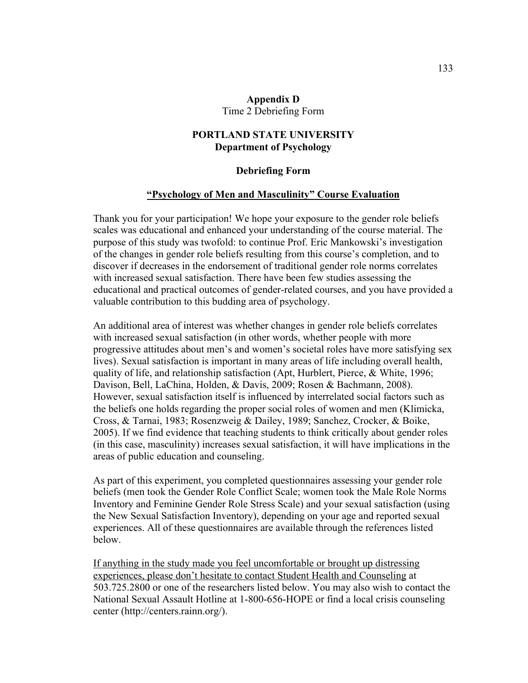#### **Appendix D** Time 2 Debriefing Form

## **PORTLAND STATE UNIVERSITY Department of Psychology**

#### **Debriefing Form**

#### **"Psychology of Men and Masculinity" Course Evaluation**

Thank you for your participation! We hope your exposure to the gender role beliefs scales was educational and enhanced your understanding of the course material. The purpose of this study was twofold: to continue Prof. Eric Mankowski's investigation of the changes in gender role beliefs resulting from this course's completion, and to discover if decreases in the endorsement of traditional gender role norms correlates with increased sexual satisfaction. There have been few studies assessing the educational and practical outcomes of gender-related courses, and you have provided a valuable contribution to this budding area of psychology.

An additional area of interest was whether changes in gender role beliefs correlates with increased sexual satisfaction (in other words, whether people with more progressive attitudes about men's and women's societal roles have more satisfying sex lives). Sexual satisfaction is important in many areas of life including overall health, quality of life, and relationship satisfaction (Apt, Hurblert, Pierce, & White, 1996; Davison, Bell, LaChina, Holden, & Davis, 2009; Rosen & Bachmann, 2008). However, sexual satisfaction itself is influenced by interrelated social factors such as the beliefs one holds regarding the proper social roles of women and men (Klimicka, Cross, & Tarnai, 1983; Rosenzweig & Dailey, 1989; Sanchez, Crocker, & Boike, 2005). If we find evidence that teaching students to think critically about gender roles (in this case, masculinity) increases sexual satisfaction, it will have implications in the areas of public education and counseling.

As part of this experiment, you completed questionnaires assessing your gender role beliefs (men took the Gender Role Conflict Scale; women took the Male Role Norms Inventory and Feminine Gender Role Stress Scale) and your sexual satisfaction (using the New Sexual Satisfaction Inventory), depending on your age and reported sexual experiences. All of these questionnaires are available through the references listed below.

If anything in the study made you feel uncomfortable or brought up distressing experiences, please don't hesitate to contact Student Health and Counseling at 503.725.2800 or one of the researchers listed below. You may also wish to contact the National Sexual Assault Hotline at 1-800-656-HOPE or find a local crisis counseling center (http://centers.rainn.org/).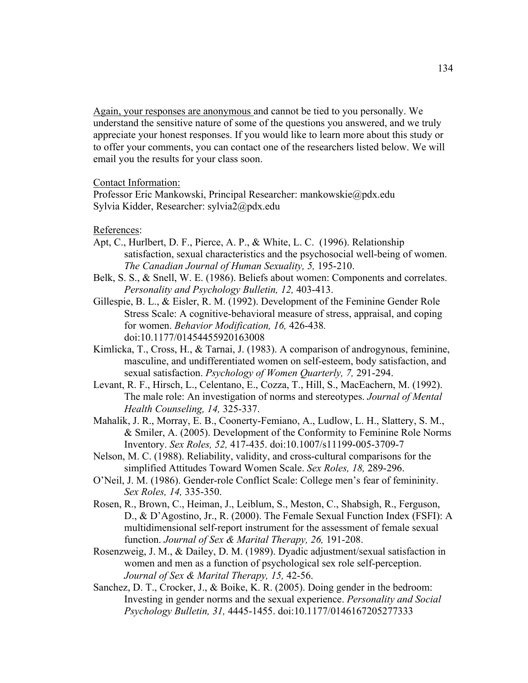Again, your responses are anonymous and cannot be tied to you personally. We understand the sensitive nature of some of the questions you answered, and we truly appreciate your honest responses. If you would like to learn more about this study or to offer your comments, you can contact one of the researchers listed below. We will email you the results for your class soon.

#### Contact Information:

Professor Eric Mankowski, Principal Researcher: mankowskie@pdx.edu Sylvia Kidder, Researcher: sylvia2@pdx.edu

### References:

- Apt, C., Hurlbert, D. F., Pierce, A. P., & White, L. C. (1996). Relationship satisfaction, sexual characteristics and the psychosocial well-being of women. *The Canadian Journal of Human Sexuality, 5,* 195-210.
- Belk, S. S., & Snell, W. E. (1986). Beliefs about women: Components and correlates. *Personality and Psychology Bulletin, 12,* 403-413.
- Gillespie, B. L., & Eisler, R. M. (1992). Development of the Feminine Gender Role Stress Scale: A cognitive-behavioral measure of stress, appraisal, and coping for women. *Behavior Modification, 16,* 426-438*.* doi:10.1177/01454455920163008
- Kimlicka, T., Cross, H., & Tarnai, J. (1983). A comparison of androgynous, feminine, masculine, and undifferentiated women on self-esteem, body satisfaction, and sexual satisfaction. *Psychology of Women Quarterly, 7,* 291-294.
- Levant, R. F., Hirsch, L., Celentano, E., Cozza, T., Hill, S., MacEachern, M. (1992). The male role: An investigation of norms and stereotypes. *Journal of Mental Health Counseling, 14,* 325-337.
- Mahalik, J. R., Morray, E. B., Coonerty-Femiano, A., Ludlow, L. H., Slattery, S. M., & Smiler, A. (2005). Development of the Conformity to Feminine Role Norms Inventory. *Sex Roles, 52,* 417-435. doi:10.1007/s11199-005-3709-7
- Nelson, M. C. (1988). Reliability, validity, and cross-cultural comparisons for the simplified Attitudes Toward Women Scale. *Sex Roles, 18,* 289-296.
- O'Neil, J. M. (1986). Gender-role Conflict Scale: College men's fear of femininity. *Sex Roles, 14,* 335-350.
- Rosen, R., Brown, C., Heiman, J., Leiblum, S., Meston, C., Shabsigh, R., Ferguson, D., & D'Agostino, Jr., R. (2000). The Female Sexual Function Index (FSFI): A multidimensional self-report instrument for the assessment of female sexual function. *Journal of Sex & Marital Therapy, 26,* 191-208.
- Rosenzweig, J. M., & Dailey, D. M. (1989). Dyadic adjustment/sexual satisfaction in women and men as a function of psychological sex role self-perception. *Journal of Sex & Marital Therapy, 15,* 42-56.
- Sanchez, D. T., Crocker, J., & Boike, K. R. (2005). Doing gender in the bedroom: Investing in gender norms and the sexual experience. *Personality and Social Psychology Bulletin, 31,* 4445-1455. doi:10.1177/0146167205277333